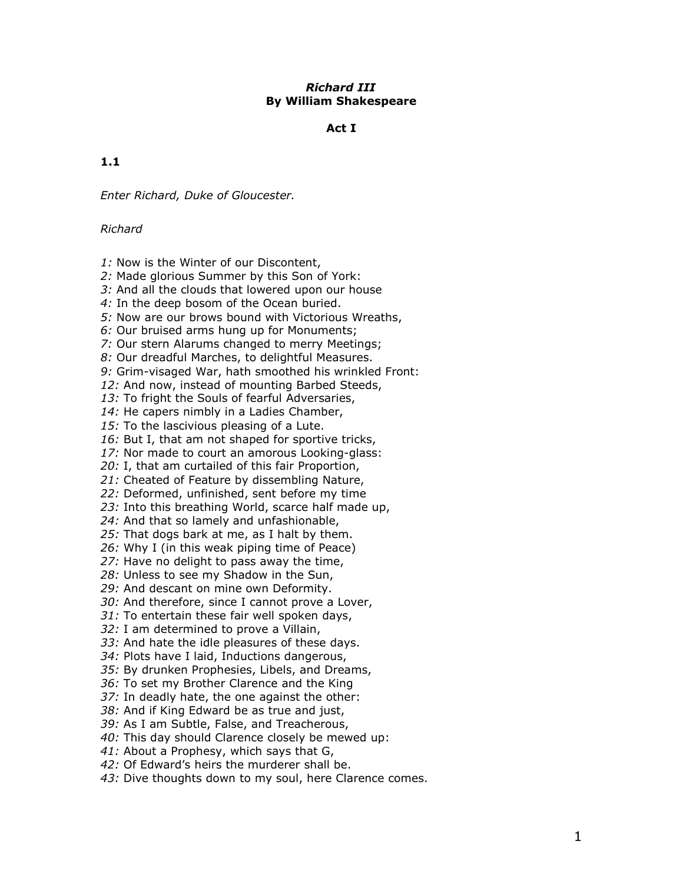## Richard III By William Shakespeare

## Act I

## 1.1

Enter Richard, Duke of Gloucester.

### Richard

- 1: Now is the Winter of our Discontent,
- 2: Made glorious Summer by this Son of York:
- 3: And all the clouds that lowered upon our house
- 4: In the deep bosom of the Ocean buried.
- 5: Now are our brows bound with Victorious Wreaths,
- 6: Our bruised arms hung up for Monuments;
- 7: Our stern Alarums changed to merry Meetings;
- 8: Our dreadful Marches, to delightful Measures.
- 9: Grim-visaged War, hath smoothed his wrinkled Front:
- 12: And now, instead of mounting Barbed Steeds,
- 13: To fright the Souls of fearful Adversaries,
- 14: He capers nimbly in a Ladies Chamber,
- 15: To the lascivious pleasing of a Lute.
- 16: But I, that am not shaped for sportive tricks,
- 17: Nor made to court an amorous Looking-glass:
- 20: I, that am curtailed of this fair Proportion,
- 21: Cheated of Feature by dissembling Nature,
- 22: Deformed, unfinished, sent before my time
- 23: Into this breathing World, scarce half made up,
- 24: And that so lamely and unfashionable,
- 25: That dogs bark at me, as I halt by them.
- 26: Why I (in this weak piping time of Peace)
- 27: Have no delight to pass away the time,
- 28: Unless to see my Shadow in the Sun,
- 29: And descant on mine own Deformity.
- 30: And therefore, since I cannot prove a Lover,
- 31: To entertain these fair well spoken days,
- 32: I am determined to prove a Villain,
- 33: And hate the idle pleasures of these days.
- 34: Plots have I laid, Inductions dangerous,
- 35: By drunken Prophesies, Libels, and Dreams,
- 36: To set my Brother Clarence and the King
- 37: In deadly hate, the one against the other:
- 38: And if King Edward be as true and just,
- 39: As I am Subtle, False, and Treacherous,
- 40: This day should Clarence closely be mewed up:
- 41: About a Prophesy, which says that G,
- 42: Of Edward's heirs the murderer shall be.
- 43: Dive thoughts down to my soul, here Clarence comes.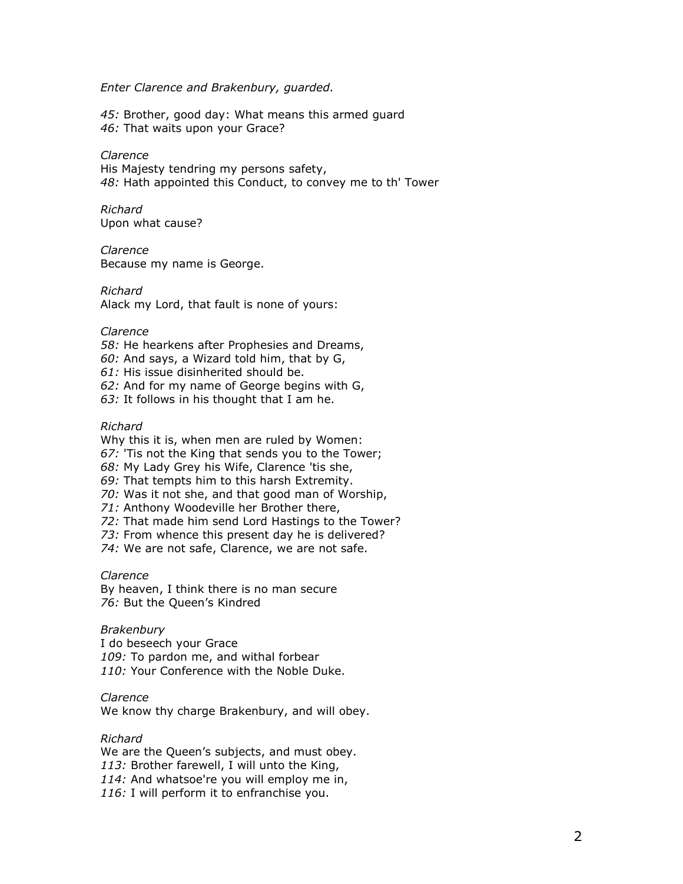#### Enter Clarence and Brakenbury, guarded.

45: Brother, good day: What means this armed guard 46: That waits upon your Grace?

#### Clarence

His Majesty tendring my persons safety, 48: Hath appointed this Conduct, to convey me to th' Tower

#### Richard Upon what cause?

#### Clarence

Because my name is George.

#### Richard

Alack my Lord, that fault is none of yours:

#### Clarence

- 58: He hearkens after Prophesies and Dreams,
- 60: And says, a Wizard told him, that by G,
- 61: His issue disinherited should be.
- 62: And for my name of George begins with G,
- 63: It follows in his thought that I am he.

#### Richard

Why this it is, when men are ruled by Women:

67: 'Tis not the King that sends you to the Tower;

- 68: My Lady Grey his Wife, Clarence 'tis she,
- 69: That tempts him to this harsh Extremity.
- 70: Was it not she, and that good man of Worship,
- 71: Anthony Woodeville her Brother there,
- 72: That made him send Lord Hastings to the Tower?
- 73: From whence this present day he is delivered?
- 74: We are not safe, Clarence, we are not safe.

#### Clarence

By heaven, I think there is no man secure 76: But the Queen's Kindred

#### **Brakenbury**

I do beseech your Grace 109: To pardon me, and withal forbear 110: Your Conference with the Noble Duke.

#### Clarence

We know thy charge Brakenbury, and will obey.

## Richard

We are the Queen's subjects, and must obey. 113: Brother farewell, I will unto the King, 114: And whatsoe're you will employ me in, 116: I will perform it to enfranchise you.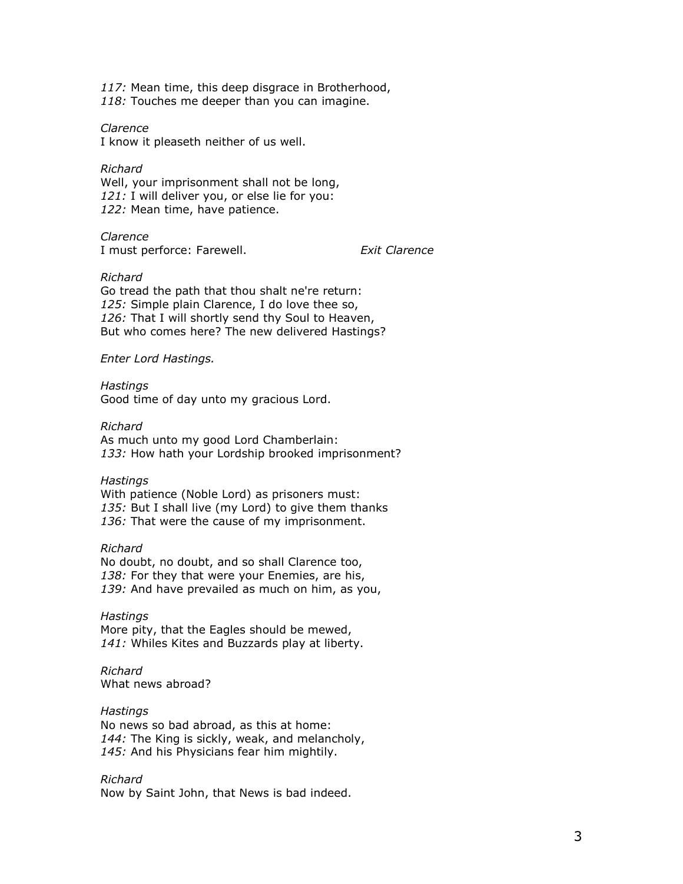117: Mean time, this deep disgrace in Brotherhood, 118: Touches me deeper than you can imagine.

Clarence

I know it pleaseth neither of us well.

Richard Well, your imprisonment shall not be long, 121: I will deliver you, or else lie for you: 122: Mean time, have patience.

Clarence I must perforce: Farewell. Exit Clarence

Richard

Go tread the path that thou shalt ne're return: 125: Simple plain Clarence, I do love thee so, 126: That I will shortly send thy Soul to Heaven, But who comes here? The new delivered Hastings?

Enter Lord Hastings.

Hastings

Good time of day unto my gracious Lord.

Richard

As much unto my good Lord Chamberlain: 133: How hath your Lordship brooked imprisonment?

Hastings

With patience (Noble Lord) as prisoners must: 135: But I shall live (my Lord) to give them thanks 136: That were the cause of my imprisonment.

Richard

No doubt, no doubt, and so shall Clarence too, 138: For they that were your Enemies, are his, 139: And have prevailed as much on him, as you,

**Hastings** More pity, that the Eagles should be mewed, 141: Whiles Kites and Buzzards play at liberty.

Richard What news abroad?

**Hastings** 

No news so bad abroad, as this at home: 144: The King is sickly, weak, and melancholy, 145: And his Physicians fear him mightily.

Richard

Now by Saint John, that News is bad indeed.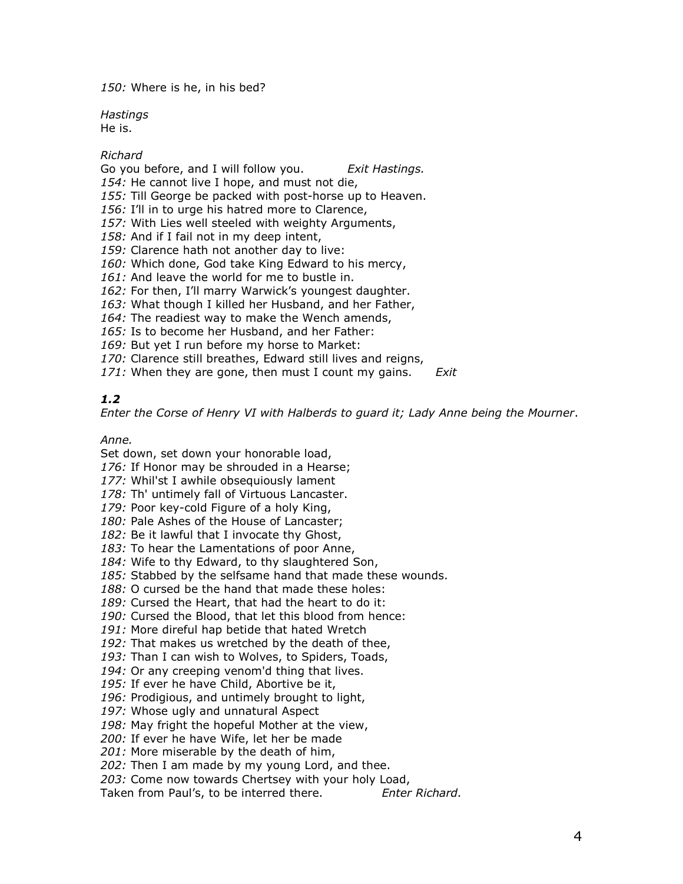150: Where is he, in his bed?

**Hastings** He is.

## Richard

Go you before, and I will follow you. Exit Hastings. 154: He cannot live I hope, and must not die, 155: Till George be packed with post-horse up to Heaven. 156: I'll in to urge his hatred more to Clarence, 157: With Lies well steeled with weighty Arguments, 158: And if I fail not in my deep intent, 159: Clarence hath not another day to live: 160: Which done, God take King Edward to his mercy, 161: And leave the world for me to bustle in. 162: For then, I'll marry Warwick's youngest daughter. 163: What though I killed her Husband, and her Father, 164: The readiest way to make the Wench amends,

165: Is to become her Husband, and her Father:

169: But yet I run before my horse to Market:

170: Clarence still breathes, Edward still lives and reigns,

171: When they are gone, then must I count my gains.  $Exit$ 

# 1.2

Enter the Corse of Henry VI with Halberds to guard it; Lady Anne being the Mourner.

## Anne.

Set down, set down your honorable load,

176: If Honor may be shrouded in a Hearse;

177: Whil'st I awhile obsequiously lament

178: Th' untimely fall of Virtuous Lancaster.

179: Poor key-cold Figure of a holy King,

180: Pale Ashes of the House of Lancaster;

182: Be it lawful that I invocate thy Ghost,

183: To hear the Lamentations of poor Anne,

184: Wife to thy Edward, to thy slaughtered Son,

185: Stabbed by the selfsame hand that made these wounds.

188: O cursed be the hand that made these holes:

189: Cursed the Heart, that had the heart to do it:

190: Cursed the Blood, that let this blood from hence:

191: More direful hap betide that hated Wretch

192: That makes us wretched by the death of thee,

193: Than I can wish to Wolves, to Spiders, Toads,

194: Or any creeping venom'd thing that lives.

195: If ever he have Child, Abortive be it,

196: Prodigious, and untimely brought to light,

197: Whose ugly and unnatural Aspect

198: May fright the hopeful Mother at the view,

200: If ever he have Wife, let her be made

201: More miserable by the death of him,

202: Then I am made by my young Lord, and thee.

203: Come now towards Chertsey with your holy Load,

Taken from Paul's, to be interred there. Enter Richard.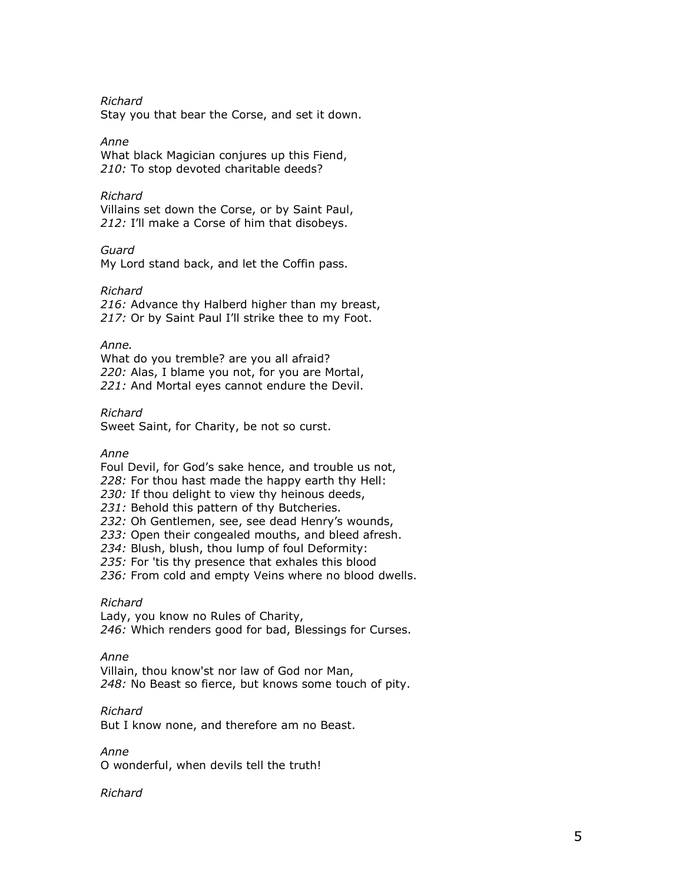Richard

Stay you that bear the Corse, and set it down.

## Anne

What black Magician conjures up this Fiend, 210: To stop devoted charitable deeds?

## Richard

Villains set down the Corse, or by Saint Paul, 212: I'll make a Corse of him that disobeys.

## Guard

My Lord stand back, and let the Coffin pass.

## Richard

216: Advance thy Halberd higher than my breast, 217: Or by Saint Paul I'll strike thee to my Foot.

## Anne.

What do you tremble? are you all afraid? 220: Alas, I blame you not, for you are Mortal, 221: And Mortal eyes cannot endure the Devil.

Richard

Sweet Saint, for Charity, be not so curst.

## Anne

Foul Devil, for God's sake hence, and trouble us not, 228: For thou hast made the happy earth thy Hell:

230: If thou delight to view thy heinous deeds,

231: Behold this pattern of thy Butcheries.

232: Oh Gentlemen, see, see dead Henry's wounds,

233: Open their congealed mouths, and bleed afresh.

234: Blush, blush, thou lump of foul Deformity:

235: For 'tis thy presence that exhales this blood

236: From cold and empty Veins where no blood dwells.

## Richard

Lady, you know no Rules of Charity, 246: Which renders good for bad, Blessings for Curses.

## Anne

Villain, thou know'st nor law of God nor Man, 248: No Beast so fierce, but knows some touch of pity.

## Richard

But I know none, and therefore am no Beast.

#### Anne

O wonderful, when devils tell the truth!

## Richard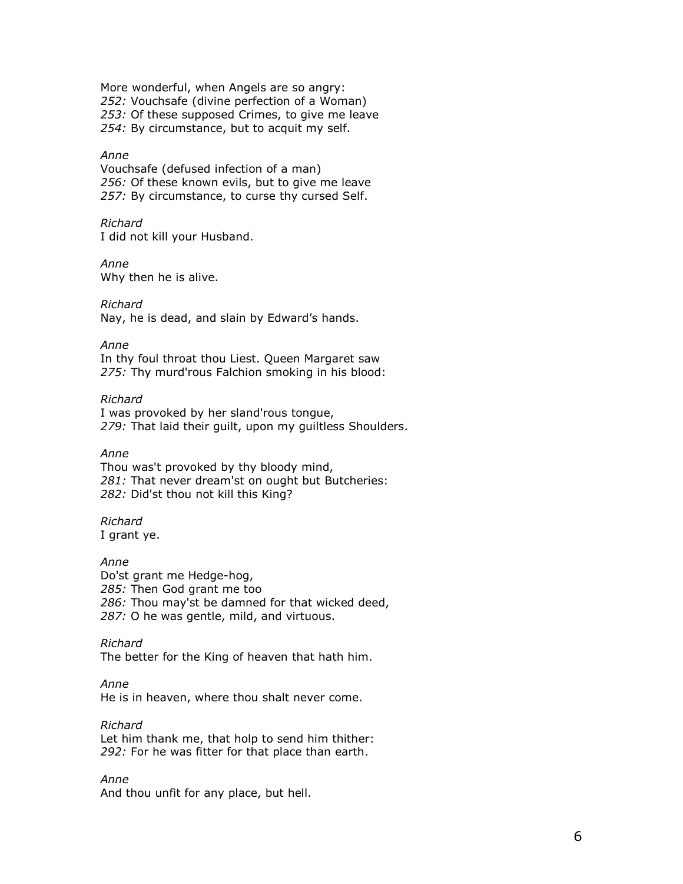More wonderful, when Angels are so angry: 252: Vouchsafe (divine perfection of a Woman) 253: Of these supposed Crimes, to give me leave 254: By circumstance, but to acquit my self.

## Anne

Vouchsafe (defused infection of a man) 256: Of these known evils, but to give me leave 257: By circumstance, to curse thy cursed Self.

## Richard

I did not kill your Husband.

Anne

Why then he is alive.

Richard

Nay, he is dead, and slain by Edward's hands.

Anne

In thy foul throat thou Liest. Queen Margaret saw 275: Thy murd'rous Falchion smoking in his blood:

#### Richard

I was provoked by her sland'rous tongue, 279: That laid their quilt, upon my quiltless Shoulders.

#### Anne

Thou was't provoked by thy bloody mind, 281: That never dream'st on ought but Butcheries: 282: Did'st thou not kill this King?

# Richard

I grant ye.

#### Anne

Do'st grant me Hedge-hog, 285: Then God grant me too 286: Thou may'st be damned for that wicked deed, 287: O he was gentle, mild, and virtuous.

## Richard

The better for the King of heaven that hath him.

## Anne

He is in heaven, where thou shalt never come.

Richard Let him thank me, that holp to send him thither: 292: For he was fitter for that place than earth.

Anne And thou unfit for any place, but hell.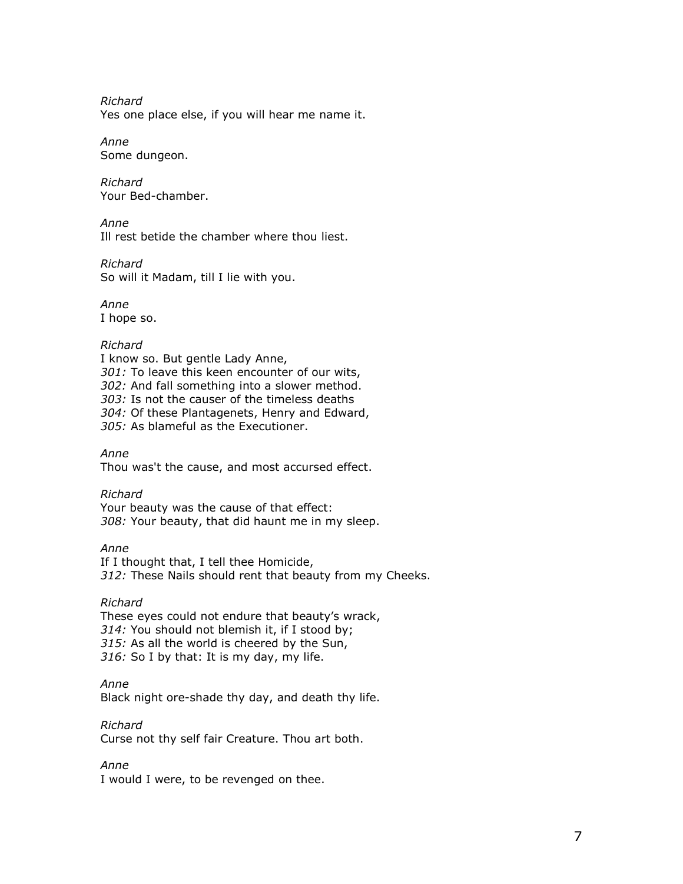Richard Yes one place else, if you will hear me name it.

Anne Some dungeon.

Richard Your Bed-chamber.

Anne Ill rest betide the chamber where thou liest.

Richard So will it Madam, till I lie with you.

Anne I hope so.

# Richard

I know so. But gentle Lady Anne, 301: To leave this keen encounter of our wits, 302: And fall something into a slower method. 303: Is not the causer of the timeless deaths 304: Of these Plantagenets, Henry and Edward, 305: As blameful as the Executioner.

Anne Thou was't the cause, and most accursed effect.

# Richard

Your beauty was the cause of that effect: 308: Your beauty, that did haunt me in my sleep.

Anne If I thought that, I tell thee Homicide, 312: These Nails should rent that beauty from my Cheeks.

# Richard

These eyes could not endure that beauty's wrack, 314: You should not blemish it, if I stood by; 315: As all the world is cheered by the Sun, 316: So I by that: It is my day, my life.

Anne

Black night ore-shade thy day, and death thy life.

Richard Curse not thy self fair Creature. Thou art both.

Anne

I would I were, to be revenged on thee.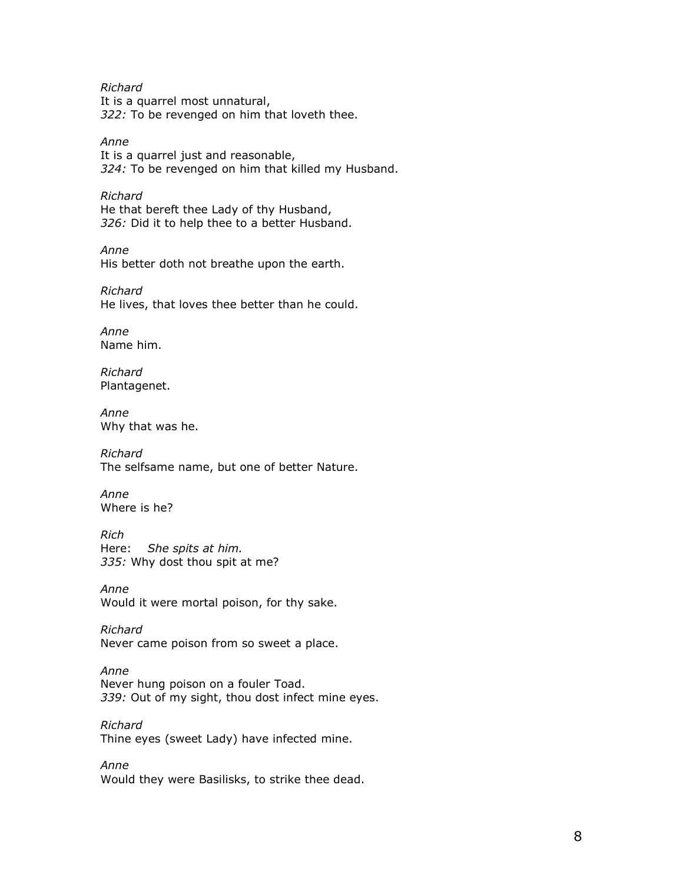Richard It is a quarrel most unnatural, 322: To be revenged on him that loveth thee.

Anne It is a quarrel just and reasonable, 324: To be revenged on him that killed my Husband.

Richard He that bereft thee Lady of thy Husband, 326: Did it to help thee to a better Husband.

Anne His better doth not breathe upon the earth.

Richard He lives, that loves thee better than he could.

Anne Name him.

Richard Plantagenet.

Anne Why that was he.

Richard The selfsame name, but one of better Nature.

Anne Where is he?

Rich Here: She spits at him. 335: Why dost thou spit at me?

Anne Would it were mortal poison, for thy sake.

Richard Never came poison from so sweet a place.

Anne Never hung poison on a fouler Toad. 339: Out of my sight, thou dost infect mine eyes.

Richard Thine eyes (sweet Lady) have infected mine.

Anne Would they were Basilisks, to strike thee dead.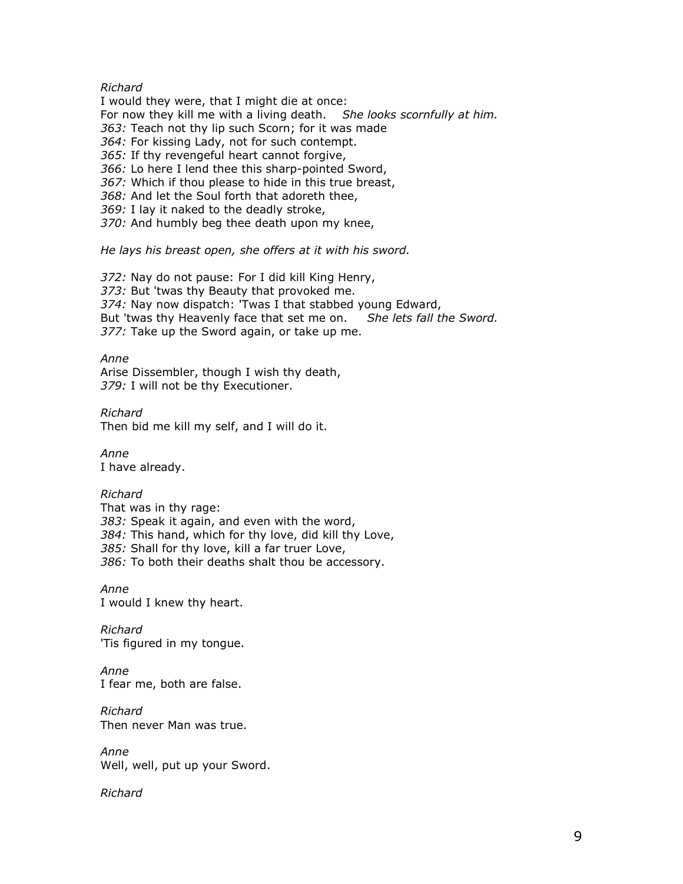## Richard

I would they were, that I might die at once: For now they kill me with a living death. She looks scornfully at him. 363: Teach not thy lip such Scorn; for it was made 364: For kissing Lady, not for such contempt. 365: If thy revengeful heart cannot forgive, 366: Lo here I lend thee this sharp-pointed Sword, 367: Which if thou please to hide in this true breast, 368: And let the Soul forth that adoreth thee, 369: I lay it naked to the deadly stroke, 370: And humbly beg thee death upon my knee,

He lays his breast open, she offers at it with his sword.

372: Nay do not pause: For I did kill King Henry, 373: But 'twas thy Beauty that provoked me. 374: Nay now dispatch: 'Twas I that stabbed young Edward, But 'twas thy Heavenly face that set me on. She lets fall the Sword. 377: Take up the Sword again, or take up me.

#### Anne

Arise Dissembler, though I wish thy death, 379: I will not be thy Executioner.

Richard Then bid me kill my self, and I will do it.

Anne I have already.

Richard

That was in thy rage: 383: Speak it again, and even with the word, 384: This hand, which for thy love, did kill thy Love, 385: Shall for thy love, kill a far truer Love, 386: To both their deaths shalt thou be accessory.

Anne I would I knew thy heart.

Richard 'Tis figured in my tongue.

Anne I fear me, both are false.

Richard Then never Man was true.

Anne Well, well, put up your Sword.

Richard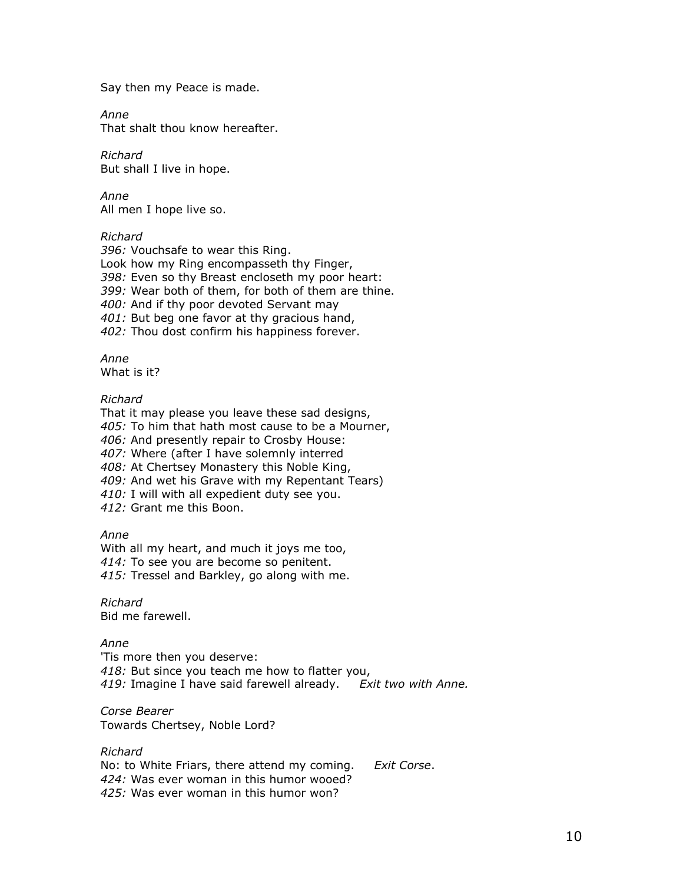Say then my Peace is made.

Anne

That shalt thou know hereafter.

Richard But shall I live in hope.

Anne All men I hope live so.

## Richard

396: Vouchsafe to wear this Ring. Look how my Ring encompasseth thy Finger, 398: Even so thy Breast encloseth my poor heart: 399: Wear both of them, for both of them are thine. 400: And if thy poor devoted Servant may 401: But beg one favor at thy gracious hand, 402: Thou dost confirm his happiness forever.

Anne

What is it?

## Richard

That it may please you leave these sad designs, 405: To him that hath most cause to be a Mourner, 406: And presently repair to Crosby House: 407: Where (after I have solemnly interred 408: At Chertsey Monastery this Noble King, 409: And wet his Grave with my Repentant Tears) 410: I will with all expedient duty see you. 412: Grant me this Boon.

#### Anne

With all my heart, and much it joys me too, 414: To see you are become so penitent. 415: Tressel and Barkley, go along with me.

Richard Bid me farewell.

Anne

'Tis more then you deserve: 418: But since you teach me how to flatter you, 419: Imagine I have said farewell already. Exit two with Anne.

Corse Bearer Towards Chertsey, Noble Lord?

Richard No: to White Friars, there attend my coming. Exit Corse. 424: Was ever woman in this humor wooed? 425: Was ever woman in this humor won?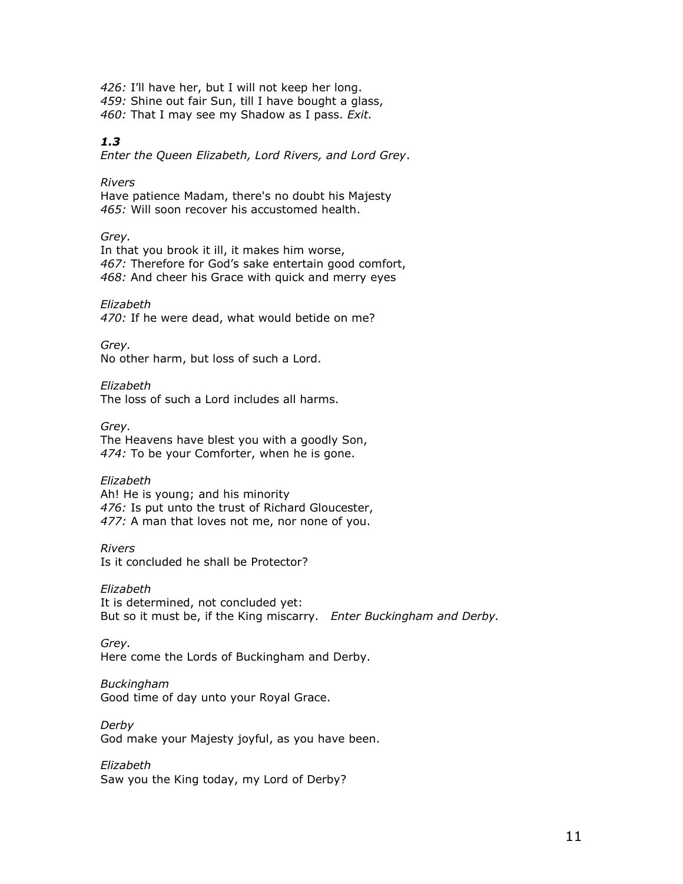426: I'll have her, but I will not keep her long. 459: Shine out fair Sun, till I have bought a glass, 460: That I may see my Shadow as I pass. Exit.

## 1.3

Enter the Queen Elizabeth, Lord Rivers, and Lord Grey.

Rivers

Have patience Madam, there's no doubt his Majesty 465: Will soon recover his accustomed health.

Grey.

In that you brook it ill, it makes him worse, 467: Therefore for God's sake entertain good comfort, 468: And cheer his Grace with quick and merry eyes

Elizabeth

470: If he were dead, what would betide on me?

Grey.

No other harm, but loss of such a Lord.

Elizabeth

The loss of such a Lord includes all harms.

Grey. The Heavens have blest you with a goodly Son, 474: To be your Comforter, when he is gone.

Elizabeth

Ah! He is young; and his minority 476: Is put unto the trust of Richard Gloucester, 477: A man that loves not me, nor none of you.

Rivers

Is it concluded he shall be Protector?

Elizabeth It is determined, not concluded yet: But so it must be, if the King miscarry. Enter Buckingham and Derby.

Grey. Here come the Lords of Buckingham and Derby.

Buckingham Good time of day unto your Royal Grace.

Derby God make your Majesty joyful, as you have been.

Elizabeth Saw you the King today, my Lord of Derby?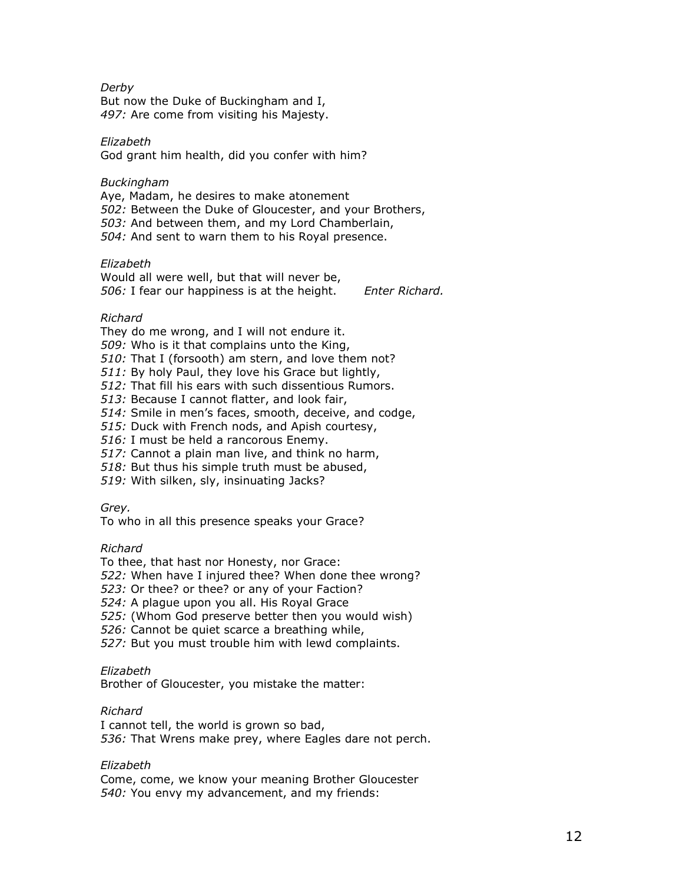## Derby

But now the Duke of Buckingham and I, 497: Are come from visiting his Majesty.

## Elizabeth

God grant him health, did you confer with him?

## Buckingham

Aye, Madam, he desires to make atonement 502: Between the Duke of Gloucester, and your Brothers, 503: And between them, and my Lord Chamberlain, 504: And sent to warn them to his Royal presence.

## Elizabeth

Would all were well, but that will never be, 506: I fear our happiness is at the height. Enter Richard.

## Richard

They do me wrong, and I will not endure it.

509: Who is it that complains unto the King,

510: That I (forsooth) am stern, and love them not?

511: By holy Paul, they love his Grace but lightly,

512: That fill his ears with such dissentious Rumors.

513: Because I cannot flatter, and look fair,

514: Smile in men's faces, smooth, deceive, and codge,

515: Duck with French nods, and Apish courtesy,

516: I must be held a rancorous Enemy.

517: Cannot a plain man live, and think no harm,

518: But thus his simple truth must be abused,

519: With silken, sly, insinuating Jacks?

#### Grey.

To who in all this presence speaks your Grace?

#### Richard

To thee, that hast nor Honesty, nor Grace:

522: When have I injured thee? When done thee wrong?

523: Or thee? or thee? or any of your Faction?

524: A plague upon you all. His Royal Grace

525: (Whom God preserve better then you would wish)

526: Cannot be quiet scarce a breathing while,

527: But you must trouble him with lewd complaints.

## Elizabeth

Brother of Gloucester, you mistake the matter:

## Richard

I cannot tell, the world is grown so bad, 536: That Wrens make prey, where Eagles dare not perch.

## Elizabeth

Come, come, we know your meaning Brother Gloucester 540: You envy my advancement, and my friends: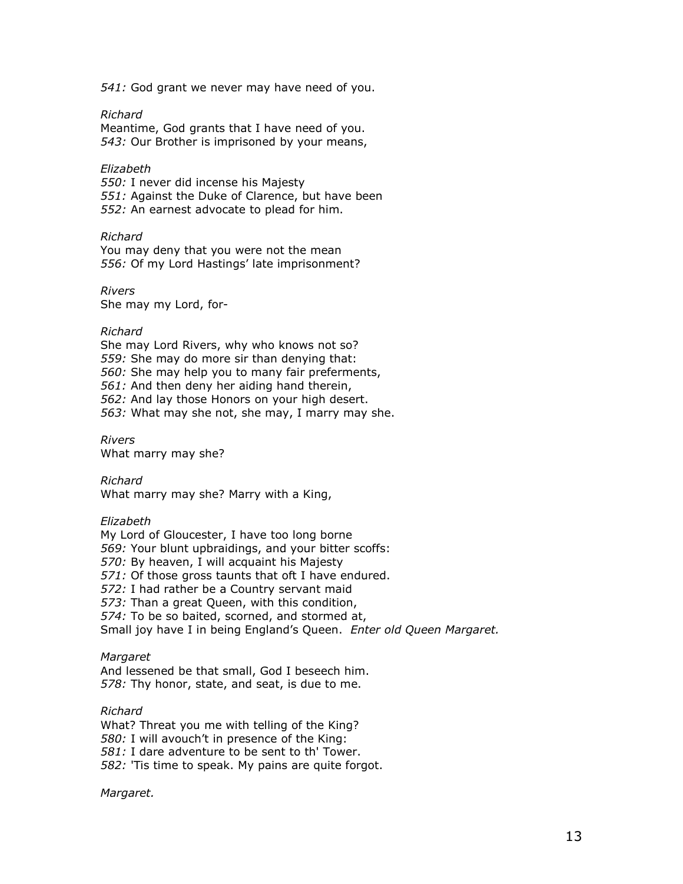541: God grant we never may have need of you.

#### Richard

Meantime, God grants that I have need of you. 543: Our Brother is imprisoned by your means,

#### Elizabeth

550: I never did incense his Majesty 551: Against the Duke of Clarence, but have been 552: An earnest advocate to plead for him.

#### Richard

You may deny that you were not the mean 556: Of my Lord Hastings' late imprisonment?

Rivers She may my Lord, for-

#### Richard

She may Lord Rivers, why who knows not so? 559: She may do more sir than denying that: 560: She may help you to many fair preferments, 561: And then deny her aiding hand therein, 562: And lay those Honors on your high desert. 563: What may she not, she may, I marry may she.

Rivers What marry may she?

Richard What marry may she? Marry with a King,

#### Elizabeth

My Lord of Gloucester, I have too long borne 569: Your blunt upbraidings, and your bitter scoffs: 570: By heaven, I will acquaint his Majesty 571: Of those gross taunts that oft I have endured. 572: I had rather be a Country servant maid 573: Than a great Queen, with this condition, 574: To be so baited, scorned, and stormed at, Small joy have I in being England's Queen. Enter old Queen Margaret.

#### **Margaret**

And lessened be that small, God I beseech him. 578: Thy honor, state, and seat, is due to me.

Richard What? Threat you me with telling of the King? 580: I will avouch't in presence of the King: 581: I dare adventure to be sent to th' Tower. 582: 'Tis time to speak. My pains are quite forgot.

Margaret.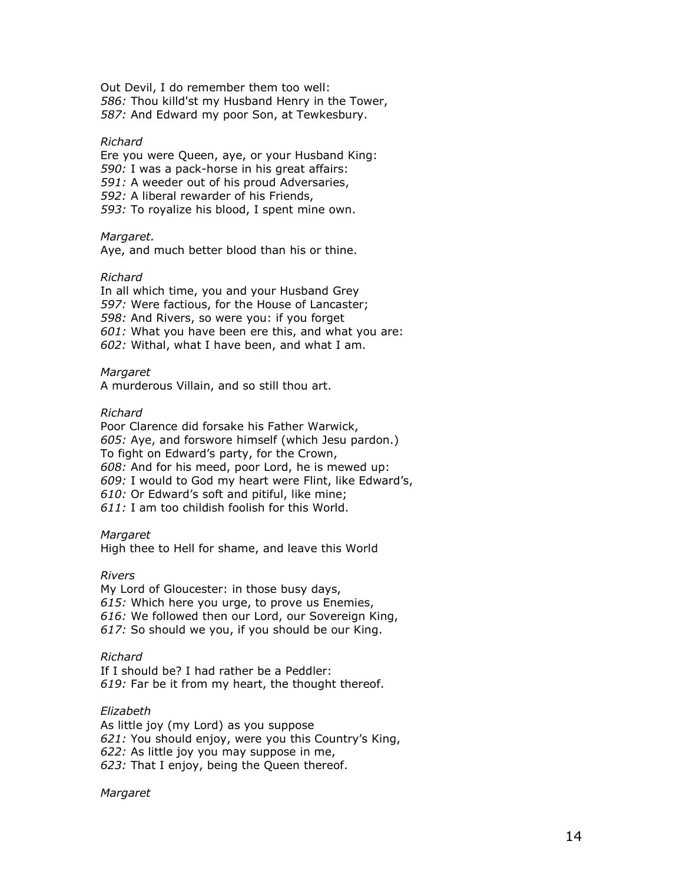Out Devil, I do remember them too well: 586: Thou killd'st my Husband Henry in the Tower, 587: And Edward my poor Son, at Tewkesbury.

#### Richard

Ere you were Queen, aye, or your Husband King: 590: I was a pack-horse in his great affairs: 591: A weeder out of his proud Adversaries, 592: A liberal rewarder of his Friends, 593: To royalize his blood, I spent mine own.

#### Margaret.

Aye, and much better blood than his or thine.

#### Richard

In all which time, you and your Husband Grey 597: Were factious, for the House of Lancaster; 598: And Rivers, so were you: if you forget 601: What you have been ere this, and what you are: 602: Withal, what I have been, and what I am.

#### Margaret

A murderous Villain, and so still thou art.

#### Richard

Poor Clarence did forsake his Father Warwick, 605: Aye, and forswore himself (which Jesu pardon.) To fight on Edward's party, for the Crown, 608: And for his meed, poor Lord, he is mewed up: 609: I would to God my heart were Flint, like Edward's, 610: Or Edward's soft and pitiful, like mine; 611: I am too childish foolish for this World.

## Margaret

High thee to Hell for shame, and leave this World

#### Rivers

My Lord of Gloucester: in those busy days, 615: Which here you urge, to prove us Enemies, 616: We followed then our Lord, our Sovereign King, 617: So should we you, if you should be our King.

#### Richard

If I should be? I had rather be a Peddler: 619: Far be it from my heart, the thought thereof.

## Elizabeth

As little joy (my Lord) as you suppose 621: You should enjoy, were you this Country's King, 622: As little joy you may suppose in me, 623: That I enjoy, being the Queen thereof.

#### Margaret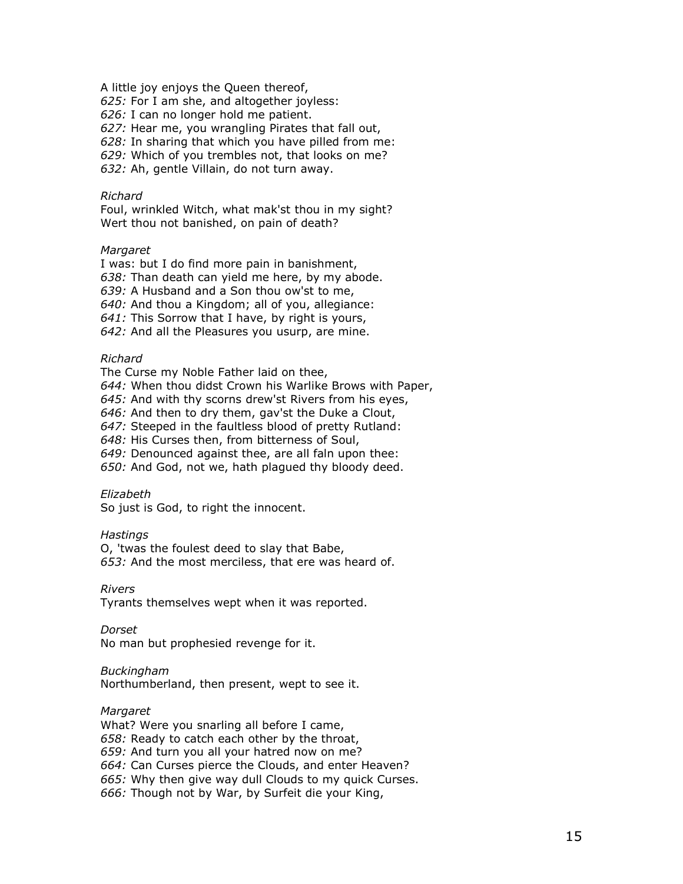A little joy enjoys the Queen thereof,

625: For I am she, and altogether joyless:

626: I can no longer hold me patient.

627: Hear me, you wrangling Pirates that fall out,

628: In sharing that which you have pilled from me:

629: Which of you trembles not, that looks on me?

632: Ah, gentle Villain, do not turn away.

## Richard

Foul, wrinkled Witch, what mak'st thou in my sight? Wert thou not banished, on pain of death?

#### **Margaret**

I was: but I do find more pain in banishment, 638: Than death can yield me here, by my abode. 639: A Husband and a Son thou ow'st to me, 640: And thou a Kingdom; all of you, allegiance: 641: This Sorrow that I have, by right is yours, 642: And all the Pleasures you usurp, are mine.

## Richard

The Curse my Noble Father laid on thee,

644: When thou didst Crown his Warlike Brows with Paper,

645: And with thy scorns drew'st Rivers from his eyes,

646: And then to dry them, gav'st the Duke a Clout,

647: Steeped in the faultless blood of pretty Rutland:

648: His Curses then, from bitterness of Soul,

649: Denounced against thee, are all faln upon thee:

650: And God, not we, hath plagued thy bloody deed.

#### Elizabeth

So just is God, to right the innocent.

#### **Hastings**

O, 'twas the foulest deed to slay that Babe, 653: And the most merciless, that ere was heard of.

#### Rivers

Tyrants themselves wept when it was reported.

#### Dorset

No man but prophesied revenge for it.

#### Buckingham

Northumberland, then present, wept to see it.

## Margaret

What? Were you snarling all before I came, 658: Ready to catch each other by the throat, 659: And turn you all your hatred now on me? 664: Can Curses pierce the Clouds, and enter Heaven? 665: Why then give way dull Clouds to my quick Curses.

666: Though not by War, by Surfeit die your King,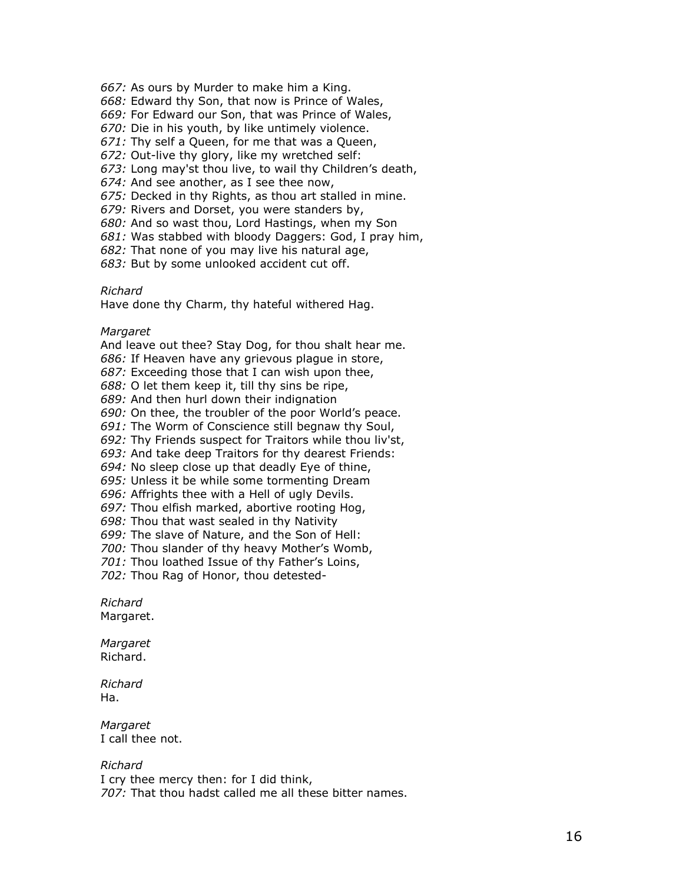667: As ours by Murder to make him a King.

668: Edward thy Son, that now is Prince of Wales,

669: For Edward our Son, that was Prince of Wales,

670: Die in his youth, by like untimely violence.

671: Thy self a Queen, for me that was a Queen,

672: Out-live thy glory, like my wretched self:

673: Long may'st thou live, to wail thy Children's death,

674: And see another, as I see thee now,

675: Decked in thy Rights, as thou art stalled in mine.

679: Rivers and Dorset, you were standers by,

680: And so wast thou, Lord Hastings, when my Son

681: Was stabbed with bloody Daggers: God, I pray him,

682: That none of you may live his natural age,

683: But by some unlooked accident cut off.

#### Richard

Have done thy Charm, thy hateful withered Hag.

#### Margaret

And leave out thee? Stay Dog, for thou shalt hear me. 686: If Heaven have any grievous plague in store, 687: Exceeding those that I can wish upon thee, 688: O let them keep it, till thy sins be ripe, 689: And then hurl down their indignation 690: On thee, the troubler of the poor World's peace. 691: The Worm of Conscience still begnaw thy Soul, 692: Thy Friends suspect for Traitors while thou liv'st, 693: And take deep Traitors for thy dearest Friends: 694: No sleep close up that deadly Eye of thine, 695: Unless it be while some tormenting Dream 696: Affrights thee with a Hell of ugly Devils. 697: Thou elfish marked, abortive rooting Hog, 698: Thou that wast sealed in thy Nativity 699: The slave of Nature, and the Son of Hell: 700: Thou slander of thy heavy Mother's Womb, 701: Thou loathed Issue of thy Father's Loins, 702: Thou Rag of Honor, thou detested-

Richard Margaret.

Margaret Richard.

Richard Ha.

**Margaret** I call thee not.

# Richard

I cry thee mercy then: for I did think, 707: That thou hadst called me all these bitter names.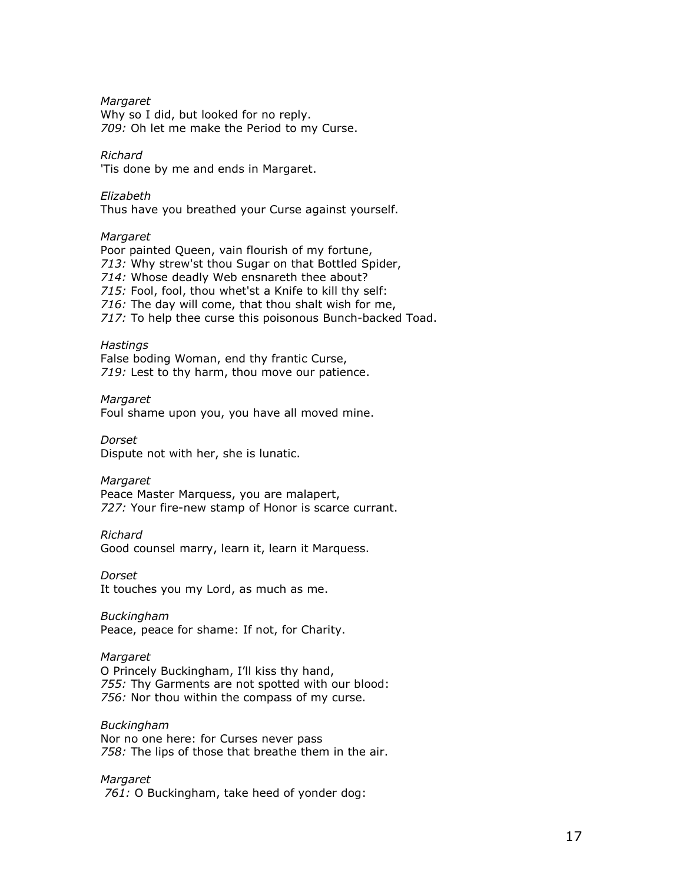Margaret

Why so I did, but looked for no reply. 709: Oh let me make the Period to my Curse.

Richard

'Tis done by me and ends in Margaret.

Elizabeth Thus have you breathed your Curse against yourself.

## Margaret

Poor painted Queen, vain flourish of my fortune, 713: Why strew'st thou Sugar on that Bottled Spider, 714: Whose deadly Web ensnareth thee about? 715: Fool, fool, thou whet'st a Knife to kill thy self: 716: The day will come, that thou shalt wish for me, 717: To help thee curse this poisonous Bunch-backed Toad.

#### **Hastings**

False boding Woman, end thy frantic Curse, 719: Lest to thy harm, thou move our patience.

Margaret

Foul shame upon you, you have all moved mine.

Dorset

Dispute not with her, she is lunatic.

**Margaret** 

Peace Master Marquess, you are malapert, 727: Your fire-new stamp of Honor is scarce currant.

Richard

Good counsel marry, learn it, learn it Marquess.

Dorset

It touches you my Lord, as much as me.

Buckingham Peace, peace for shame: If not, for Charity.

#### Margaret

O Princely Buckingham, I'll kiss thy hand, 755: Thy Garments are not spotted with our blood: 756: Nor thou within the compass of my curse.

Buckingham Nor no one here: for Curses never pass 758: The lips of those that breathe them in the air.

Margaret

761: O Buckingham, take heed of yonder dog: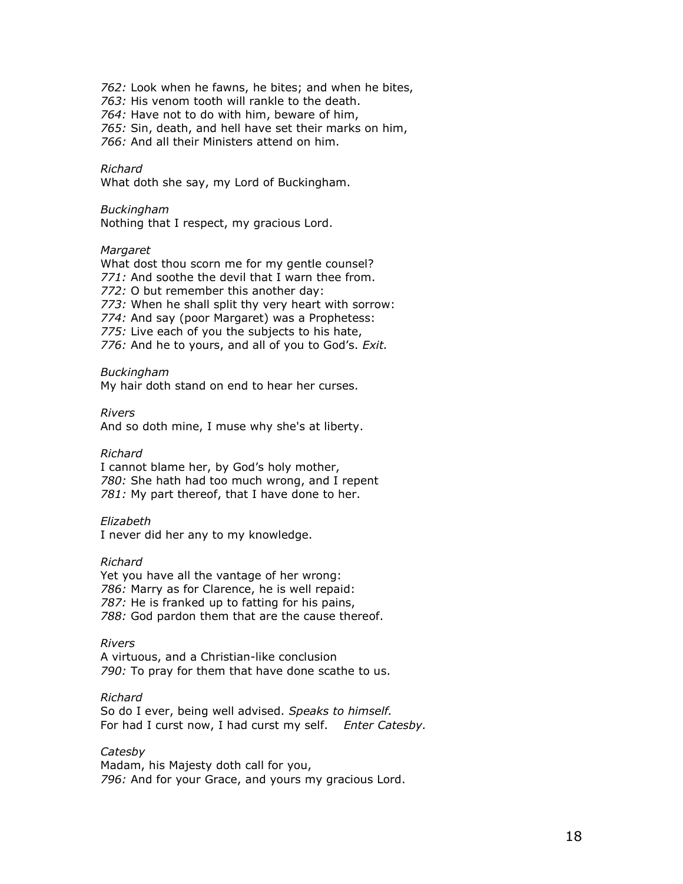762: Look when he fawns, he bites; and when he bites,

763: His venom tooth will rankle to the death.

764: Have not to do with him, beware of him,

765: Sin, death, and hell have set their marks on him,

766: And all their Ministers attend on him.

#### Richard

What doth she say, my Lord of Buckingham.

#### Buckingham

Nothing that I respect, my gracious Lord.

#### **Margaret**

What dost thou scorn me for my gentle counsel? 771: And soothe the devil that I warn thee from. 772: O but remember this another day: 773: When he shall split thy very heart with sorrow: 774: And say (poor Margaret) was a Prophetess: 775: Live each of you the subjects to his hate, 776: And he to yours, and all of you to God's. Exit.

#### Buckingham

My hair doth stand on end to hear her curses.

Rivers

And so doth mine, I muse why she's at liberty.

#### Richard

I cannot blame her, by God's holy mother, 780: She hath had too much wrong, and I repent 781: My part thereof, that I have done to her.

#### Elizabeth

I never did her any to my knowledge.

#### Richard

Yet you have all the vantage of her wrong: 786: Marry as for Clarence, he is well repaid: 787: He is franked up to fatting for his pains, 788: God pardon them that are the cause thereof.

#### Rivers

A virtuous, and a Christian-like conclusion 790: To pray for them that have done scathe to us.

#### Richard

So do I ever, being well advised. Speaks to himself. For had I curst now, I had curst my self. Enter Catesby.

#### Catesby

Madam, his Majesty doth call for you, 796: And for your Grace, and yours my gracious Lord.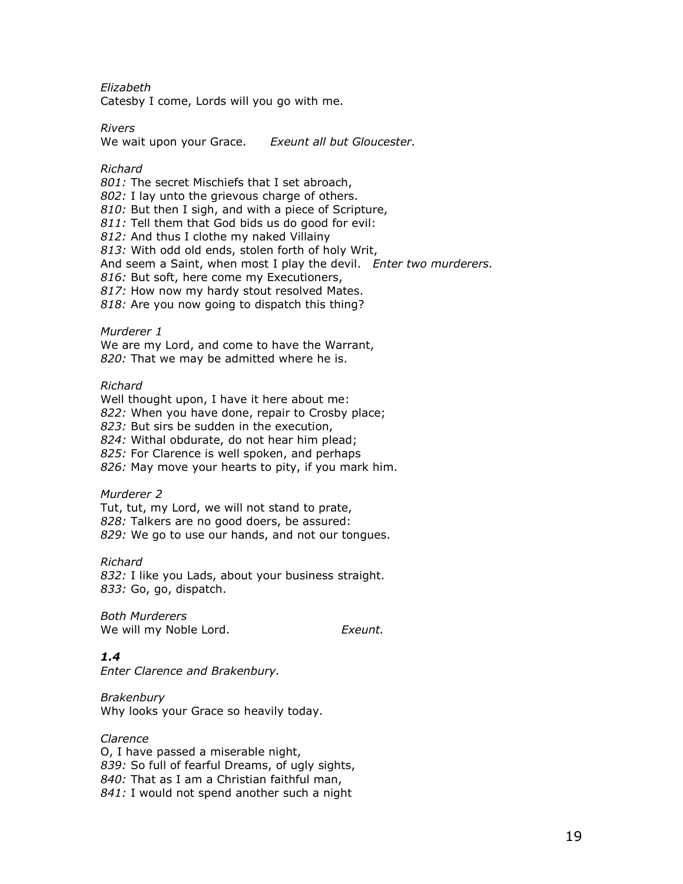Elizabeth

Catesby I come, Lords will you go with me.

Rivers

We wait upon your Grace. Exeunt all but Gloucester.

Richard

801: The secret Mischiefs that I set abroach, 802: I lay unto the grievous charge of others. 810: But then I sigh, and with a piece of Scripture, 811: Tell them that God bids us do good for evil: 812: And thus I clothe my naked Villainy 813: With odd old ends, stolen forth of holy Writ, And seem a Saint, when most I play the devil. Enter two murderers. 816: But soft, here come my Executioners, 817: How now my hardy stout resolved Mates. 818: Are you now going to dispatch this thing?

Murderer 1 We are my Lord, and come to have the Warrant, 820: That we may be admitted where he is.

Richard

Well thought upon, I have it here about me: 822: When you have done, repair to Crosby place; 823: But sirs be sudden in the execution, 824: Withal obdurate, do not hear him plead; 825: For Clarence is well spoken, and perhaps 826: May move your hearts to pity, if you mark him.

Murderer 2

Tut, tut, my Lord, we will not stand to prate, 828: Talkers are no good doers, be assured: 829: We go to use our hands, and not our tongues.

Richard 832: I like you Lads, about your business straight. 833: Go, go, dispatch.

Both Murderers We will my Noble Lord. The Section of the Exeunt.

## 1.4

Enter Clarence and Brakenbury.

Brakenbury Why looks your Grace so heavily today.

#### Clarence

O, I have passed a miserable night, 839: So full of fearful Dreams, of ugly sights, 840: That as I am a Christian faithful man, 841: I would not spend another such a night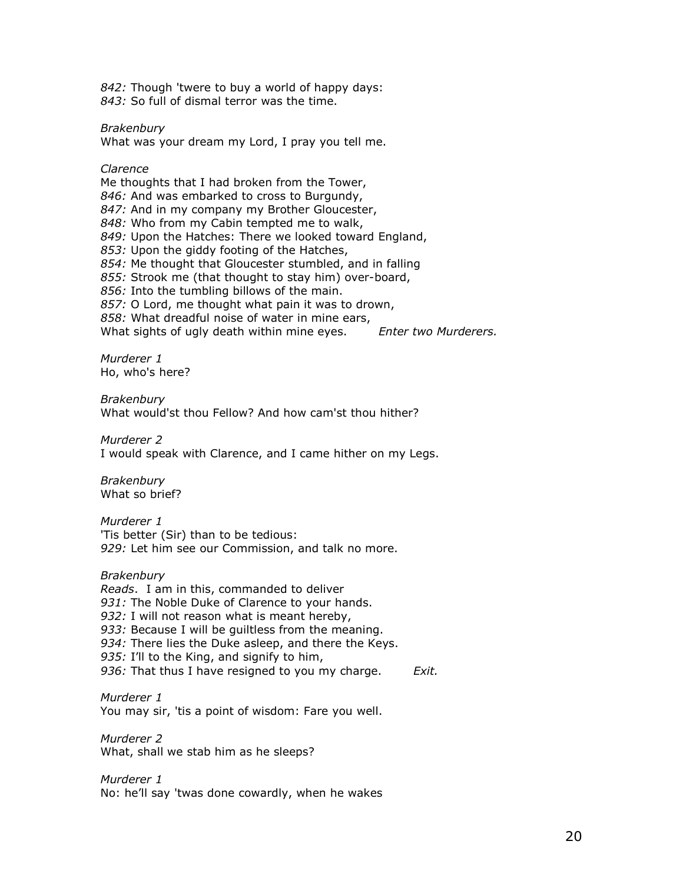842: Though 'twere to buy a world of happy days: 843: So full of dismal terror was the time.

Brakenbury

What was your dream my Lord, I pray you tell me.

Clarence Me thoughts that I had broken from the Tower, 846: And was embarked to cross to Burgundy, 847: And in my company my Brother Gloucester, 848: Who from my Cabin tempted me to walk, 849: Upon the Hatches: There we looked toward England, 853: Upon the giddy footing of the Hatches, 854: Me thought that Gloucester stumbled, and in falling 855: Strook me (that thought to stay him) over-board, 856: Into the tumbling billows of the main. 857: O Lord, me thought what pain it was to drown, 858: What dreadful noise of water in mine ears, What sights of ugly death within mine eyes. Enter two Murderers.

Murderer 1 Ho, who's here?

**Brakenbury** What would'st thou Fellow? And how cam'st thou hither?

Murderer 2 I would speak with Clarence, and I came hither on my Legs.

Brakenbury What so brief?

Murderer 1 'Tis better (Sir) than to be tedious: 929: Let him see our Commission, and talk no more.

Brakenbury

Reads. I am in this, commanded to deliver 931: The Noble Duke of Clarence to your hands. 932: I will not reason what is meant hereby, 933: Because I will be quiltless from the meaning. 934: There lies the Duke asleep, and there the Keys. 935: I'll to the King, and signify to him, 936: That thus I have resigned to you my charge. Exit.

Murderer 1 You may sir, 'tis a point of wisdom: Fare you well.

Murderer 2 What, shall we stab him as he sleeps?

Murderer 1 No: he'll say 'twas done cowardly, when he wakes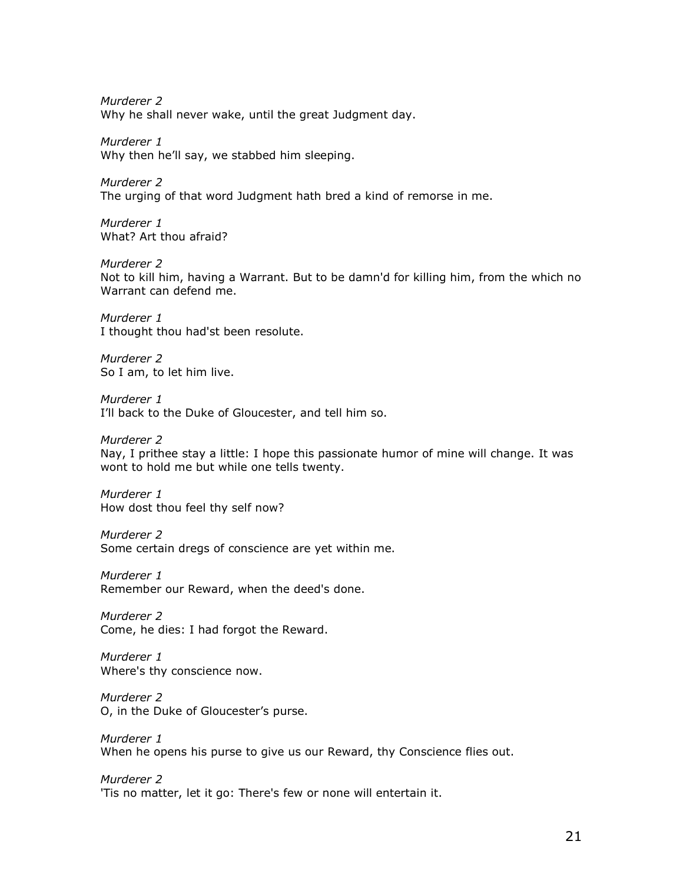Murderer 2 Why he shall never wake, until the great Judgment day.

Murderer 1 Why then he'll say, we stabbed him sleeping.

Murderer 2 The urging of that word Judgment hath bred a kind of remorse in me.

Murderer 1 What? Art thou afraid?

Murderer 2 Not to kill him, having a Warrant. But to be damn'd for killing him, from the which no Warrant can defend me.

Murderer 1 I thought thou had'st been resolute.

Murderer 2 So I am, to let him live.

Murderer 1 I'll back to the Duke of Gloucester, and tell him so.

Murderer 2

Nay, I prithee stay a little: I hope this passionate humor of mine will change. It was wont to hold me but while one tells twenty.

Murderer 1 How dost thou feel thy self now?

Murderer 2 Some certain dregs of conscience are yet within me.

Murderer 1 Remember our Reward, when the deed's done.

Murderer 2 Come, he dies: I had forgot the Reward.

Murderer 1 Where's thy conscience now.

Murderer 2 O, in the Duke of Gloucester's purse.

Murderer 1 When he opens his purse to give us our Reward, thy Conscience flies out.

Murderer 2 'Tis no matter, let it go: There's few or none will entertain it.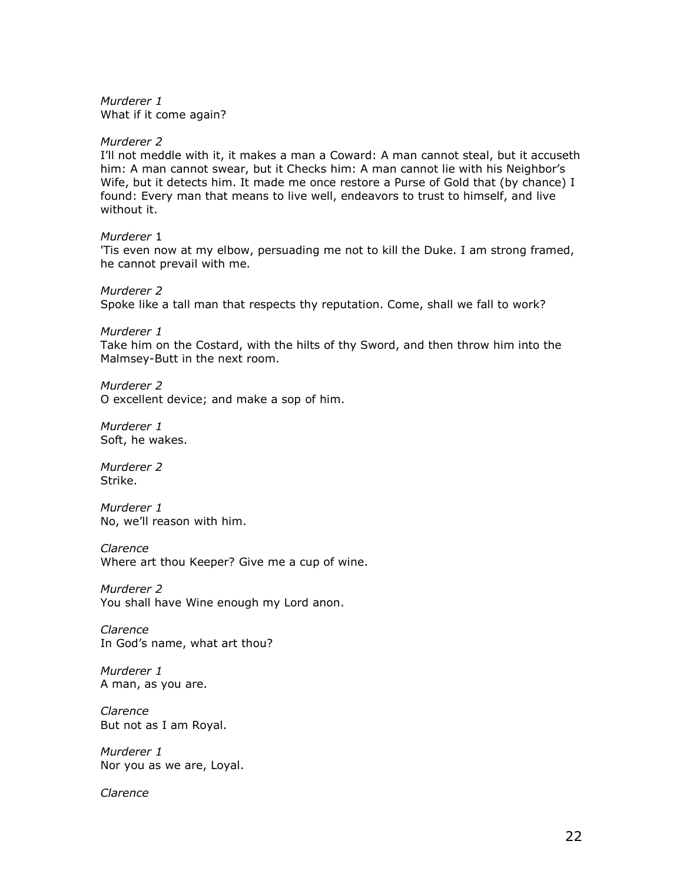Murderer 1 What if it come again?

### Murderer 2

I'll not meddle with it, it makes a man a Coward: A man cannot steal, but it accuseth him: A man cannot swear, but it Checks him: A man cannot lie with his Neighbor's Wife, but it detects him. It made me once restore a Purse of Gold that (by chance) I found: Every man that means to live well, endeavors to trust to himself, and live without it.

## Murderer 1

'Tis even now at my elbow, persuading me not to kill the Duke. I am strong framed, he cannot prevail with me.

Murderer 2

Spoke like a tall man that respects thy reputation. Come, shall we fall to work?

Murderer 1

Take him on the Costard, with the hilts of thy Sword, and then throw him into the Malmsey-Butt in the next room.

Murderer 2 O excellent device; and make a sop of him.

Murderer 1 Soft, he wakes.

Murderer 2 Strike.

Murderer 1 No, we'll reason with him.

Clarence

Where art thou Keeper? Give me a cup of wine.

Murderer 2 You shall have Wine enough my Lord anon.

Clarence In God's name, what art thou?

Murderer 1 A man, as you are.

Clarence But not as I am Royal.

Murderer 1 Nor you as we are, Loyal.

Clarence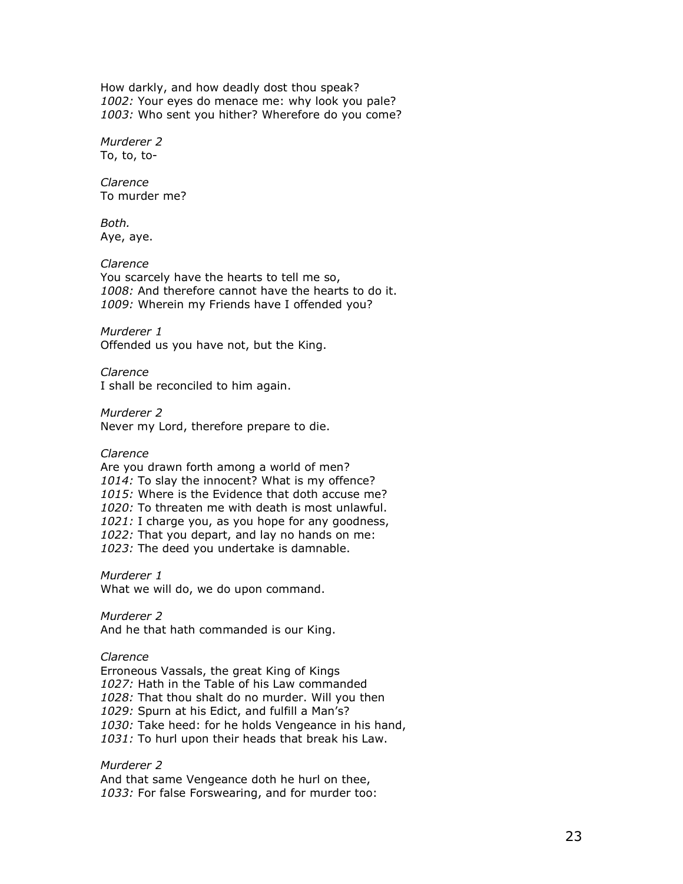How darkly, and how deadly dost thou speak? 1002: Your eyes do menace me: why look you pale? 1003: Who sent you hither? Wherefore do you come?

Murderer 2 To, to, to-

Clarence To murder me?

Both. Aye, aye.

Clarence You scarcely have the hearts to tell me so, 1008: And therefore cannot have the hearts to do it. 1009: Wherein my Friends have I offended you?

Murderer 1 Offended us you have not, but the King.

Clarence I shall be reconciled to him again.

Murderer 2 Never my Lord, therefore prepare to die.

Clarence

Are you drawn forth among a world of men? 1014: To slay the innocent? What is my offence? 1015: Where is the Evidence that doth accuse me? 1020: To threaten me with death is most unlawful. 1021: I charge you, as you hope for any goodness, 1022: That you depart, and lay no hands on me: 1023: The deed you undertake is damnable.

Murderer 1 What we will do, we do upon command.

Murderer 2 And he that hath commanded is our King.

Clarence

Erroneous Vassals, the great King of Kings 1027: Hath in the Table of his Law commanded 1028: That thou shalt do no murder. Will you then 1029: Spurn at his Edict, and fulfill a Man's? 1030: Take heed: for he holds Vengeance in his hand, 1031: To hurl upon their heads that break his Law.

Murderer 2 And that same Vengeance doth he hurl on thee, 1033: For false Forswearing, and for murder too: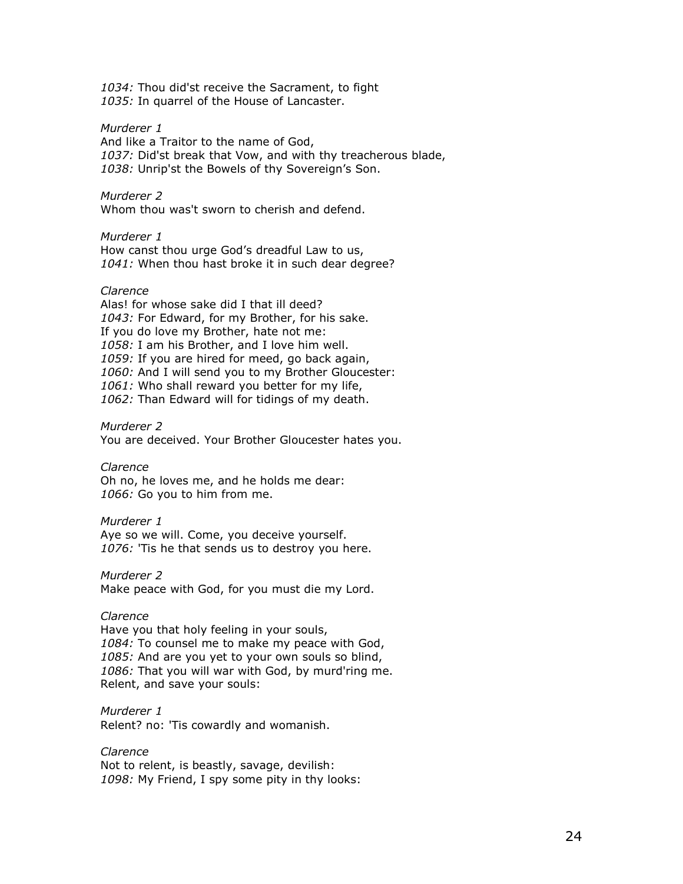1034: Thou did'st receive the Sacrament, to fight 1035: In quarrel of the House of Lancaster.

### Murderer 1

And like a Traitor to the name of God, 1037: Did'st break that Vow, and with thy treacherous blade, 1038: Unrip'st the Bowels of thy Sovereign's Son.

## Murderer 2

Whom thou was't sworn to cherish and defend.

#### Murderer 1

How canst thou urge God's dreadful Law to us, 1041: When thou hast broke it in such dear degree?

#### Clarence

Alas! for whose sake did I that ill deed? 1043: For Edward, for my Brother, for his sake. If you do love my Brother, hate not me: 1058: I am his Brother, and I love him well. 1059: If you are hired for meed, go back again, 1060: And I will send you to my Brother Gloucester: 1061: Who shall reward you better for my life, 1062: Than Edward will for tidings of my death.

Murderer 2 You are deceived. Your Brother Gloucester hates you.

Clarence Oh no, he loves me, and he holds me dear: 1066: Go you to him from me.

#### Murderer 1

Aye so we will. Come, you deceive yourself. 1076: 'Tis he that sends us to destroy you here.

Murderer 2

Make peace with God, for you must die my Lord.

#### Clarence

Have you that holy feeling in your souls, 1084: To counsel me to make my peace with God, 1085: And are you yet to your own souls so blind, 1086: That you will war with God, by murd'ring me. Relent, and save your souls:

Murderer 1 Relent? no: 'Tis cowardly and womanish.

Clarence Not to relent, is beastly, savage, devilish: 1098: My Friend, I spy some pity in thy looks: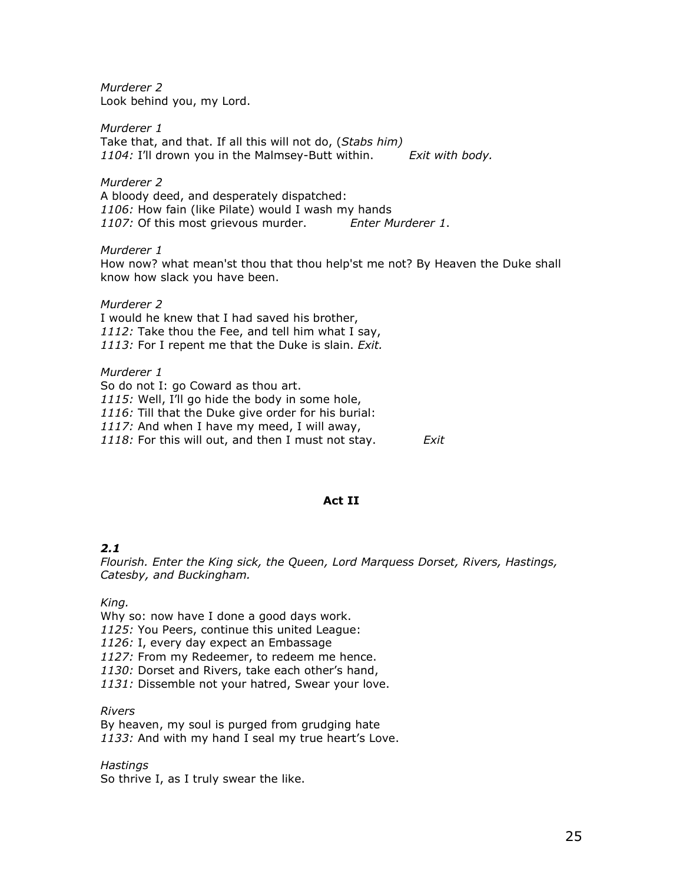Murderer 2 Look behind you, my Lord.

Murderer 1 Take that, and that. If all this will not do, (Stabs him)<br>1104: I'll drown you in the Malmsey-Butt within. Find Exit with body. 1104: I'll drown you in the Malmsey-Butt within.

Murderer 2 A bloody deed, and desperately dispatched: 1106: How fain (like Pilate) would I wash my hands 1107: Of this most grievous murder. Enter Murderer 1.

Murderer 1 How now? what mean'st thou that thou help'st me not? By Heaven the Duke shall know how slack you have been.

Murderer 2 I would he knew that I had saved his brother, 1112: Take thou the Fee, and tell him what I say, 1113: For I repent me that the Duke is slain. Exit.

Murderer 1 So do not I: go Coward as thou art. 1115: Well, I'll go hide the body in some hole, 1116: Till that the Duke give order for his burial: 1117: And when I have my meed, I will away, 1118: For this will out, and then I must not stay.  $Exit$ 

## Act II

## 2.1

Flourish. Enter the King sick, the Queen, Lord Marquess Dorset, Rivers, Hastings, Catesby, and Buckingham.

King.

Why so: now have I done a good days work.

1125: You Peers, continue this united League:

1126: I, every day expect an Embassage

1127: From my Redeemer, to redeem me hence.

1130: Dorset and Rivers, take each other's hand,

1131: Dissemble not your hatred, Swear your love.

Rivers

By heaven, my soul is purged from grudging hate 1133: And with my hand I seal my true heart's Love.

Hastings So thrive I, as I truly swear the like.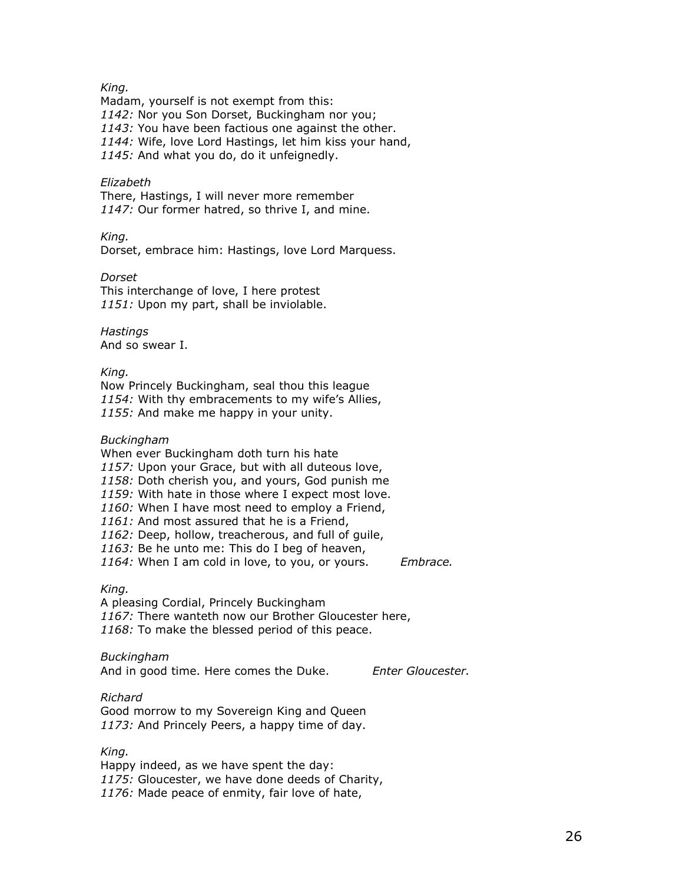## King.

Madam, yourself is not exempt from this: 1142: Nor you Son Dorset, Buckingham nor you; 1143: You have been factious one against the other. 1144: Wife, love Lord Hastings, let him kiss your hand, 1145: And what you do, do it unfeignedly.

## Elizabeth

There, Hastings, I will never more remember 1147: Our former hatred, so thrive I, and mine.

King.

Dorset, embrace him: Hastings, love Lord Marquess.

Dorset This interchange of love, I here protest 1151: Upon my part, shall be inviolable.

**Hastings** And so swear I.

## King.

Now Princely Buckingham, seal thou this league 1154: With thy embracements to my wife's Allies, 1155: And make me happy in your unity.

### Buckingham

When ever Buckingham doth turn his hate 1157: Upon your Grace, but with all duteous love, 1158: Doth cherish you, and yours, God punish me 1159: With hate in those where I expect most love. 1160: When I have most need to employ a Friend, 1161: And most assured that he is a Friend, 1162: Deep, hollow, treacherous, and full of quile, 1163: Be he unto me: This do I beg of heaven, 1164: When I am cold in love, to you, or yours. Embrace.

## King.

A pleasing Cordial, Princely Buckingham 1167: There wanteth now our Brother Gloucester here. 1168: To make the blessed period of this peace.

#### Buckingham

And in good time. Here comes the Duke. Enter Gloucester.

## Richard

Good morrow to my Sovereign King and Queen 1173: And Princely Peers, a happy time of day.

## King.

Happy indeed, as we have spent the day: 1175: Gloucester, we have done deeds of Charity, 1176: Made peace of enmity, fair love of hate,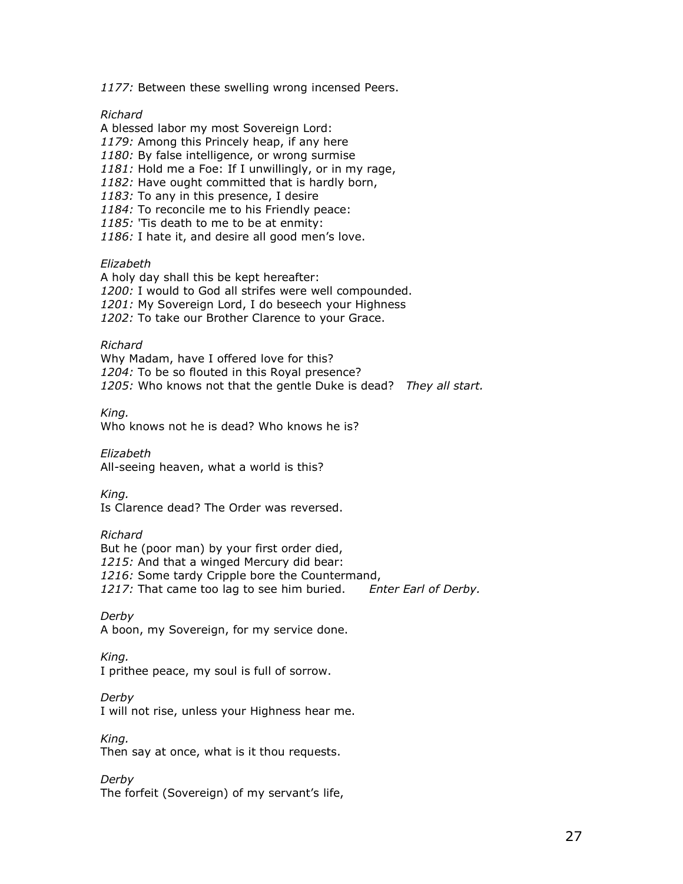1177: Between these swelling wrong incensed Peers.

Richard

A blessed labor my most Sovereign Lord: 1179: Among this Princely heap, if any here 1180: By false intelligence, or wrong surmise 1181: Hold me a Foe: If I unwillingly, or in my rage, 1182: Have ought committed that is hardly born, 1183: To any in this presence, I desire 1184: To reconcile me to his Friendly peace: 1185: 'Tis death to me to be at enmity: 1186: I hate it, and desire all good men's love.

Elizabeth

A holy day shall this be kept hereafter: 1200: I would to God all strifes were well compounded. 1201: My Sovereign Lord, I do beseech your Highness 1202: To take our Brother Clarence to your Grace.

Richard

Why Madam, have I offered love for this? 1204: To be so flouted in this Royal presence? 1205: Who knows not that the gentle Duke is dead? They all start.

King. Who knows not he is dead? Who knows he is?

Elizabeth All-seeing heaven, what a world is this?

King. Is Clarence dead? The Order was reversed.

Richard

But he (poor man) by your first order died, 1215: And that a winged Mercury did bear: 1216: Some tardy Cripple bore the Countermand, 1217: That came too lag to see him buried. Enter Earl of Derby.

Derby A boon, my Sovereign, for my service done.

King.

I prithee peace, my soul is full of sorrow.

Derby

I will not rise, unless your Highness hear me.

King. Then say at once, what is it thou requests.

Derby

The forfeit (Sovereign) of my servant's life,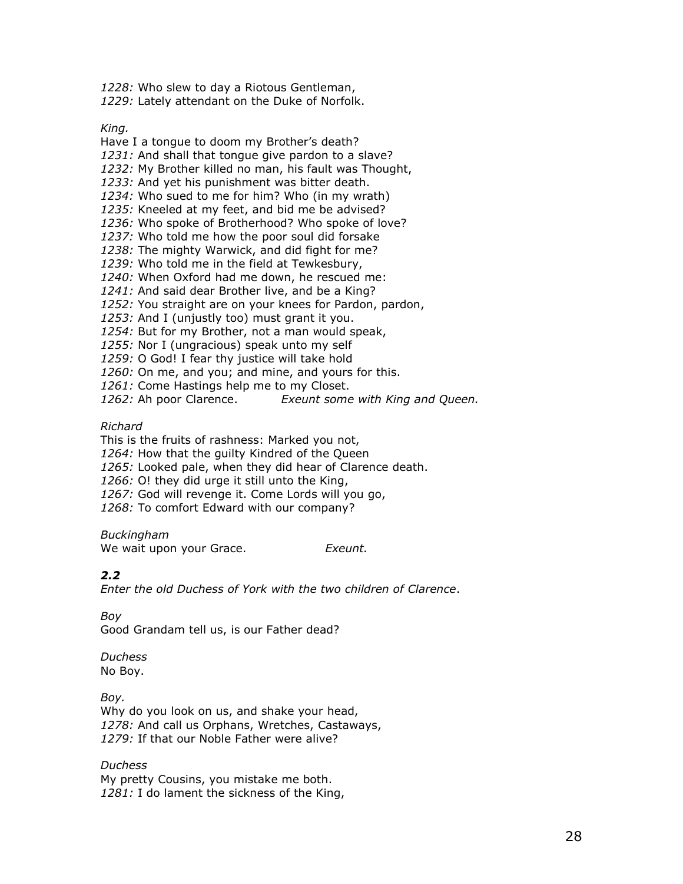1228: Who slew to day a Riotous Gentleman,

1229: Lately attendant on the Duke of Norfolk.

King.

Have I a tongue to doom my Brother's death? 1231: And shall that tongue give pardon to a slave? 1232: My Brother killed no man, his fault was Thought, 1233: And yet his punishment was bitter death. 1234: Who sued to me for him? Who (in my wrath) 1235: Kneeled at my feet, and bid me be advised? 1236: Who spoke of Brotherhood? Who spoke of love? 1237: Who told me how the poor soul did forsake 1238: The mighty Warwick, and did fight for me? 1239: Who told me in the field at Tewkesbury, 1240: When Oxford had me down, he rescued me: 1241: And said dear Brother live, and be a King? 1252: You straight are on your knees for Pardon, pardon, 1253: And I (unjustly too) must grant it you. 1254: But for my Brother, not a man would speak, 1255: Nor I (ungracious) speak unto my self 1259: O God! I fear thy justice will take hold 1260: On me, and you; and mine, and yours for this.

1261: Come Hastings help me to my Closet.

1262: Ah poor Clarence. Exeunt some with King and Queen.

Richard

This is the fruits of rashness: Marked you not,

1264: How that the quilty Kindred of the Queen

1265: Looked pale, when they did hear of Clarence death.

1266: O! they did urge it still unto the King,

1267: God will revenge it. Come Lords will you go,

1268: To comfort Edward with our company?

Buckingham

We wait upon your Grace. Exeunt.

## 2.2

Enter the old Duchess of York with the two children of Clarence.

## Boy

Good Grandam tell us, is our Father dead?

# **Duchess**

No Boy.

## Boy.

Why do you look on us, and shake your head, 1278: And call us Orphans, Wretches, Castaways, 1279: If that our Noble Father were alive?

## Duchess

My pretty Cousins, you mistake me both. 1281: I do lament the sickness of the King,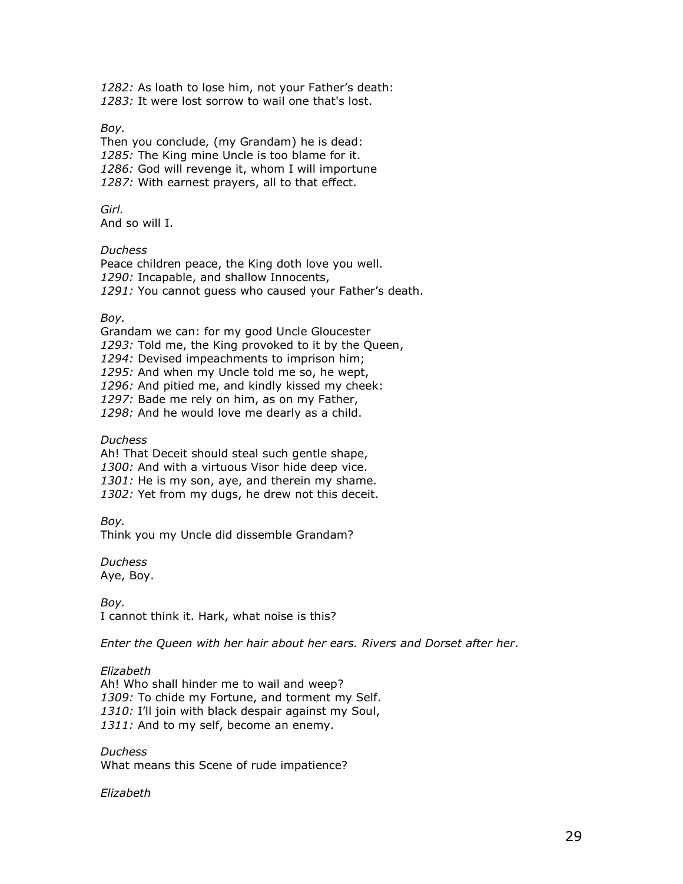1282: As loath to lose him, not your Father's death: 1283: It were lost sorrow to wail one that's lost.

## Boy.

Then you conclude, (my Grandam) he is dead: 1285: The King mine Uncle is too blame for it. 1286: God will revenge it, whom I will importune 1287: With earnest prayers, all to that effect.

Girl. And so will I.

#### Duchess

Peace children peace, the King doth love you well. 1290: Incapable, and shallow Innocents, 1291: You cannot quess who caused your Father's death.

#### Boy.

Grandam we can: for my good Uncle Gloucester 1293: Told me, the King provoked to it by the Queen, 1294: Devised impeachments to imprison him; 1295: And when my Uncle told me so, he wept, 1296: And pitied me, and kindly kissed my cheek: 1297: Bade me rely on him, as on my Father, 1298: And he would love me dearly as a child.

#### **Duchess**

Ah! That Deceit should steal such gentle shape, 1300: And with a virtuous Visor hide deep vice. 1301: He is my son, aye, and therein my shame. 1302: Yet from my dugs, he drew not this deceit.

Boy.

Think you my Uncle did dissemble Grandam?

Duchess Aye, Boy.

Boy. I cannot think it. Hark, what noise is this?

Enter the Queen with her hair about her ears. Rivers and Dorset after her.

#### Elizabeth

Ah! Who shall hinder me to wail and weep? 1309: To chide my Fortune, and torment my Self. 1310: I'll join with black despair against my Soul, 1311: And to my self, become an enemy.

## Duchess

What means this Scene of rude impatience?

#### Elizabeth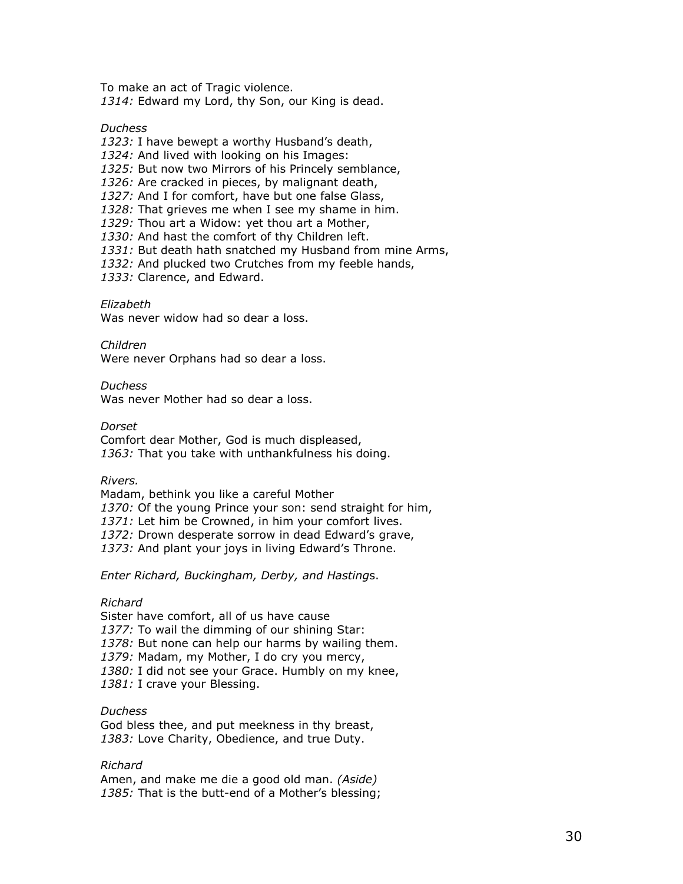To make an act of Tragic violence. 1314: Edward my Lord, thy Son, our King is dead.

**Duchess** 

1323: I have bewept a worthy Husband's death, 1324: And lived with looking on his Images: 1325: But now two Mirrors of his Princely semblance, 1326: Are cracked in pieces, by malignant death, 1327: And I for comfort, have but one false Glass, 1328: That grieves me when I see my shame in him. 1329: Thou art a Widow: yet thou art a Mother, 1330: And hast the comfort of thy Children left. 1331: But death hath snatched my Husband from mine Arms, 1332: And plucked two Crutches from my feeble hands, 1333: Clarence, and Edward.

#### Elizabeth

Was never widow had so dear a loss.

Children

Were never Orphans had so dear a loss.

Duchess Was never Mother had so dear a loss.

**Dorset** Comfort dear Mother, God is much displeased, 1363: That you take with unthankfulness his doing.

Rivers.

Madam, bethink you like a careful Mother 1370: Of the young Prince your son: send straight for him, 1371: Let him be Crowned, in him your comfort lives. 1372: Drown desperate sorrow in dead Edward's grave, 1373: And plant your joys in living Edward's Throne.

Enter Richard, Buckingham, Derby, and Hastings.

#### Richard

Sister have comfort, all of us have cause 1377: To wail the dimming of our shining Star: 1378: But none can help our harms by wailing them. 1379: Madam, my Mother, I do cry you mercy, 1380: I did not see your Grace. Humbly on my knee, 1381: I crave your Blessing.

## **Duchess**

God bless thee, and put meekness in thy breast, 1383: Love Charity, Obedience, and true Duty.

## Richard

Amen, and make me die a good old man. (Aside) 1385: That is the butt-end of a Mother's blessing;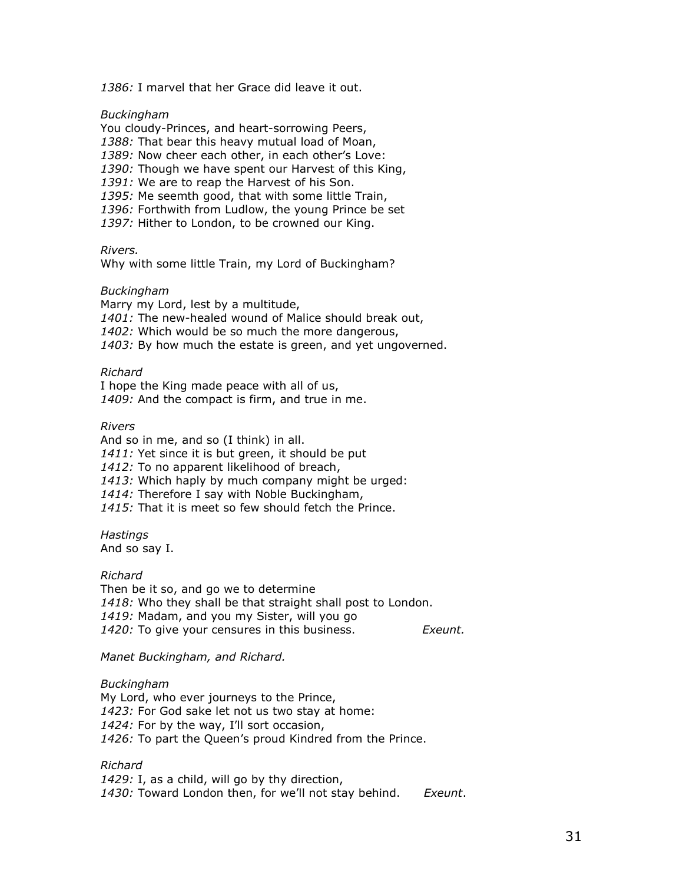1386: I marvel that her Grace did leave it out.

Buckingham

You cloudy-Princes, and heart-sorrowing Peers, 1388: That bear this heavy mutual load of Moan, 1389: Now cheer each other, in each other's Love: 1390: Though we have spent our Harvest of this King, 1391: We are to reap the Harvest of his Son. 1395: Me seemth good, that with some little Train, 1396: Forthwith from Ludlow, the young Prince be set 1397: Hither to London, to be crowned our King.

Rivers.

Why with some little Train, my Lord of Buckingham?

#### Buckingham

Marry my Lord, lest by a multitude,

1401: The new-healed wound of Malice should break out,

1402: Which would be so much the more dangerous,

1403: By how much the estate is green, and yet ungoverned.

#### Richard

I hope the King made peace with all of us, 1409: And the compact is firm, and true in me.

#### Rivers

And so in me, and so (I think) in all. 1411: Yet since it is but green, it should be put 1412: To no apparent likelihood of breach, 1413: Which haply by much company might be urged: 1414: Therefore I say with Noble Buckingham, 1415: That it is meet so few should fetch the Prince.

**Hastings** And so say I.

Richard

Then be it so, and go we to determine 1418: Who they shall be that straight shall post to London. 1419: Madam, and you my Sister, will you go 1420: To give your censures in this business. Exeunt.

Manet Buckingham, and Richard.

Buckingham

My Lord, who ever journeys to the Prince, 1423: For God sake let not us two stay at home: 1424: For by the way, I'll sort occasion, 1426: To part the Queen's proud Kindred from the Prince.

#### Richard

1429: I, as a child, will go by thy direction, 1430: Toward London then, for we'll not stay behind. Exeunt.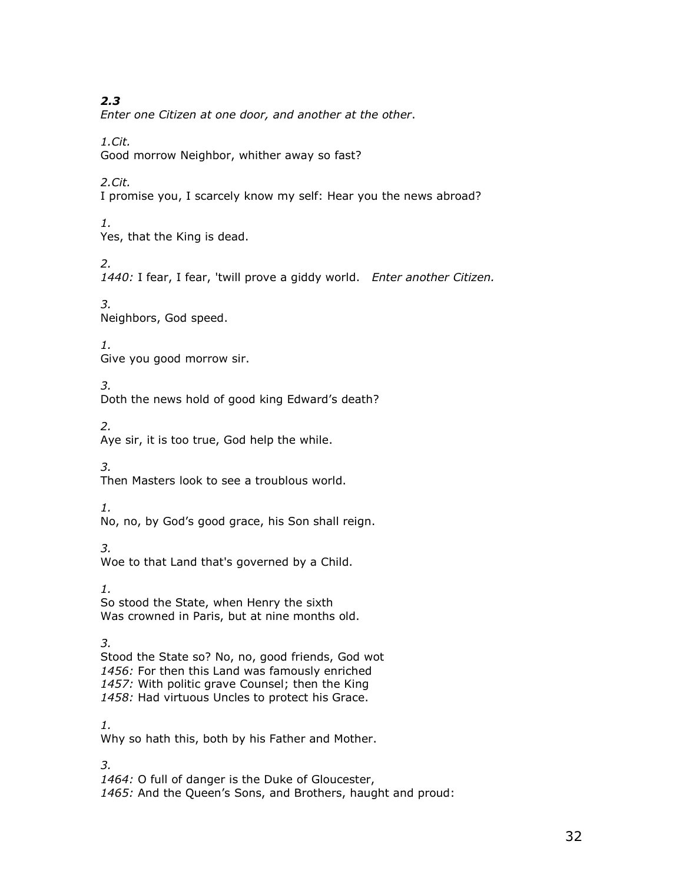2.3

Enter one Citizen at one door, and another at the other.

1.Cit. Good morrow Neighbor, whither away so fast?

2.Cit.

I promise you, I scarcely know my self: Hear you the news abroad?

1. Yes, that the King is dead.

2.

1440: I fear, I fear, 'twill prove a giddy world. Enter another Citizen.

3. Neighbors, God speed.

1. Give you good morrow sir.

3. Doth the news hold of good king Edward's death?

2. Aye sir, it is too true, God help the while.

3.

Then Masters look to see a troublous world.

1.

No, no, by God's good grace, his Son shall reign.

3.

Woe to that Land that's governed by a Child.

1. So stood the State, when Henry the sixth Was crowned in Paris, but at nine months old.

3.

Stood the State so? No, no, good friends, God wot 1456: For then this Land was famously enriched 1457: With politic grave Counsel; then the King 1458: Had virtuous Uncles to protect his Grace.

1. Why so hath this, both by his Father and Mother.

3.

1464: O full of danger is the Duke of Gloucester, 1465: And the Queen's Sons, and Brothers, haught and proud: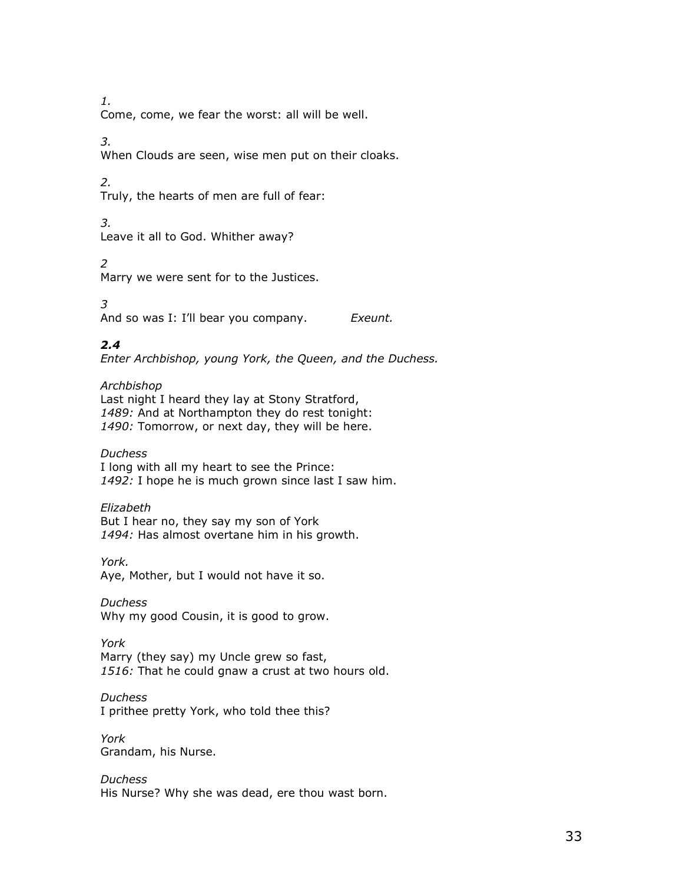1.

Come, come, we fear the worst: all will be well.

3.

When Clouds are seen, wise men put on their cloaks.

2.

Truly, the hearts of men are full of fear:

3.

Leave it all to God. Whither away?

2

Marry we were sent for to the Justices.

3 And so was I: I'll bear you company. Exeunt.

# 2.4

Enter Archbishop, young York, the Queen, and the Duchess.

Archbishop Last night I heard they lay at Stony Stratford, 1489: And at Northampton they do rest tonight: 1490: Tomorrow, or next day, they will be here.

## **Duchess**

I long with all my heart to see the Prince: 1492: I hope he is much grown since last I saw him.

## Elizabeth

But I hear no, they say my son of York 1494: Has almost overtane him in his growth.

York.

Aye, Mother, but I would not have it so.

**Duchess** 

Why my good Cousin, it is good to grow.

York

Marry (they say) my Uncle grew so fast, 1516: That he could gnaw a crust at two hours old.

**Duchess** 

I prithee pretty York, who told thee this?

York Grandam, his Nurse.

Duchess His Nurse? Why she was dead, ere thou wast born.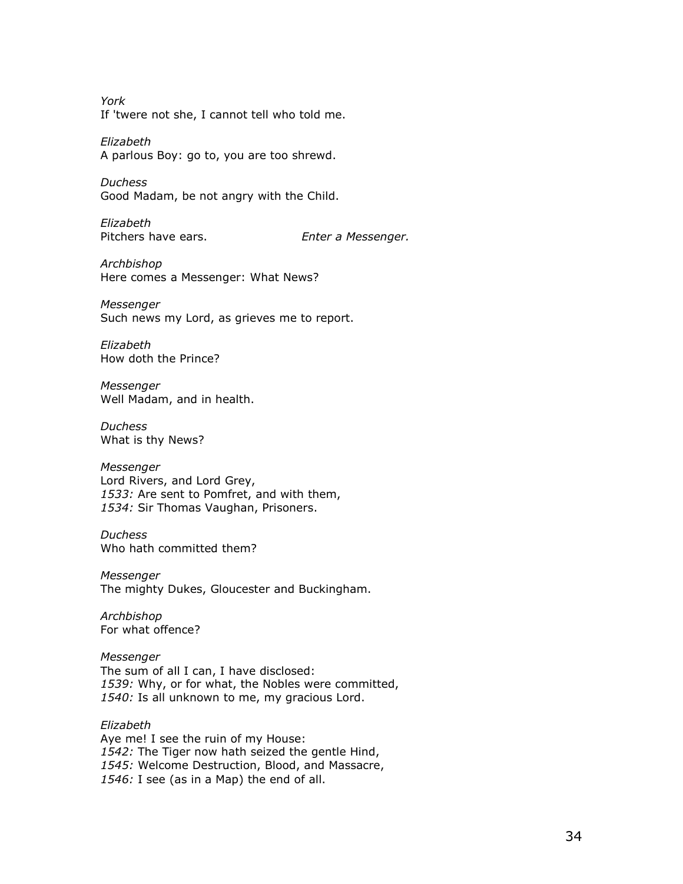York If 'twere not she, I cannot tell who told me.

Elizabeth A parlous Boy: go to, you are too shrewd.

**Duchess** Good Madam, be not angry with the Child.

Elizabeth Pitchers have ears. The Senter a Messenger.

Archbishop Here comes a Messenger: What News?

Messenger Such news my Lord, as grieves me to report.

Elizabeth How doth the Prince?

Messenger Well Madam, and in health.

Duchess What is thy News?

Messenger Lord Rivers, and Lord Grey, 1533: Are sent to Pomfret, and with them, 1534: Sir Thomas Vaughan, Prisoners.

Duchess Who hath committed them?

Messenger The mighty Dukes, Gloucester and Buckingham.

Archbishop For what offence?

Messenger The sum of all I can, I have disclosed: 1539: Why, or for what, the Nobles were committed, 1540: Is all unknown to me, my gracious Lord.

Elizabeth Aye me! I see the ruin of my House: 1542: The Tiger now hath seized the gentle Hind, 1545: Welcome Destruction, Blood, and Massacre, 1546: I see (as in a Map) the end of all.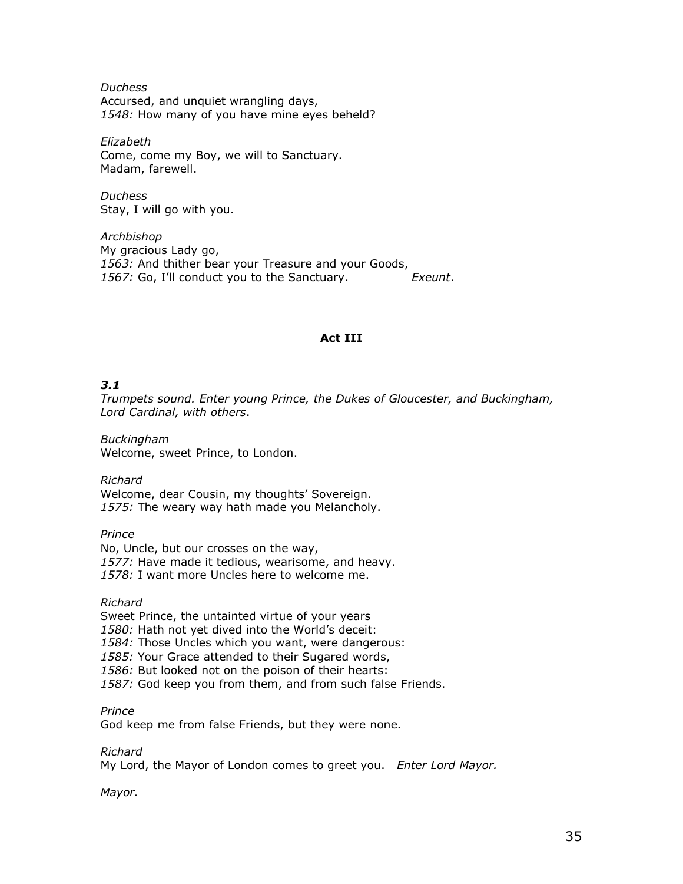**Duchess** Accursed, and unquiet wrangling days, 1548: How many of you have mine eyes beheld?

Elizabeth Come, come my Boy, we will to Sanctuary. Madam, farewell.

Duchess Stay, I will go with you.

Archbishop My gracious Lady go, 1563: And thither bear your Treasure and your Goods, 1567: Go, I'll conduct you to the Sanctuary. Exeunt.

## Act III

## 3.1

Trumpets sound. Enter young Prince, the Dukes of Gloucester, and Buckingham, Lord Cardinal, with others.

Buckingham Welcome, sweet Prince, to London.

Richard Welcome, dear Cousin, my thoughts' Sovereign. 1575: The weary way hath made you Melancholy.

Prince No, Uncle, but our crosses on the way, 1577: Have made it tedious, wearisome, and heavy. 1578: I want more Uncles here to welcome me.

Richard

Sweet Prince, the untainted virtue of your years 1580: Hath not yet dived into the World's deceit: 1584: Those Uncles which you want, were dangerous: 1585: Your Grace attended to their Sugared words, 1586: But looked not on the poison of their hearts: 1587: God keep you from them, and from such false Friends.

## Prince

God keep me from false Friends, but they were none.

## Richard

My Lord, the Mayor of London comes to greet you. Enter Lord Mayor.

Mayor.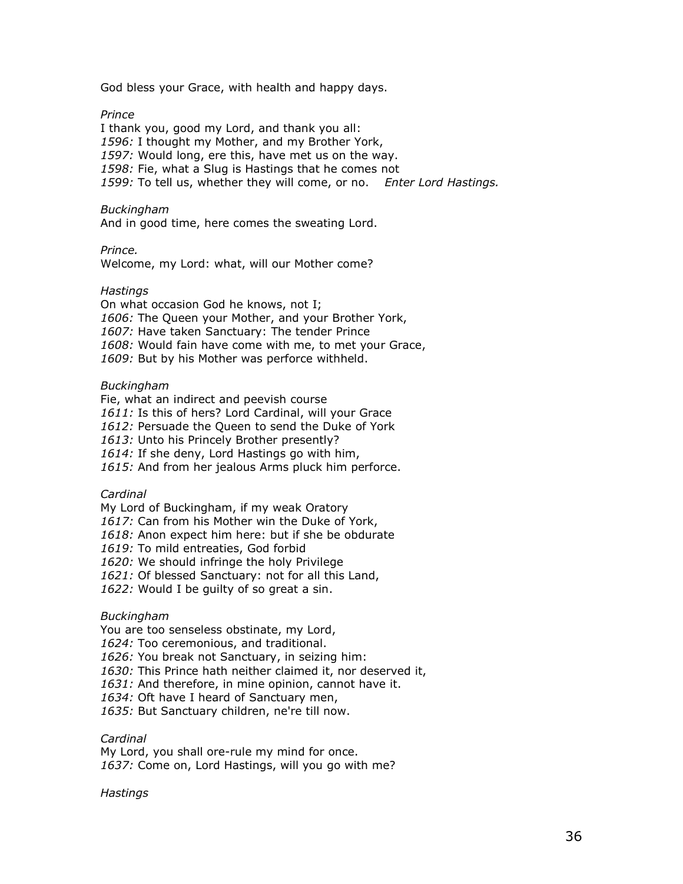God bless your Grace, with health and happy days.

Prince

I thank you, good my Lord, and thank you all: 1596: I thought my Mother, and my Brother York, 1597: Would long, ere this, have met us on the way. 1598: Fie, what a Slug is Hastings that he comes not 1599: To tell us, whether they will come, or no. Enter Lord Hastings.

Buckingham

And in good time, here comes the sweating Lord.

Prince.

Welcome, my Lord: what, will our Mother come?

#### Hastings

On what occasion God he knows, not I; 1606: The Queen your Mother, and your Brother York, 1607: Have taken Sanctuary: The tender Prince 1608: Would fain have come with me, to met your Grace, 1609: But by his Mother was perforce withheld.

## Buckingham

Fie, what an indirect and peevish course 1611: Is this of hers? Lord Cardinal, will your Grace 1612: Persuade the Queen to send the Duke of York 1613: Unto his Princely Brother presently? 1614: If she deny, Lord Hastings go with him, 1615: And from her jealous Arms pluck him perforce.

Cardinal

My Lord of Buckingham, if my weak Oratory

1617: Can from his Mother win the Duke of York,

1618: Anon expect him here: but if she be obdurate

1619: To mild entreaties, God forbid

1620: We should infringe the holy Privilege

1621: Of blessed Sanctuary: not for all this Land,

1622: Would I be quilty of so great a sin.

## Buckingham

You are too senseless obstinate, my Lord,

1624: Too ceremonious, and traditional.

1626: You break not Sanctuary, in seizing him:

1630: This Prince hath neither claimed it, nor deserved it,

1631: And therefore, in mine opinion, cannot have it.

1634: Oft have I heard of Sanctuary men,

1635: But Sanctuary children, ne're till now.

Cardinal

My Lord, you shall ore-rule my mind for once. 1637: Come on, Lord Hastings, will you go with me?

#### **Hastings**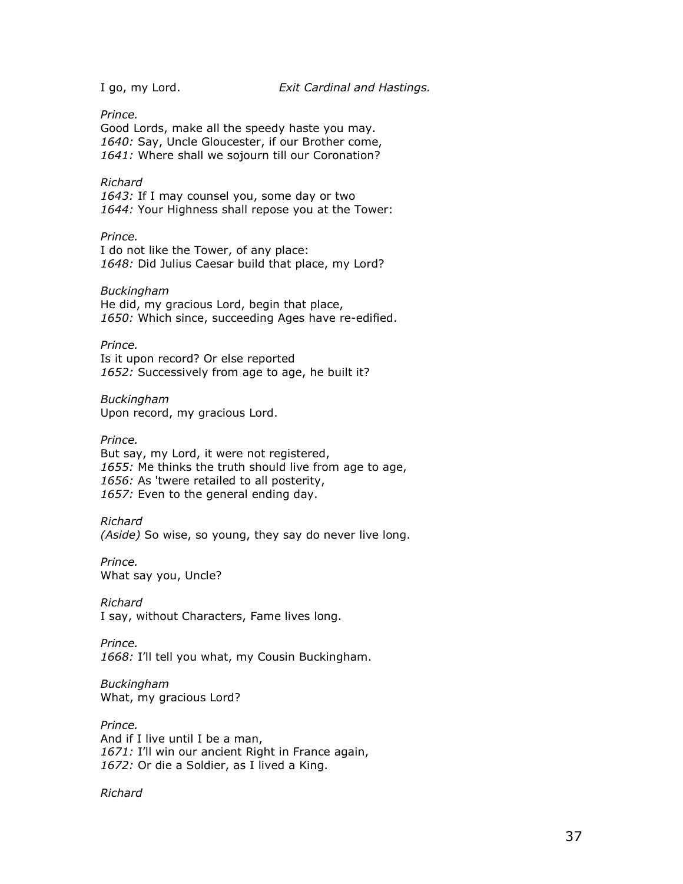Prince.

Good Lords, make all the speedy haste you may. 1640: Say, Uncle Gloucester, if our Brother come, 1641: Where shall we sojourn till our Coronation?

#### Richard

1643: If I may counsel you, some day or two 1644: Your Highness shall repose you at the Tower:

#### Prince.

I do not like the Tower, of any place: 1648: Did Julius Caesar build that place, my Lord?

#### Buckingham

He did, my gracious Lord, begin that place, 1650: Which since, succeeding Ages have re-edified.

#### Prince.

Is it upon record? Or else reported 1652: Successively from age to age, he built it?

Buckingham Upon record, my gracious Lord.

#### Prince.

But say, my Lord, it were not registered, 1655: Me thinks the truth should live from age to age, 1656: As 'twere retailed to all posterity, 1657: Even to the general ending day.

### Richard

(Aside) So wise, so young, they say do never live long.

Prince. What say you, Uncle?

Richard I say, without Characters, Fame lives long.

Prince. 1668: I'll tell you what, my Cousin Buckingham.

Buckingham What, my gracious Lord?

Prince. And if I live until I be a man, 1671: I'll win our ancient Right in France again, 1672: Or die a Soldier, as I lived a King.

#### Richard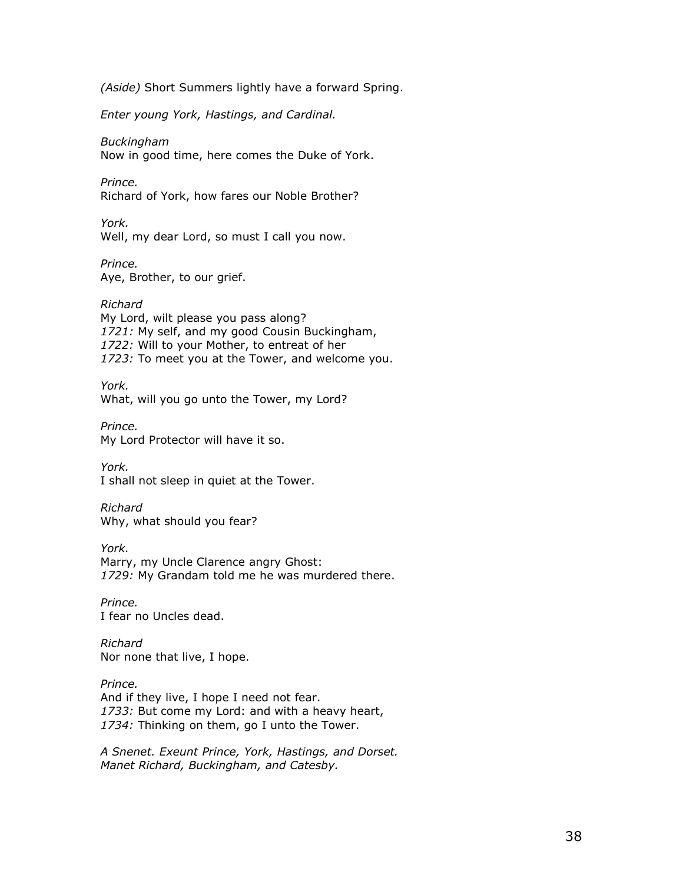(Aside) Short Summers lightly have a forward Spring.

Enter young York, Hastings, and Cardinal.

Buckingham Now in good time, here comes the Duke of York.

Prince. Richard of York, how fares our Noble Brother?

York. Well, my dear Lord, so must I call you now.

Prince. Aye, Brother, to our grief.

Richard My Lord, wilt please you pass along? 1721: My self, and my good Cousin Buckingham, 1722: Will to your Mother, to entreat of her 1723: To meet you at the Tower, and welcome you.

York. What, will you go unto the Tower, my Lord?

Prince. My Lord Protector will have it so.

York. I shall not sleep in quiet at the Tower.

Richard Why, what should you fear?

York. Marry, my Uncle Clarence angry Ghost: 1729: My Grandam told me he was murdered there.

Prince. I fear no Uncles dead.

Richard Nor none that live, I hope.

Prince. And if they live, I hope I need not fear. 1733: But come my Lord: and with a heavy heart, 1734: Thinking on them, go I unto the Tower.

A Snenet. Exeunt Prince, York, Hastings, and Dorset. Manet Richard, Buckingham, and Catesby.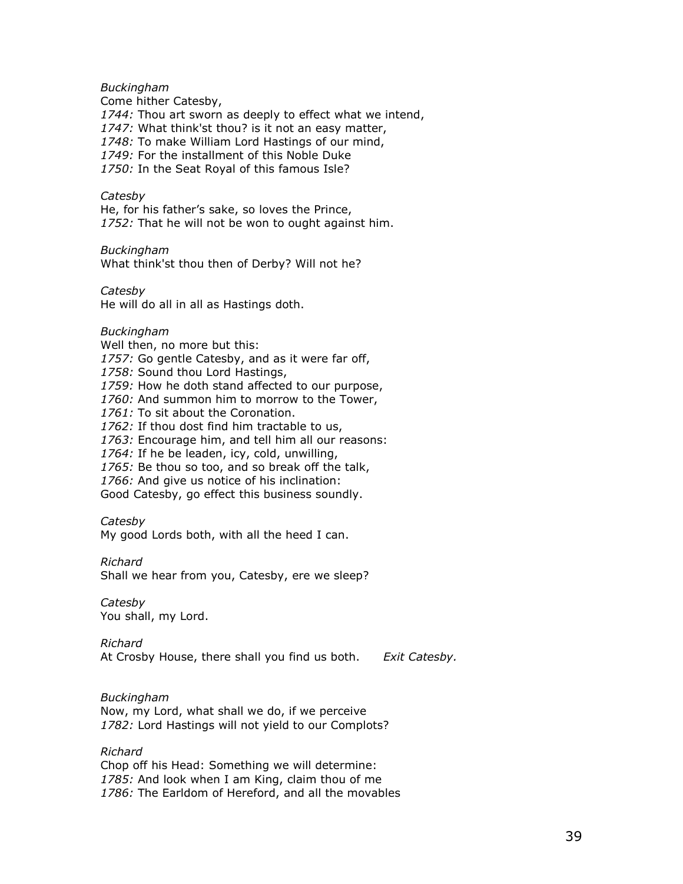Buckingham

Come hither Catesby, 1744: Thou art sworn as deeply to effect what we intend, 1747: What think'st thou? is it not an easy matter, 1748: To make William Lord Hastings of our mind, 1749: For the installment of this Noble Duke 1750: In the Seat Royal of this famous Isle?

### **Catesby**

He, for his father's sake, so loves the Prince, 1752: That he will not be won to ought against him.

#### Buckingham

What think'st thou then of Derby? Will not he?

#### Catesby

He will do all in all as Hastings doth.

### Buckingham

Well then, no more but this: 1757: Go gentle Catesby, and as it were far off, 1758: Sound thou Lord Hastings, 1759: How he doth stand affected to our purpose, 1760: And summon him to morrow to the Tower, 1761: To sit about the Coronation. 1762: If thou dost find him tractable to us, 1763: Encourage him, and tell him all our reasons:

1764: If he be leaden, icy, cold, unwilling,

1765: Be thou so too, and so break off the talk,

1766: And give us notice of his inclination:

Good Catesby, go effect this business soundly.

#### **Catesby**

My good Lords both, with all the heed I can.

#### Richard

Shall we hear from you, Catesby, ere we sleep?

**Catesby** You shall, my Lord.

Richard

At Crosby House, there shall you find us both. Exit Catesby.

### Buckingham

Now, my Lord, what shall we do, if we perceive 1782: Lord Hastings will not yield to our Complots?

### Richard

Chop off his Head: Something we will determine: 1785: And look when I am King, claim thou of me 1786: The Earldom of Hereford, and all the movables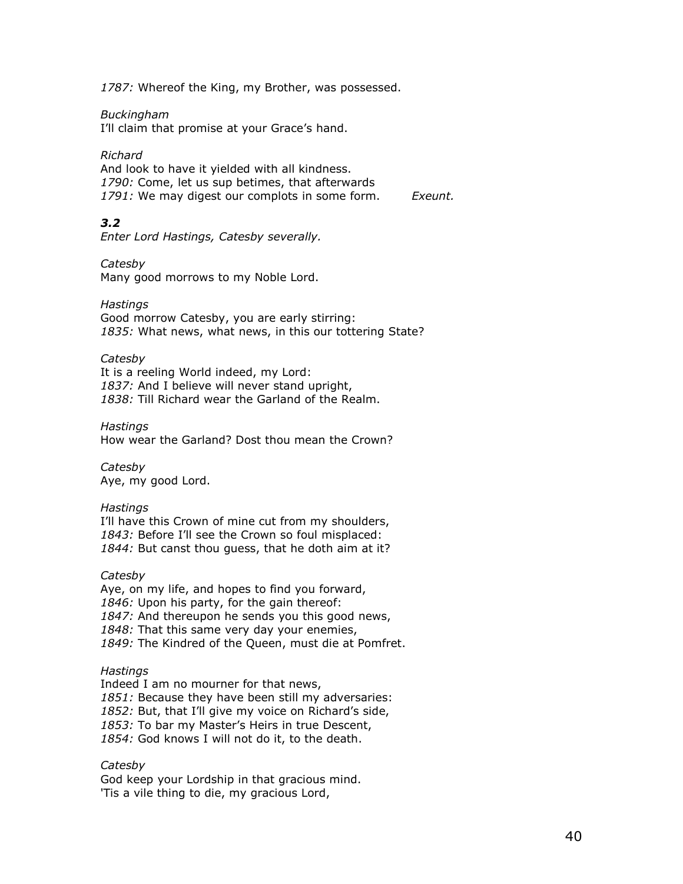1787: Whereof the King, my Brother, was possessed.

#### Buckingham

I'll claim that promise at your Grace's hand.

#### Richard

And look to have it yielded with all kindness. 1790: Come, let us sup betimes, that afterwards 1791: We may digest our complots in some form. Exeunt.

# 3.2

Enter Lord Hastings, Catesby severally.

#### **Catesby**

Many good morrows to my Noble Lord.

#### Hastings

Good morrow Catesby, you are early stirring: 1835: What news, what news, in this our tottering State?

#### Catesby

It is a reeling World indeed, my Lord: 1837: And I believe will never stand upright, 1838: Till Richard wear the Garland of the Realm.

#### **Hastings**

How wear the Garland? Dost thou mean the Crown?

**Catesby** Aye, my good Lord.

#### **Hastings**

I'll have this Crown of mine cut from my shoulders, 1843: Before I'll see the Crown so foul misplaced: 1844: But canst thou quess, that he doth aim at it?

### **Catesby**

Aye, on my life, and hopes to find you forward, 1846: Upon his party, for the gain thereof: 1847: And thereupon he sends you this good news, 1848: That this same very day your enemies, 1849: The Kindred of the Queen, must die at Pomfret.

#### Hastings

Indeed I am no mourner for that news, 1851: Because they have been still my adversaries: 1852: But, that I'll give my voice on Richard's side, 1853: To bar my Master's Heirs in true Descent, 1854: God knows I will not do it, to the death.

#### Catesby

God keep your Lordship in that gracious mind. 'Tis a vile thing to die, my gracious Lord,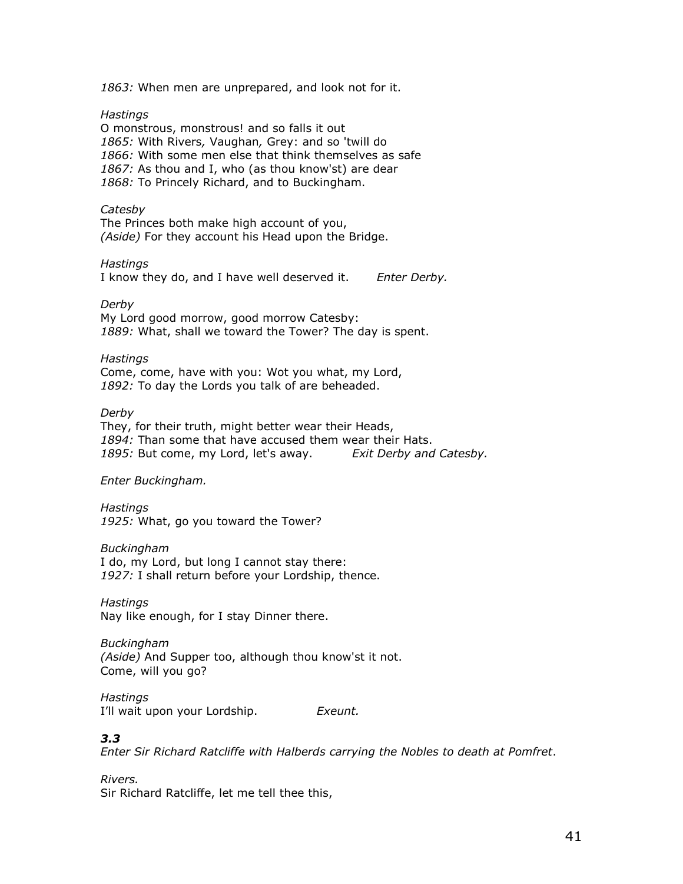1863: When men are unprepared, and look not for it.

Hastings

O monstrous, monstrous! and so falls it out 1865: With Rivers, Vaughan, Grey: and so 'twill do 1866: With some men else that think themselves as safe 1867: As thou and I, who (as thou know'st) are dear 1868: To Princely Richard, and to Buckingham.

#### Catesby

The Princes both make high account of you, (Aside) For they account his Head upon the Bridge.

#### **Hastings**

I know they do, and I have well deserved it. Enter Derby.

#### Derby

My Lord good morrow, good morrow Catesby: 1889: What, shall we toward the Tower? The day is spent.

#### **Hastings**

Come, come, have with you: Wot you what, my Lord, 1892: To day the Lords you talk of are beheaded.

#### Derby

They, for their truth, might better wear their Heads, 1894: Than some that have accused them wear their Hats. 1895: But come, my Lord, let's away. Exit Derby and Catesby.

### Enter Buckingham.

**Hastings** 1925: What, go you toward the Tower?

#### Buckingham

I do, my Lord, but long I cannot stay there: 1927: I shall return before your Lordship, thence.

**Hastings** Nay like enough, for I stay Dinner there.

Buckingham (Aside) And Supper too, although thou know'st it not. Come, will you go?

#### Hastings

I'll wait upon your Lordship. Exeunt.

# 3.3

Enter Sir Richard Ratcliffe with Halberds carrying the Nobles to death at Pomfret.

# Rivers.

Sir Richard Ratcliffe, let me tell thee this,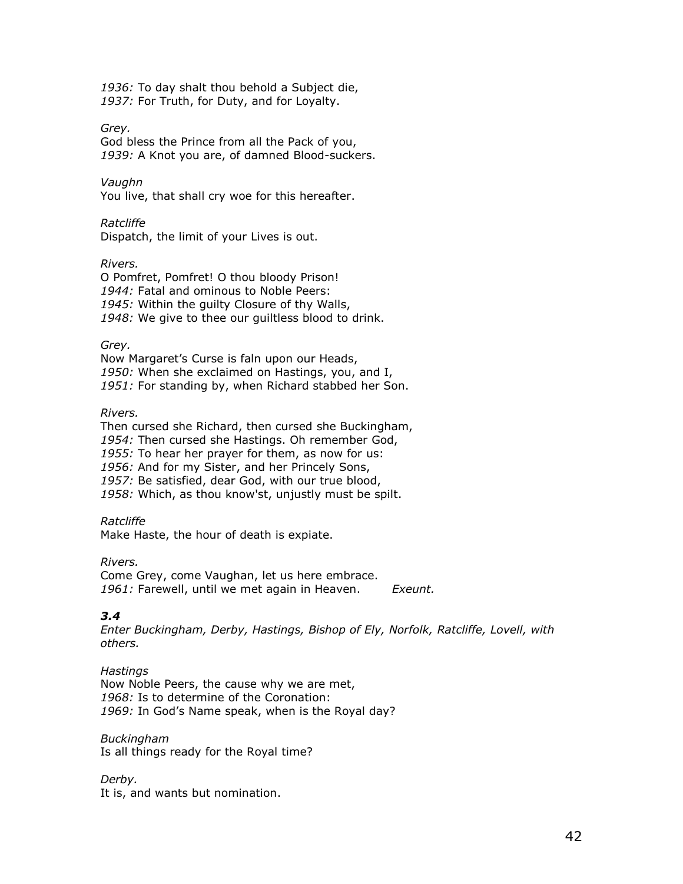1936: To day shalt thou behold a Subject die, 1937: For Truth, for Duty, and for Loyalty.

Grey.

God bless the Prince from all the Pack of you, 1939: A Knot you are, of damned Blood-suckers.

Vaughn

You live, that shall cry woe for this hereafter.

Ratcliffe

Dispatch, the limit of your Lives is out.

Rivers.

O Pomfret, Pomfret! O thou bloody Prison! 1944: Fatal and ominous to Noble Peers: 1945: Within the guilty Closure of thy Walls, 1948: We give to thee our guiltless blood to drink.

Grey.

Now Margaret's Curse is faln upon our Heads, 1950: When she exclaimed on Hastings, you, and I, 1951: For standing by, when Richard stabbed her Son.

Rivers.

Then cursed she Richard, then cursed she Buckingham, 1954: Then cursed she Hastings. Oh remember God, 1955: To hear her prayer for them, as now for us: 1956: And for my Sister, and her Princely Sons, 1957: Be satisfied, dear God, with our true blood, 1958: Which, as thou know'st, unjustly must be spilt.

Ratcliffe

Make Haste, the hour of death is expiate.

Rivers. Come Grey, come Vaughan, let us here embrace. 1961: Farewell, until we met again in Heaven. Exeunt.

# 3.4

Enter Buckingham, Derby, Hastings, Bishop of Ely, Norfolk, Ratcliffe, Lovell, with others.

**Hastings** Now Noble Peers, the cause why we are met, 1968: Is to determine of the Coronation: 1969: In God's Name speak, when is the Royal day?

Buckingham Is all things ready for the Royal time?

Derby. It is, and wants but nomination.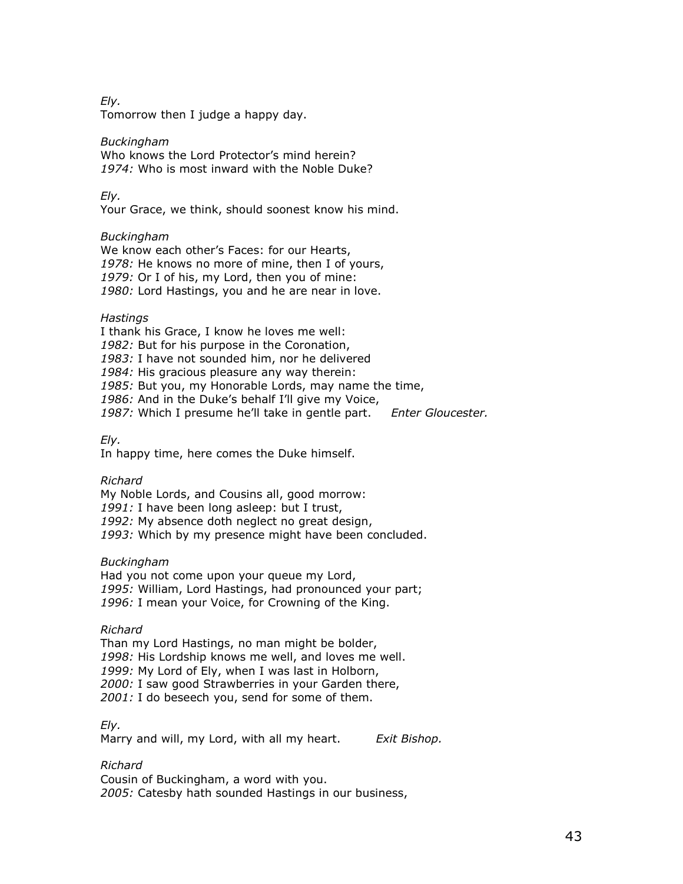Ely.

Tomorrow then I judge a happy day.

Buckingham Who knows the Lord Protector's mind herein?

1974: Who is most inward with the Noble Duke?

Ely.

Your Grace, we think, should soonest know his mind.

### Buckingham

We know each other's Faces: for our Hearts, 1978: He knows no more of mine, then I of yours, 1979: Or I of his, my Lord, then you of mine: 1980: Lord Hastings, you and he are near in love.

### Hastings

I thank his Grace, I know he loves me well: 1982: But for his purpose in the Coronation, 1983: I have not sounded him, nor he delivered 1984: His gracious pleasure any way therein: 1985: But you, my Honorable Lords, may name the time, 1986: And in the Duke's behalf I'll give my Voice, 1987: Which I presume he'll take in gentle part. Enter Gloucester.

Ely.

In happy time, here comes the Duke himself.

### Richard

My Noble Lords, and Cousins all, good morrow: 1991: I have been long asleep: but I trust, 1992: My absence doth neglect no great design, 1993: Which by my presence might have been concluded.

### Buckingham

Had you not come upon your queue my Lord, 1995: William, Lord Hastings, had pronounced your part; 1996: I mean your Voice, for Crowning of the King.

### Richard

Than my Lord Hastings, no man might be bolder, 1998: His Lordship knows me well, and loves me well. 1999: My Lord of Ely, when I was last in Holborn, 2000: I saw good Strawberries in your Garden there, 2001: I do beseech you, send for some of them.

### Ely.

Marry and will, my Lord, with all my heart. Exit Bishop.

### Richard

Cousin of Buckingham, a word with you. 2005: Catesby hath sounded Hastings in our business,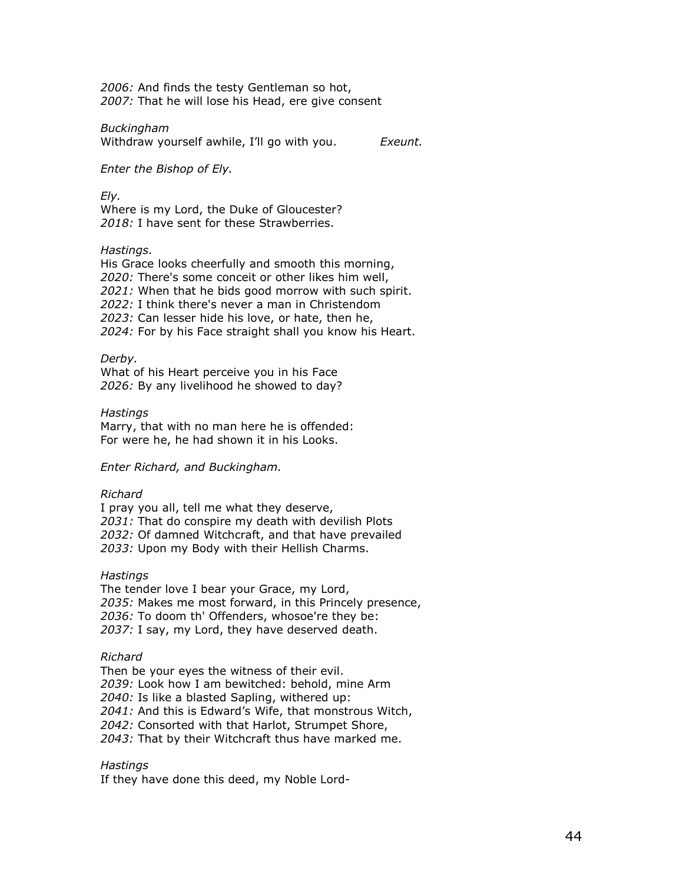2006: And finds the testy Gentleman so hot, 2007: That he will lose his Head, ere give consent

Buckingham

Withdraw yourself awhile, I'll go with you. Exeunt.

Enter the Bishop of Ely.

Ely.

Where is my Lord, the Duke of Gloucester? 2018: I have sent for these Strawberries.

#### Hastings.

His Grace looks cheerfully and smooth this morning, 2020: There's some conceit or other likes him well, 2021: When that he bids good morrow with such spirit. 2022: I think there's never a man in Christendom 2023: Can lesser hide his love, or hate, then he, 2024: For by his Face straight shall you know his Heart.

Derby.

What of his Heart perceive you in his Face 2026: By any livelihood he showed to day?

**Hastings** 

Marry, that with no man here he is offended: For were he, he had shown it in his Looks.

Enter Richard, and Buckingham.

#### Richard

I pray you all, tell me what they deserve, 2031: That do conspire my death with devilish Plots 2032: Of damned Witchcraft, and that have prevailed 2033: Upon my Body with their Hellish Charms.

**Hastings** 

The tender love I bear your Grace, my Lord, 2035: Makes me most forward, in this Princely presence, 2036: To doom th' Offenders, whosoe're they be: 2037: I say, my Lord, they have deserved death.

### Richard

Then be your eyes the witness of their evil. 2039: Look how I am bewitched: behold, mine Arm 2040: Is like a blasted Sapling, withered up: 2041: And this is Edward's Wife, that monstrous Witch, 2042: Consorted with that Harlot, Strumpet Shore, 2043: That by their Witchcraft thus have marked me.

### **Hastings**

If they have done this deed, my Noble Lord-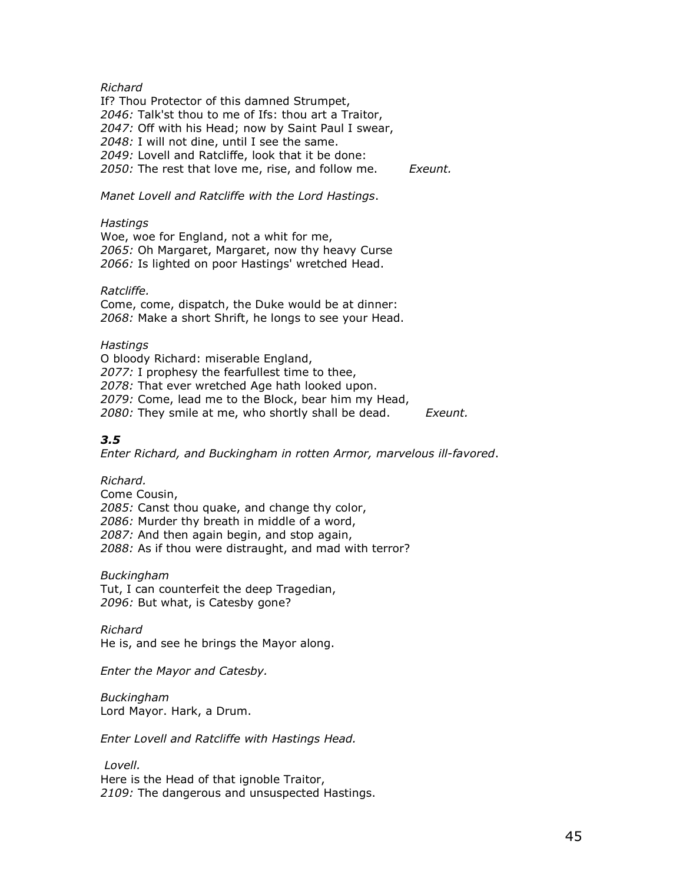### Richard

If? Thou Protector of this damned Strumpet, 2046: Talk'st thou to me of Ifs: thou art a Traitor, 2047: Off with his Head; now by Saint Paul I swear, 2048: I will not dine, until I see the same. 2049: Lovell and Ratcliffe, look that it be done: 2050: The rest that love me, rise, and follow me. Exeunt.

Manet Lovell and Ratcliffe with the Lord Hastings.

### **Hastings**

Woe, woe for England, not a whit for me, 2065: Oh Margaret, Margaret, now thy heavy Curse 2066: Is lighted on poor Hastings' wretched Head.

### Ratcliffe.

Come, come, dispatch, the Duke would be at dinner: 2068: Make a short Shrift, he longs to see your Head.

### **Hastings**

O bloody Richard: miserable England, 2077: I prophesy the fearfullest time to thee, 2078: That ever wretched Age hath looked upon. 2079: Come, lead me to the Block, bear him my Head, 2080: They smile at me, who shortly shall be dead. Exeunt.

# 3.5

Enter Richard, and Buckingham in rotten Armor, marvelous ill-favored.

Richard.

Come Cousin, 2085: Canst thou quake, and change thy color, 2086: Murder thy breath in middle of a word, 2087: And then again begin, and stop again, 2088: As if thou were distraught, and mad with terror?

Buckingham

Tut, I can counterfeit the deep Tragedian, 2096: But what, is Catesby gone?

Richard

He is, and see he brings the Mayor along.

Enter the Mayor and Catesby.

Buckingham Lord Mayor. Hark, a Drum.

Enter Lovell and Ratcliffe with Hastings Head.

 Lovell. Here is the Head of that ignoble Traitor, 2109: The dangerous and unsuspected Hastings.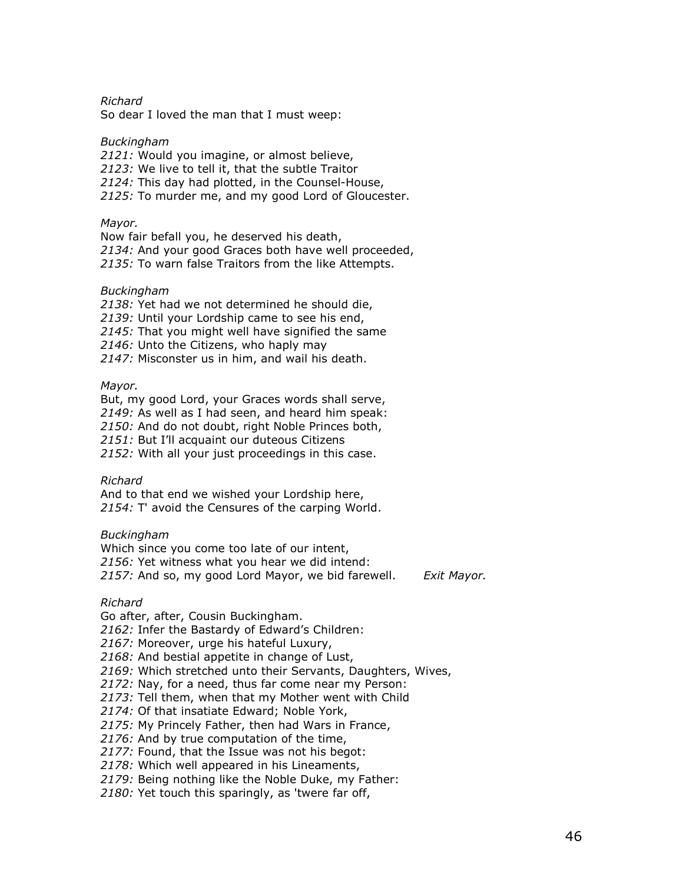Richard

So dear I loved the man that I must weep:

#### Buckingham

2121: Would you imagine, or almost believe,

2123: We live to tell it, that the subtle Traitor

2124: This day had plotted, in the Counsel-House,

2125: To murder me, and my good Lord of Gloucester.

#### Mayor.

Now fair befall you, he deserved his death, 2134: And your good Graces both have well proceeded, 2135: To warn false Traitors from the like Attempts.

#### Buckingham

2138: Yet had we not determined he should die, 2139: Until your Lordship came to see his end, 2145: That you might well have signified the same 2146: Unto the Citizens, who haply may 2147: Misconster us in him, and wail his death.

### Mayor.

But, my good Lord, your Graces words shall serve, 2149: As well as I had seen, and heard him speak: 2150: And do not doubt, right Noble Princes both, 2151: But I'll acquaint our duteous Citizens 2152: With all your just proceedings in this case.

#### Richard

And to that end we wished your Lordship here, 2154: T' avoid the Censures of the carping World.

### Buckingham

Which since you come too late of our intent, 2156: Yet witness what you hear we did intend: 2157: And so, my good Lord Mayor, we bid farewell. Exit Mayor.

#### Richard

Go after, after, Cousin Buckingham.

2162: Infer the Bastardy of Edward's Children:

2167: Moreover, urge his hateful Luxury,

2168: And bestial appetite in change of Lust,

2169: Which stretched unto their Servants, Daughters, Wives,

2172: Nay, for a need, thus far come near my Person:

2173: Tell them, when that my Mother went with Child

2174: Of that insatiate Edward; Noble York,

2175: My Princely Father, then had Wars in France,

2176: And by true computation of the time,

2177: Found, that the Issue was not his begot:

2178: Which well appeared in his Lineaments,

2179: Being nothing like the Noble Duke, my Father:

2180: Yet touch this sparingly, as 'twere far off,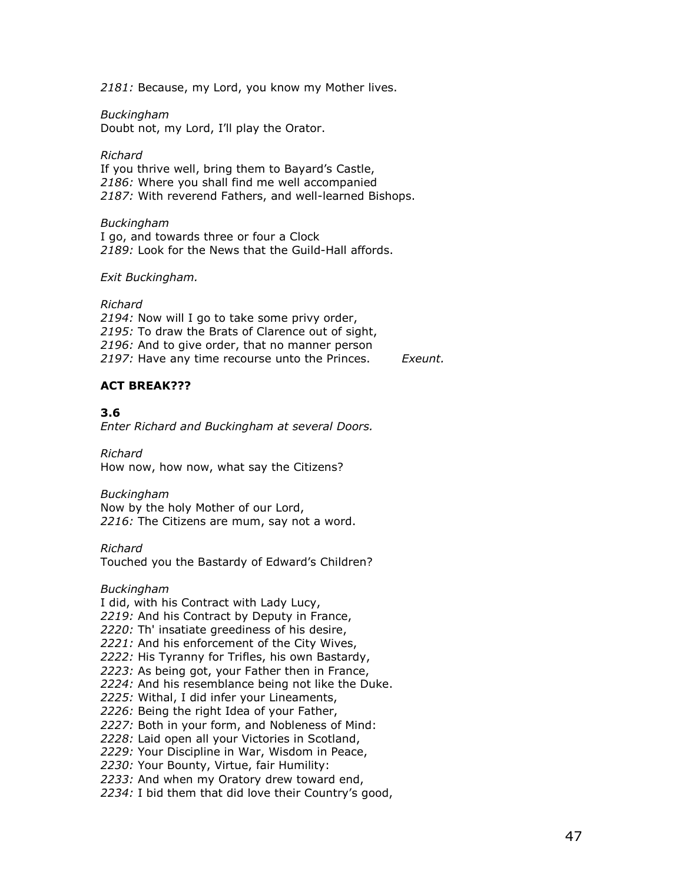2181: Because, my Lord, you know my Mother lives.

### Buckingham

Doubt not, my Lord, I'll play the Orator.

Richard If you thrive well, bring them to Bayard's Castle, 2186: Where you shall find me well accompanied 2187: With reverend Fathers, and well-learned Bishops.

#### Buckingham

I go, and towards three or four a Clock 2189: Look for the News that the Guild-Hall affords.

#### Exit Buckingham.

#### Richard

2194: Now will I go to take some privy order, 2195: To draw the Brats of Clarence out of sight, 2196: And to give order, that no manner person 2197: Have any time recourse unto the Princes. Exeunt.

# ACT BREAK???

### 3.6

Enter Richard and Buckingham at several Doors.

Richard How now, how now, what say the Citizens?

#### Buckingham

Now by the holy Mother of our Lord, 2216: The Citizens are mum, say not a word.

Richard

Touched you the Bastardy of Edward's Children?

Buckingham

I did, with his Contract with Lady Lucy,

2219: And his Contract by Deputy in France,

2220: Th' insatiate greediness of his desire,

2221: And his enforcement of the City Wives,

2222: His Tyranny for Trifles, his own Bastardy,

2223: As being got, your Father then in France,

2224: And his resemblance being not like the Duke.

- 2225: Withal, I did infer your Lineaments,
- 2226: Being the right Idea of your Father,

2227: Both in your form, and Nobleness of Mind:

2228: Laid open all your Victories in Scotland,

2229: Your Discipline in War, Wisdom in Peace,

2230: Your Bounty, Virtue, fair Humility:

2233: And when my Oratory drew toward end,

2234: I bid them that did love their Country's good,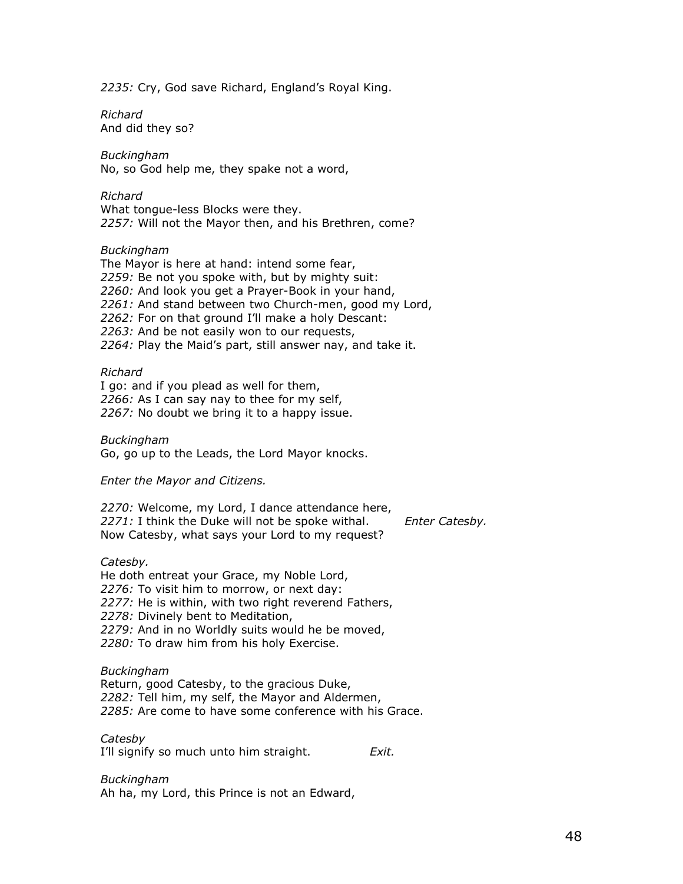2235: Cry, God save Richard, England's Royal King.

Richard And did they so?

Buckingham No, so God help me, they spake not a word,

Richard What tongue-less Blocks were they. 2257: Will not the Mayor then, and his Brethren, come?

### Buckingham

The Mayor is here at hand: intend some fear, 2259: Be not you spoke with, but by mighty suit: 2260: And look you get a Prayer-Book in your hand, 2261: And stand between two Church-men, good my Lord, 2262: For on that ground I'll make a holy Descant: 2263: And be not easily won to our requests, 2264: Play the Maid's part, still answer nay, and take it.

#### Richard

I go: and if you plead as well for them, 2266: As I can say nay to thee for my self, 2267: No doubt we bring it to a happy issue.

Buckingham Go, go up to the Leads, the Lord Mayor knocks.

Enter the Mayor and Citizens.

2270: Welcome, my Lord, I dance attendance here,  $2271$ : I think the Duke will not be spoke withal. Enter Catesby. Now Catesby, what says your Lord to my request?

#### Catesby.

He doth entreat your Grace, my Noble Lord, 2276: To visit him to morrow, or next day: 2277: He is within, with two right reverend Fathers, 2278: Divinely bent to Meditation, 2279: And in no Worldly suits would he be moved, 2280: To draw him from his holy Exercise.

### Buckingham

Return, good Catesby, to the gracious Duke, 2282: Tell him, my self, the Mayor and Aldermen, 2285: Are come to have some conference with his Grace.

Catesby

I'll signify so much unto him straight. Exit.

Buckingham Ah ha, my Lord, this Prince is not an Edward,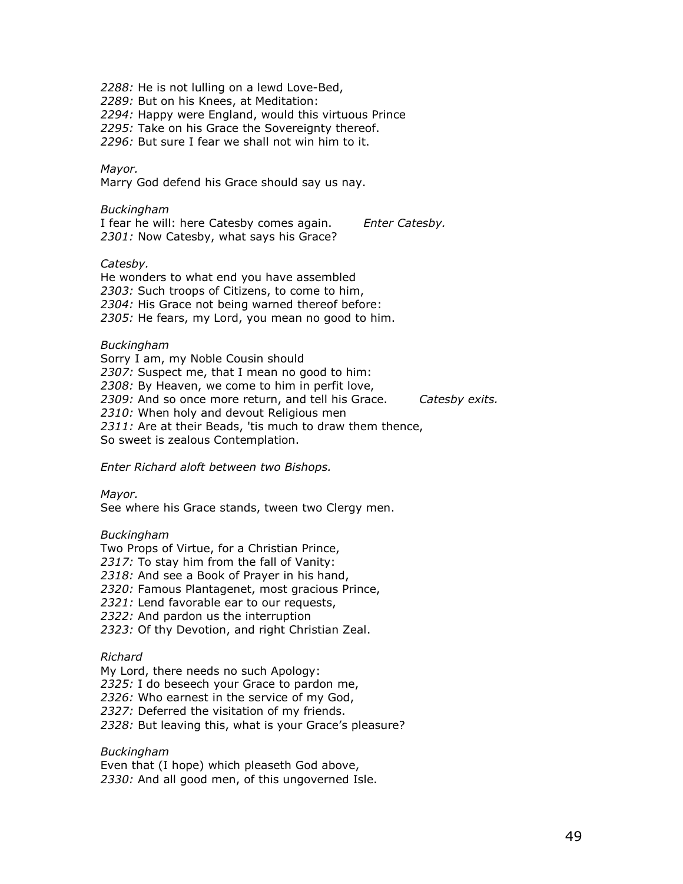2288: He is not lulling on a lewd Love-Bed, 2289: But on his Knees, at Meditation: 2294: Happy were England, would this virtuous Prince 2295: Take on his Grace the Sovereignty thereof. 2296: But sure I fear we shall not win him to it. Mayor. Marry God defend his Grace should say us nay. Buckingham I fear he will: here Catesby comes again. Enter Catesby. 2301: Now Catesby, what says his Grace? Catesby. He wonders to what end you have assembled 2303: Such troops of Citizens, to come to him, 2304: His Grace not being warned thereof before: 2305: He fears, my Lord, you mean no good to him. Buckingham Sorry I am, my Noble Cousin should 2307: Suspect me, that I mean no good to him: 2308: By Heaven, we come to him in perfit love, 2309: And so once more return, and tell his Grace. Catesby exits.

2310: When holy and devout Religious men

2311: Are at their Beads, 'tis much to draw them thence,

So sweet is zealous Contemplation.

Enter Richard aloft between two Bishops.

Mayor.

See where his Grace stands, tween two Clergy men.

### Buckingham

Two Props of Virtue, for a Christian Prince, 2317: To stay him from the fall of Vanity:

2318: And see a Book of Prayer in his hand,

2320: Famous Plantagenet, most gracious Prince,

2321: Lend favorable ear to our requests,

2322: And pardon us the interruption

2323: Of thy Devotion, and right Christian Zeal.

### Richard

My Lord, there needs no such Apology:

2325: I do beseech your Grace to pardon me,

2326: Who earnest in the service of my God,

2327: Deferred the visitation of my friends.

2328: But leaving this, what is your Grace's pleasure?

### Buckingham

Even that (I hope) which pleaseth God above, 2330: And all good men, of this ungoverned Isle.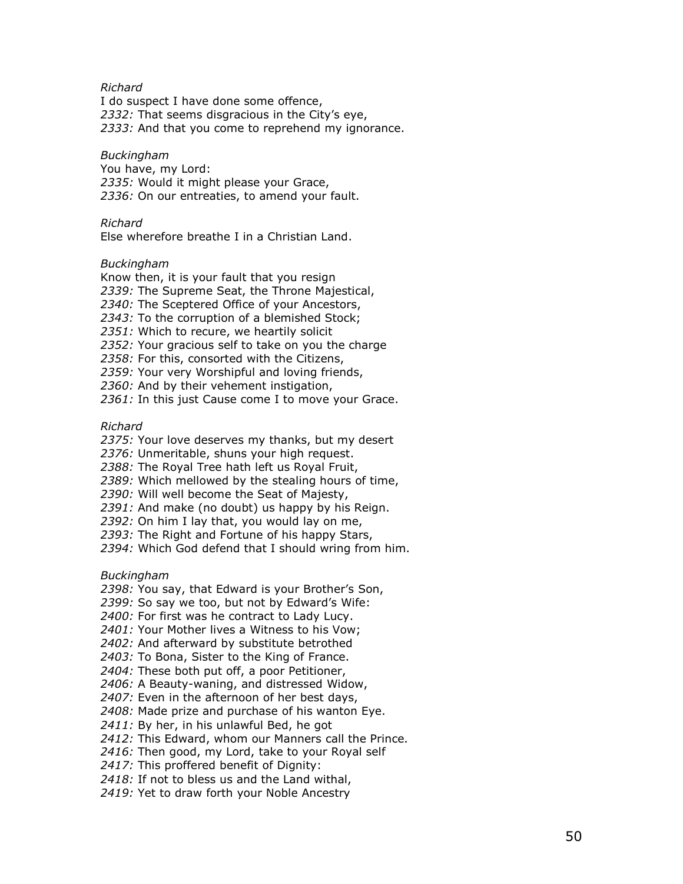### Richard

I do suspect I have done some offence, 2332: That seems disgracious in the City's eye, 2333: And that you come to reprehend my ignorance.

### Buckingham

You have, my Lord: 2335: Would it might please your Grace, 2336: On our entreaties, to amend your fault.

### Richard

Else wherefore breathe I in a Christian Land.

### Buckingham

- Know then, it is your fault that you resign 2339: The Supreme Seat, the Throne Majestical, 2340: The Sceptered Office of your Ancestors,
- 2343: To the corruption of a blemished Stock;
- 2351: Which to recure, we heartily solicit
- 2352: Your gracious self to take on you the charge
- 2358: For this, consorted with the Citizens,
- 2359: Your very Worshipful and loving friends,
- 2360: And by their vehement instigation,
- 2361: In this just Cause come I to move your Grace.

Richard

- 2375: Your love deserves my thanks, but my desert
- 2376: Unmeritable, shuns your high request.
- 2388: The Royal Tree hath left us Royal Fruit,
- 2389: Which mellowed by the stealing hours of time,

2390: Will well become the Seat of Majesty,

- 2391: And make (no doubt) us happy by his Reign.
- 2392: On him I lay that, you would lay on me,
- 2393: The Right and Fortune of his happy Stars,
- 2394: Which God defend that I should wring from him.

Buckingham

- 2398: You say, that Edward is your Brother's Son,
- 2399: So say we too, but not by Edward's Wife:
- 2400: For first was he contract to Lady Lucy.
- 2401: Your Mother lives a Witness to his Vow;
- 2402: And afterward by substitute betrothed
- 2403: To Bona, Sister to the King of France.
- 2404: These both put off, a poor Petitioner,
- 2406: A Beauty-waning, and distressed Widow,
- 2407: Even in the afternoon of her best days,
- 2408: Made prize and purchase of his wanton Eye.
- 2411: By her, in his unlawful Bed, he got
- 2412: This Edward, whom our Manners call the Prince.
- 2416: Then good, my Lord, take to your Royal self
- 2417: This proffered benefit of Dignity:
- 2418: If not to bless us and the Land withal,
- 2419: Yet to draw forth your Noble Ancestry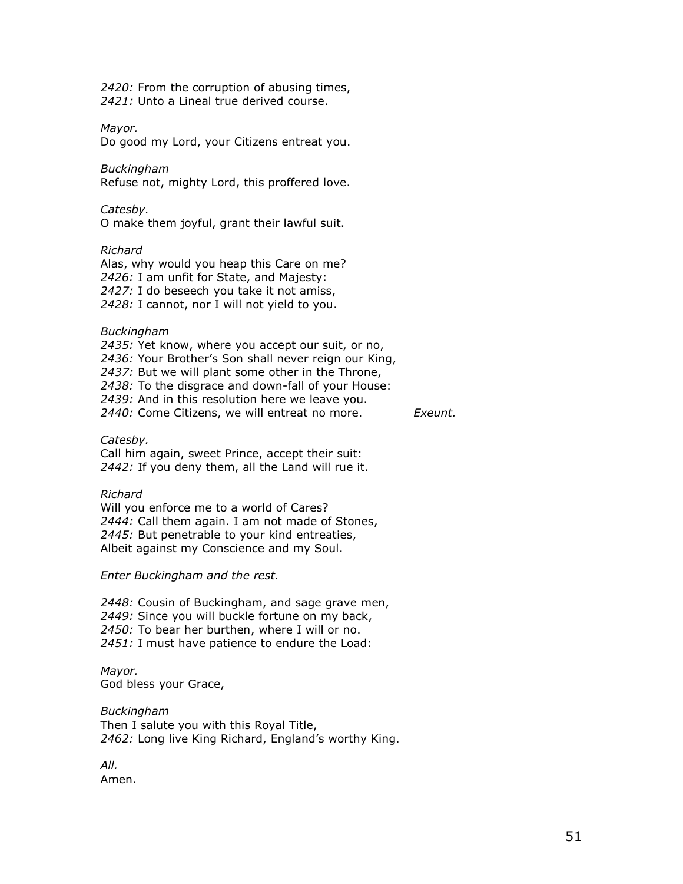2420: From the corruption of abusing times, 2421: Unto a Lineal true derived course.

Mayor.

Do good my Lord, your Citizens entreat you.

Buckingham

Refuse not, mighty Lord, this proffered love.

Catesby.

O make them joyful, grant their lawful suit.

### Richard

Alas, why would you heap this Care on me? 2426: I am unfit for State, and Majesty: 2427: I do beseech you take it not amiss, 2428: I cannot, nor I will not yield to you.

Buckingham

2435: Yet know, where you accept our suit, or no, 2436: Your Brother's Son shall never reign our King, 2437: But we will plant some other in the Throne, 2438: To the disgrace and down-fall of your House: 2439: And in this resolution here we leave you. 2440: Come Citizens, we will entreat no more. Exeunt.

Catesby.

Call him again, sweet Prince, accept their suit: 2442: If you deny them, all the Land will rue it.

### Richard

Will you enforce me to a world of Cares? 2444: Call them again. I am not made of Stones, 2445: But penetrable to your kind entreaties, Albeit against my Conscience and my Soul.

Enter Buckingham and the rest.

2448: Cousin of Buckingham, and sage grave men, 2449: Since you will buckle fortune on my back, 2450: To bear her burthen, where I will or no. 2451: I must have patience to endure the Load:

Mayor. God bless your Grace,

Buckingham Then I salute you with this Royal Title, 2462: Long live King Richard, England's worthy King.

All. Amen.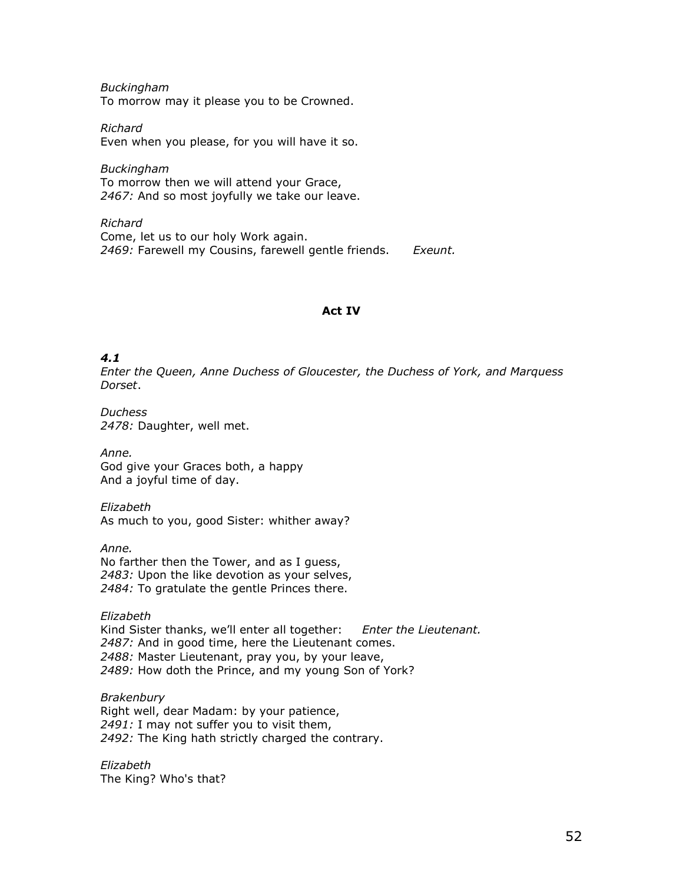Buckingham To morrow may it please you to be Crowned.

Richard Even when you please, for you will have it so.

Buckingham To morrow then we will attend your Grace, 2467: And so most joyfully we take our leave.

Richard Come, let us to our holy Work again. 2469: Farewell my Cousins, farewell gentle friends. Exeunt.

### Act IV

# 4.1

Enter the Queen, Anne Duchess of Gloucester, the Duchess of York, and Marquess Dorset.

Duchess 2478: Daughter, well met.

Anne. God give your Graces both, a happy And a joyful time of day.

Elizabeth As much to you, good Sister: whither away?

Anne. No farther then the Tower, and as I guess, 2483: Upon the like devotion as your selves, 2484: To gratulate the gentle Princes there.

Elizabeth Kind Sister thanks, we'll enter all together: Enter the Lieutenant. 2487: And in good time, here the Lieutenant comes. 2488: Master Lieutenant, pray you, by your leave, 2489: How doth the Prince, and my young Son of York?

Brakenbury Right well, dear Madam: by your patience, 2491: I may not suffer you to visit them, 2492: The King hath strictly charged the contrary.

Elizabeth The King? Who's that?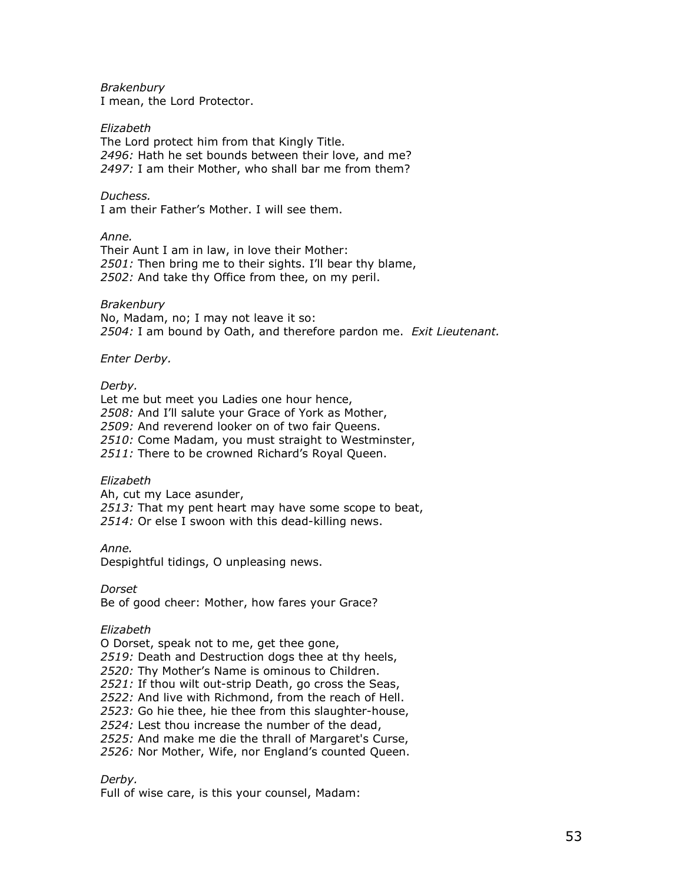**Brakenbury** I mean, the Lord Protector.

### Elizabeth

The Lord protect him from that Kingly Title. 2496: Hath he set bounds between their love, and me? 2497: I am their Mother, who shall bar me from them?

### Duchess.

I am their Father's Mother. I will see them.

### Anne.

Their Aunt I am in law, in love their Mother: 2501: Then bring me to their sights. I'll bear thy blame, 2502: And take thy Office from thee, on my peril.

### Brakenbury

No, Madam, no; I may not leave it so: 2504: I am bound by Oath, and therefore pardon me. Exit Lieutenant.

### Enter Derby.

### Derby.

Let me but meet you Ladies one hour hence, 2508: And I'll salute your Grace of York as Mother, 2509: And reverend looker on of two fair Queens. 2510: Come Madam, you must straight to Westminster, 2511: There to be crowned Richard's Royal Queen.

#### Elizabeth

Ah, cut my Lace asunder, 2513: That my pent heart may have some scope to beat, 2514: Or else I swoon with this dead-killing news.

Anne.

Despightful tidings, O unpleasing news.

Dorset

Be of good cheer: Mother, how fares your Grace?

#### Elizabeth

O Dorset, speak not to me, get thee gone,

2519: Death and Destruction dogs thee at thy heels,

2520: Thy Mother's Name is ominous to Children.

2521: If thou wilt out-strip Death, go cross the Seas,

2522: And live with Richmond, from the reach of Hell.

2523: Go hie thee, hie thee from this slaughter-house,

2524: Lest thou increase the number of the dead,

2525: And make me die the thrall of Margaret's Curse,

2526: Nor Mother, Wife, nor England's counted Queen.

### Derby.

Full of wise care, is this your counsel, Madam: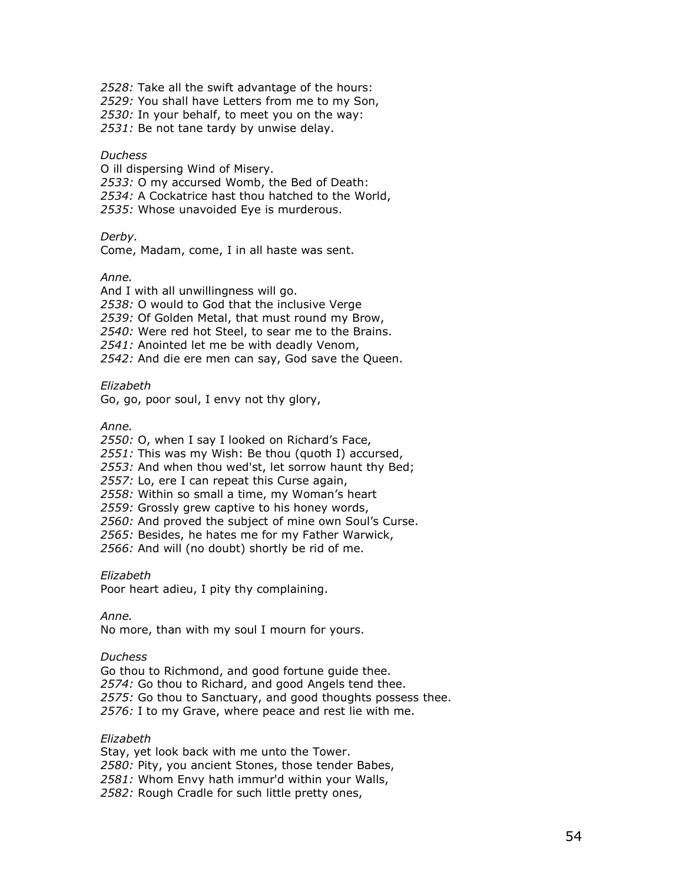2528: Take all the swift advantage of the hours:

2529: You shall have Letters from me to my Son,

2530: In your behalf, to meet you on the way:

2531: Be not tane tardy by unwise delay.

#### **Duchess**

O ill dispersing Wind of Misery.

2533: O my accursed Womb, the Bed of Death:

2534: A Cockatrice hast thou hatched to the World,

2535: Whose unavoided Eye is murderous.

Derby.

Come, Madam, come, I in all haste was sent.

### Anne.

And I with all unwillingness will go. 2538: O would to God that the inclusive Verge 2539: Of Golden Metal, that must round my Brow, 2540: Were red hot Steel, to sear me to the Brains. 2541: Anointed let me be with deadly Venom, 2542: And die ere men can say, God save the Queen.

Elizabeth

Go, go, poor soul, I envy not thy glory,

Anne.

2550: O, when I say I looked on Richard's Face,

2551: This was my Wish: Be thou (quoth I) accursed,

2553: And when thou wed'st, let sorrow haunt thy Bed;

2557: Lo, ere I can repeat this Curse again,

2558: Within so small a time, my Woman's heart

2559: Grossly grew captive to his honey words,

2560: And proved the subject of mine own Soul's Curse.

2565: Besides, he hates me for my Father Warwick,

2566: And will (no doubt) shortly be rid of me.

Elizabeth

Poor heart adieu, I pity thy complaining.

Anne.

No more, than with my soul I mourn for yours.

#### **Duchess**

Go thou to Richmond, and good fortune guide thee. 2574: Go thou to Richard, and good Angels tend thee. 2575: Go thou to Sanctuary, and good thoughts possess thee. 2576: I to my Grave, where peace and rest lie with me.

### Elizabeth

Stay, yet look back with me unto the Tower. 2580: Pity, you ancient Stones, those tender Babes, 2581: Whom Envy hath immur'd within your Walls, 2582: Rough Cradle for such little pretty ones,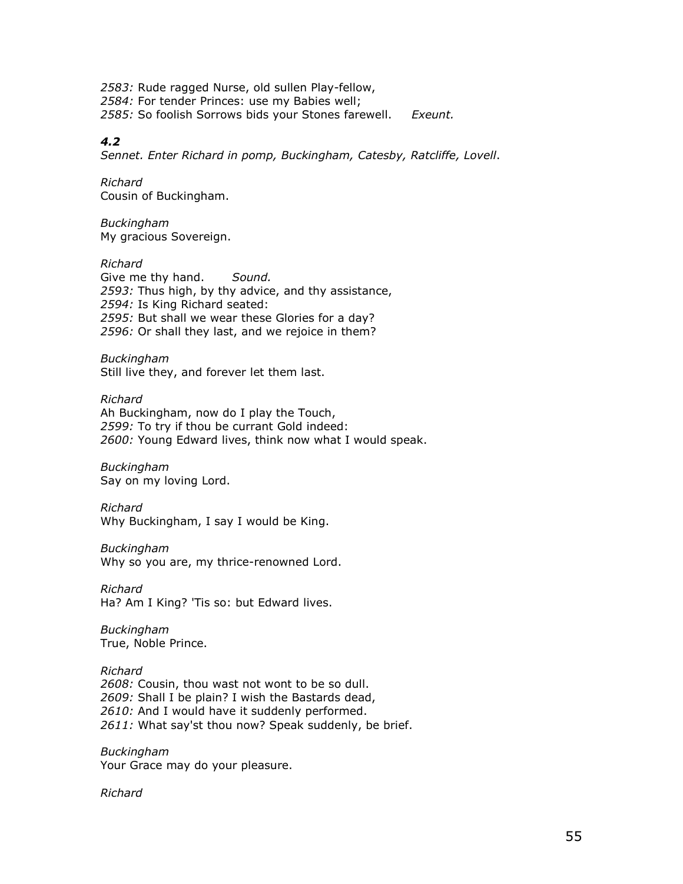2583: Rude ragged Nurse, old sullen Play-fellow, 2584: For tender Princes: use my Babies well; 2585: So foolish Sorrows bids your Stones farewell. Exeunt.

### 4.2

Sennet. Enter Richard in pomp, Buckingham, Catesby, Ratcliffe, Lovell.

Richard Cousin of Buckingham.

Buckingham My gracious Sovereign.

Richard Give me thy hand. Sound. 2593: Thus high, by thy advice, and thy assistance, 2594: Is King Richard seated: 2595: But shall we wear these Glories for a day? 2596: Or shall they last, and we rejoice in them?

Buckingham Still live they, and forever let them last.

Richard Ah Buckingham, now do I play the Touch, 2599: To try if thou be currant Gold indeed: 2600: Young Edward lives, think now what I would speak.

Buckingham Say on my loving Lord.

Richard Why Buckingham, I say I would be King.

Buckingham

Why so you are, my thrice-renowned Lord.

Richard Ha? Am I King? 'Tis so: but Edward lives.

Buckingham True, Noble Prince.

Richard 2608: Cousin, thou wast not wont to be so dull. 2609: Shall I be plain? I wish the Bastards dead, 2610: And I would have it suddenly performed. 2611: What say'st thou now? Speak suddenly, be brief.

Buckingham Your Grace may do your pleasure.

Richard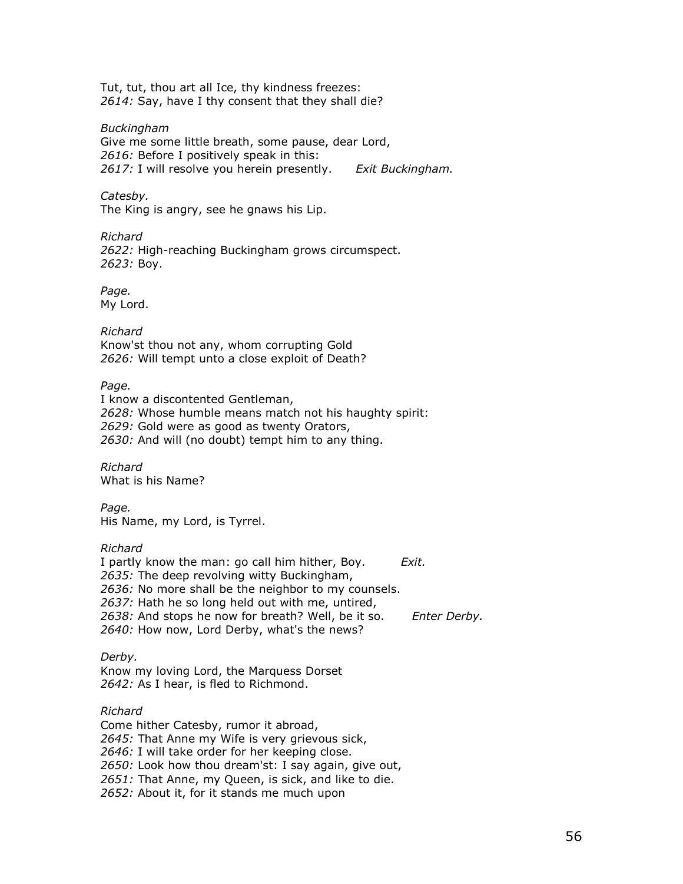Tut, tut, thou art all Ice, thy kindness freezes: 2614: Say, have I thy consent that they shall die?

Buckingham

Give me some little breath, some pause, dear Lord, 2616: Before I positively speak in this: 2617: I will resolve you herein presently. Exit Buckingham.

Catesby.

The King is angry, see he gnaws his Lip.

Richard 2622: High-reaching Buckingham grows circumspect. 2623: Boy.

Page. My Lord.

Richard Know'st thou not any, whom corrupting Gold 2626: Will tempt unto a close exploit of Death?

Page.

I know a discontented Gentleman, 2628: Whose humble means match not his haughty spirit: 2629: Gold were as good as twenty Orators, 2630: And will (no doubt) tempt him to any thing.

Richard What is his Name?

Page. His Name, my Lord, is Tyrrel.

### Richard

I partly know the man: go call him hither, Boy. Exit. 2635: The deep revolving witty Buckingham, 2636: No more shall be the neighbor to my counsels. 2637: Hath he so long held out with me, untired, 2638: And stops he now for breath? Well, be it so. Enter Derby. 2640: How now, Lord Derby, what's the news?

Derby.

Know my loving Lord, the Marquess Dorset 2642: As I hear, is fled to Richmond.

Richard Come hither Catesby, rumor it abroad, 2645: That Anne my Wife is very grievous sick, 2646: I will take order for her keeping close. 2650: Look how thou dream'st: I say again, give out, 2651: That Anne, my Queen, is sick, and like to die. 2652: About it, for it stands me much upon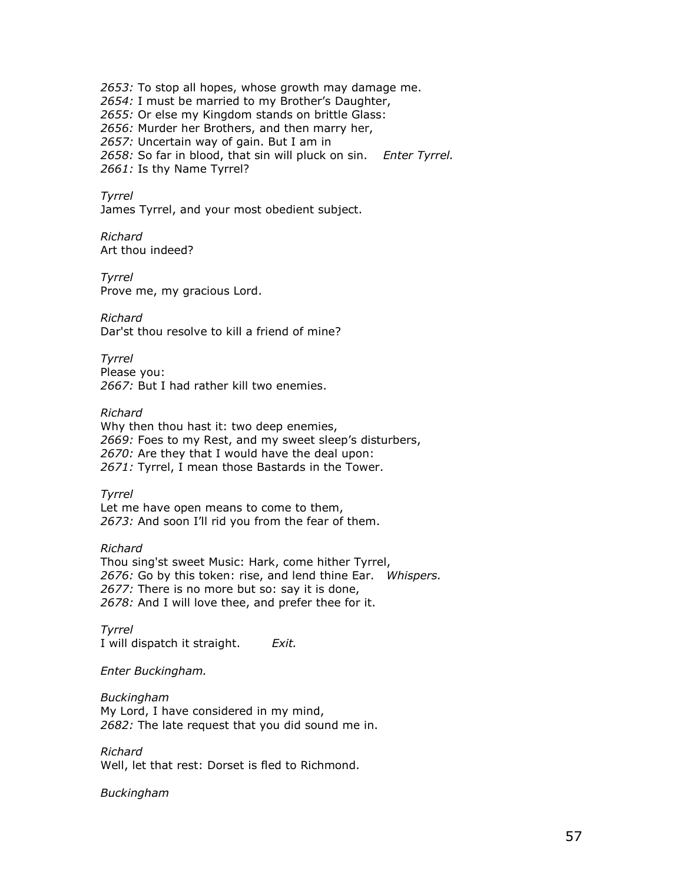2653: To stop all hopes, whose growth may damage me. 2654: I must be married to my Brother's Daughter, 2655: Or else my Kingdom stands on brittle Glass: 2656: Murder her Brothers, and then marry her, 2657: Uncertain way of gain. But I am in 2658: So far in blood, that sin will pluck on sin. Enter Tyrrel. 2661: Is thy Name Tyrrel?

Tyrrel

James Tyrrel, and your most obedient subject.

Richard Art thou indeed?

Tyrrel Prove me, my gracious Lord.

Richard Dar'st thou resolve to kill a friend of mine?

Tyrrel Please you: 2667: But I had rather kill two enemies.

Richard Why then thou hast it: two deep enemies, 2669: Foes to my Rest, and my sweet sleep's disturbers, 2670: Are they that I would have the deal upon: 2671: Tyrrel, I mean those Bastards in the Tower.

Tyrrel Let me have open means to come to them, 2673: And soon I'll rid you from the fear of them.

Richard Thou sing'st sweet Music: Hark, come hither Tyrrel, 2676: Go by this token: rise, and lend thine Ear. Whispers. 2677: There is no more but so: say it is done, 2678: And I will love thee, and prefer thee for it.

Tyrrel I will dispatch it straight. Exit.

Enter Buckingham.

Buckingham My Lord, I have considered in my mind, 2682: The late request that you did sound me in.

Richard Well, let that rest: Dorset is fled to Richmond.

Buckingham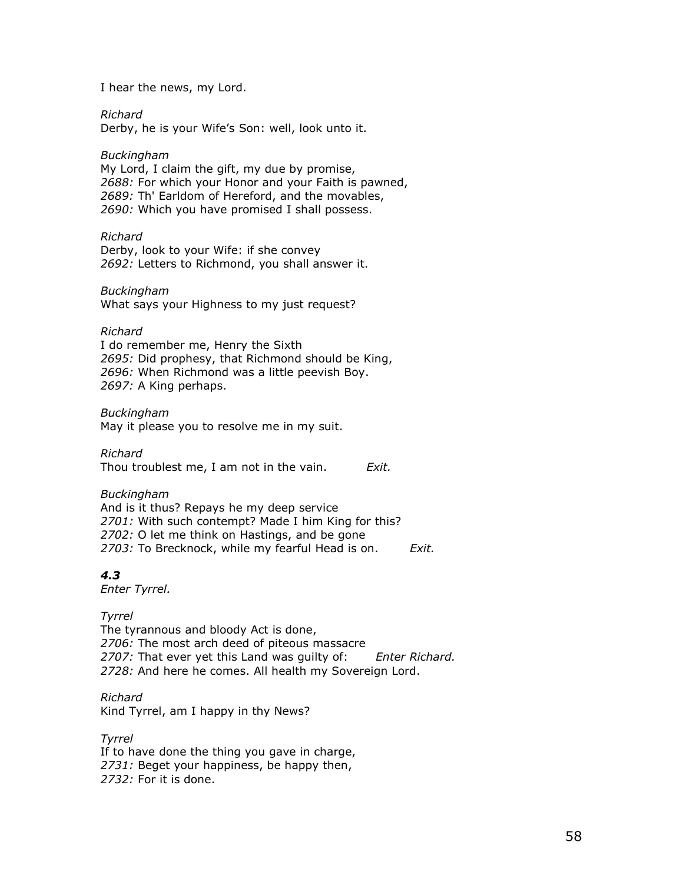I hear the news, my Lord.

Richard

Derby, he is your Wife's Son: well, look unto it.

### Buckingham

My Lord, I claim the gift, my due by promise, 2688: For which your Honor and your Faith is pawned, 2689: Th' Earldom of Hereford, and the movables, 2690: Which you have promised I shall possess.

Richard

Derby, look to your Wife: if she convey 2692: Letters to Richmond, you shall answer it.

### Buckingham

What says your Highness to my just request?

### Richard

I do remember me, Henry the Sixth 2695: Did prophesy, that Richmond should be King, 2696: When Richmond was a little peevish Boy. 2697: A King perhaps.

Buckingham May it please you to resolve me in my suit.

Richard Thou troublest me, I am not in the vain.  $Exit$ .

Buckingham And is it thus? Repays he my deep service 2701: With such contempt? Made I him King for this? 2702: O let me think on Hastings, and be gone 2703: To Brecknock, while my fearful Head is on. Exit.

# 4.3

Enter Tyrrel.

Tyrrel The tyrannous and bloody Act is done, 2706: The most arch deed of piteous massacre 2707: That ever yet this Land was quilty of: Enter Richard. 2728: And here he comes. All health my Sovereign Lord.

Richard Kind Tyrrel, am I happy in thy News?

Tyrrel If to have done the thing you gave in charge, 2731: Beget your happiness, be happy then, 2732: For it is done.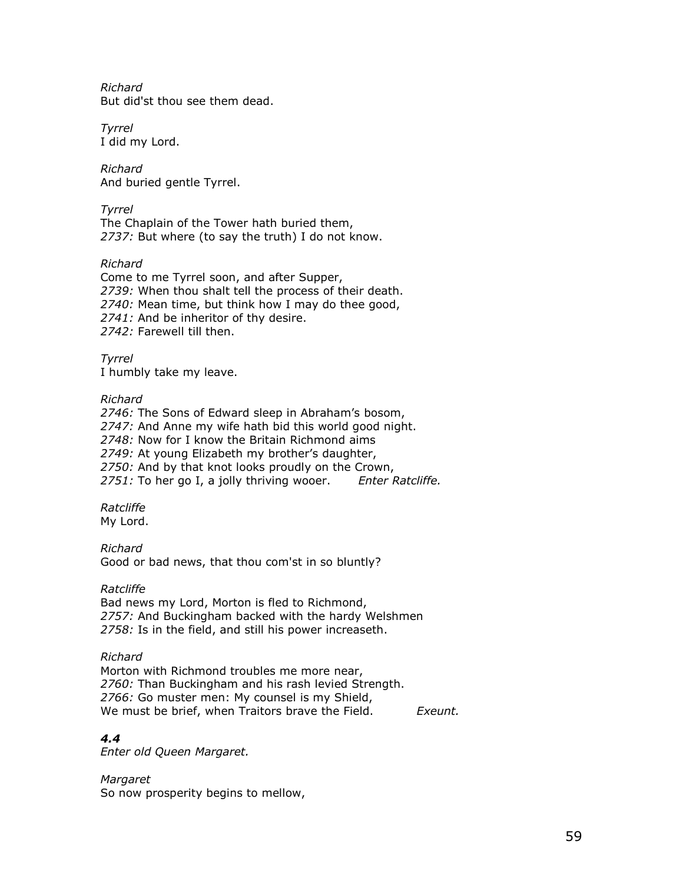Richard But did'st thou see them dead.

Tyrrel I did my Lord.

Richard And buried gentle Tyrrel.

Tyrrel The Chaplain of the Tower hath buried them, 2737: But where (to say the truth) I do not know.

Richard

Come to me Tyrrel soon, and after Supper, 2739: When thou shalt tell the process of their death. 2740: Mean time, but think how I may do thee good, 2741: And be inheritor of thy desire. 2742: Farewell till then.

Tyrrel I humbly take my leave.

### Richard

2746: The Sons of Edward sleep in Abraham's bosom, 2747: And Anne my wife hath bid this world good night. 2748: Now for I know the Britain Richmond aims 2749: At young Elizabeth my brother's daughter, 2750: And by that knot looks proudly on the Crown, 2751: To her go I, a jolly thriving wooer. Enter Ratcliffe.

Ratcliffe My Lord.

Richard Good or bad news, that thou com'st in so bluntly?

### Ratcliffe

Bad news my Lord, Morton is fled to Richmond, 2757: And Buckingham backed with the hardy Welshmen 2758: Is in the field, and still his power increaseth.

### Richard

Morton with Richmond troubles me more near, 2760: Than Buckingham and his rash levied Strength. 2766: Go muster men: My counsel is my Shield, We must be brief, when Traitors brave the Field. Exeunt.

# 4.4

Enter old Queen Margaret.

Margaret So now prosperity begins to mellow,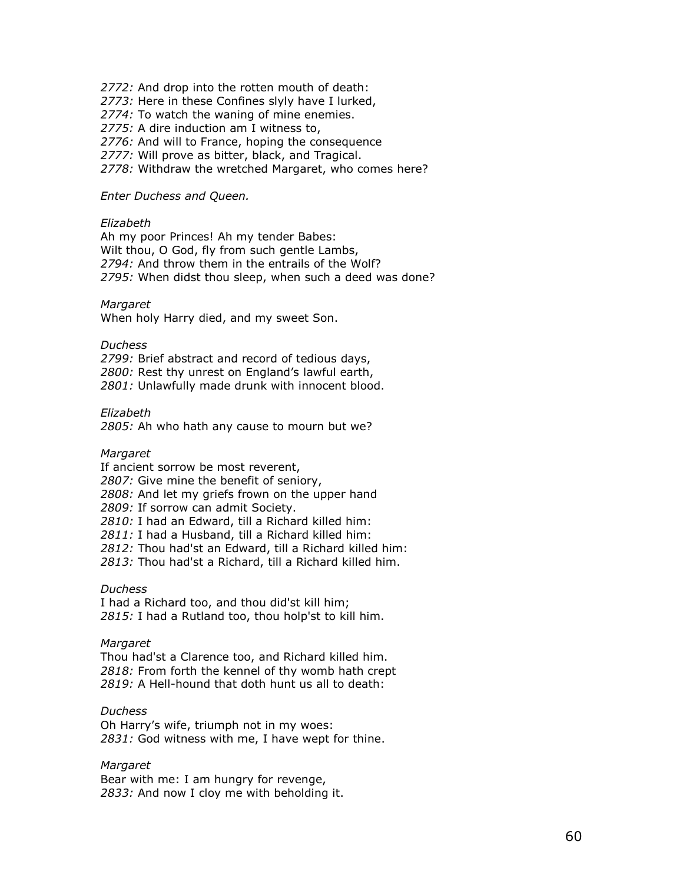2772: And drop into the rotten mouth of death:

2773: Here in these Confines slyly have I lurked,

2774: To watch the waning of mine enemies.

2775: A dire induction am I witness to,

2776: And will to France, hoping the consequence

2777: Will prove as bitter, black, and Tragical.

2778: Withdraw the wretched Margaret, who comes here?

#### Enter Duchess and Queen.

### Elizabeth

Ah my poor Princes! Ah my tender Babes: Wilt thou, O God, fly from such gentle Lambs, 2794: And throw them in the entrails of the Wolf? 2795: When didst thou sleep, when such a deed was done?

#### Margaret

When holy Harry died, and my sweet Son.

#### **Duchess**

2799: Brief abstract and record of tedious days, 2800: Rest thy unrest on England's lawful earth, 2801: Unlawfully made drunk with innocent blood.

#### Elizabeth

2805: Ah who hath any cause to mourn but we?

#### Margaret

If ancient sorrow be most reverent, 2807: Give mine the benefit of seniory, 2808: And let my griefs frown on the upper hand 2809: If sorrow can admit Society. 2810: I had an Edward, till a Richard killed him: 2811: I had a Husband, till a Richard killed him: 2812: Thou had'st an Edward, till a Richard killed him: 2813: Thou had'st a Richard, till a Richard killed him.

#### **Duchess**

I had a Richard too, and thou did'st kill him; 2815: I had a Rutland too, thou holp'st to kill him.

### Margaret

Thou had'st a Clarence too, and Richard killed him. 2818: From forth the kennel of thy womb hath crept 2819: A Hell-hound that doth hunt us all to death:

### **Duchess**

Oh Harry's wife, triumph not in my woes: 2831: God witness with me, I have wept for thine.

#### Margaret

Bear with me: I am hungry for revenge, 2833: And now I cloy me with beholding it.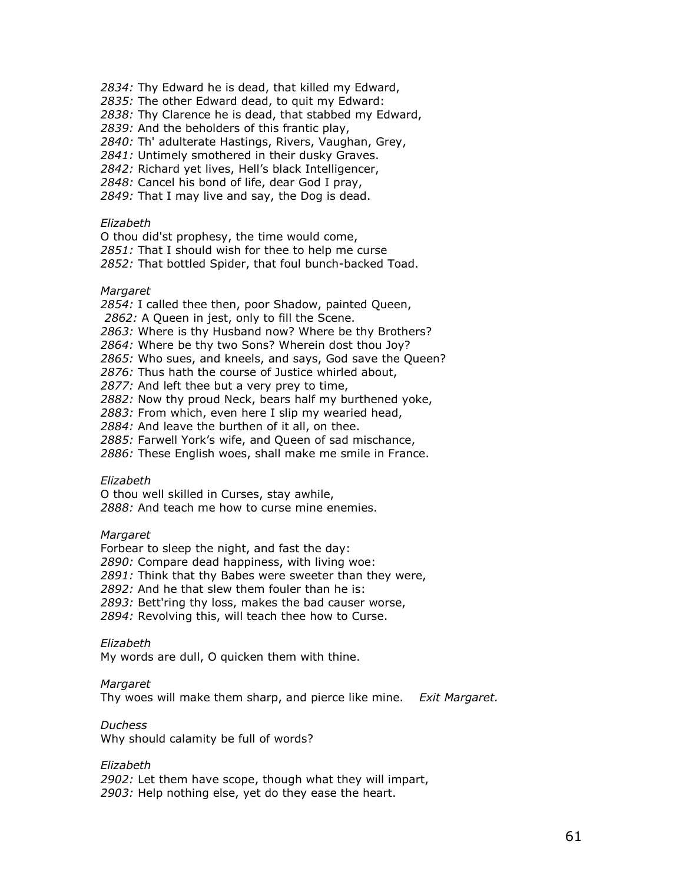2834: Thy Edward he is dead, that killed my Edward,

2835: The other Edward dead, to quit my Edward:

2838: Thy Clarence he is dead, that stabbed my Edward,

2839: And the beholders of this frantic play,

2840: Th' adulterate Hastings, Rivers, Vaughan, Grey,

2841: Untimely smothered in their dusky Graves.

2842: Richard yet lives, Hell's black Intelligencer,

2848: Cancel his bond of life, dear God I pray,

2849: That I may live and say, the Dog is dead.

### Elizabeth

O thou did'st prophesy, the time would come, 2851: That I should wish for thee to help me curse 2852: That bottled Spider, that foul bunch-backed Toad.

#### Margaret

2854: I called thee then, poor Shadow, painted Queen,

2862: A Queen in jest, only to fill the Scene.

2863: Where is thy Husband now? Where be thy Brothers?

2864: Where be thy two Sons? Wherein dost thou Joy?

2865: Who sues, and kneels, and says, God save the Queen?

2876: Thus hath the course of Justice whirled about,

2877: And left thee but a very prey to time,

2882: Now thy proud Neck, bears half my burthened yoke,

2883: From which, even here I slip my wearied head,

2884: And leave the burthen of it all, on thee.

2885: Farwell York's wife, and Queen of sad mischance,

2886: These English woes, shall make me smile in France.

#### Elizabeth

O thou well skilled in Curses, stay awhile, 2888: And teach me how to curse mine enemies.

#### Margaret

Forbear to sleep the night, and fast the day:

2890: Compare dead happiness, with living woe:

2891: Think that thy Babes were sweeter than they were,

2892: And he that slew them fouler than he is:

2893: Bett'ring thy loss, makes the bad causer worse,

2894: Revolving this, will teach thee how to Curse.

#### Elizabeth

My words are dull, O quicken them with thine.

#### **Margaret**

Thy woes will make them sharp, and pierce like mine. Exit Margaret.

# Duchess

Why should calamity be full of words?

### Elizabeth

2902: Let them have scope, though what they will impart, 2903: Help nothing else, yet do they ease the heart.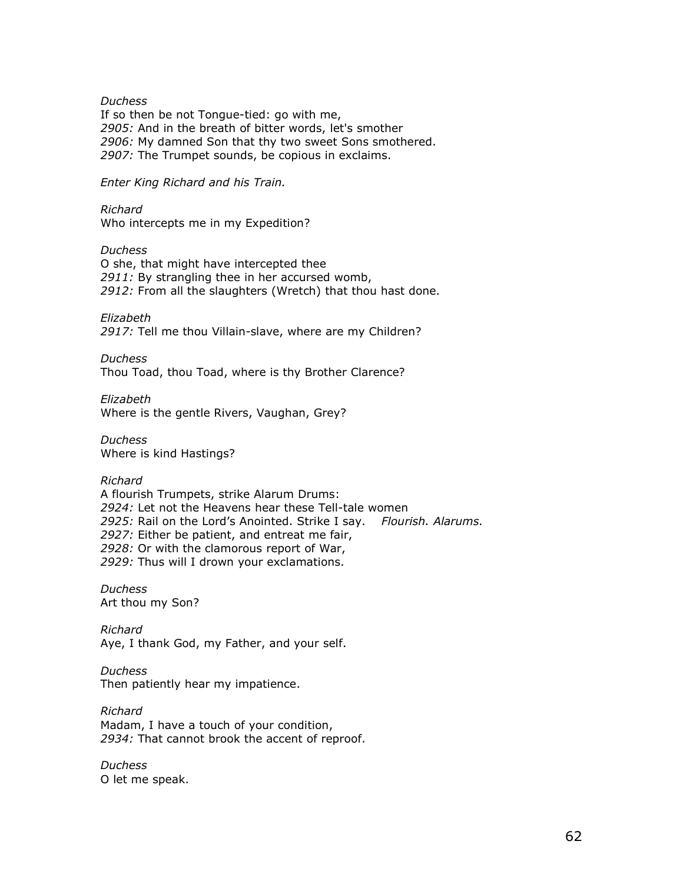#### **Duchess**

If so then be not Tongue-tied: go with me, 2905: And in the breath of bitter words, let's smother 2906: My damned Son that thy two sweet Sons smothered. 2907: The Trumpet sounds, be copious in exclaims.

Enter King Richard and his Train.

Richard Who intercepts me in my Expedition?

**Duchess** O she, that might have intercepted thee 2911: By strangling thee in her accursed womb, 2912: From all the slaughters (Wretch) that thou hast done.

Elizabeth 2917: Tell me thou Villain-slave, where are my Children?

Duchess Thou Toad, thou Toad, where is thy Brother Clarence?

Elizabeth Where is the gentle Rivers, Vaughan, Grey?

Duchess Where is kind Hastings?

Richard

A flourish Trumpets, strike Alarum Drums: 2924: Let not the Heavens hear these Tell-tale women 2925: Rail on the Lord's Anointed. Strike I say. Flourish. Alarums. 2927: Either be patient, and entreat me fair, 2928: Or with the clamorous report of War, 2929: Thus will I drown your exclamations.

**Duchess** Art thou my Son?

Richard Aye, I thank God, my Father, and your self.

**Duchess** Then patiently hear my impatience.

Richard Madam, I have a touch of your condition, 2934: That cannot brook the accent of reproof.

**Duchess** O let me speak.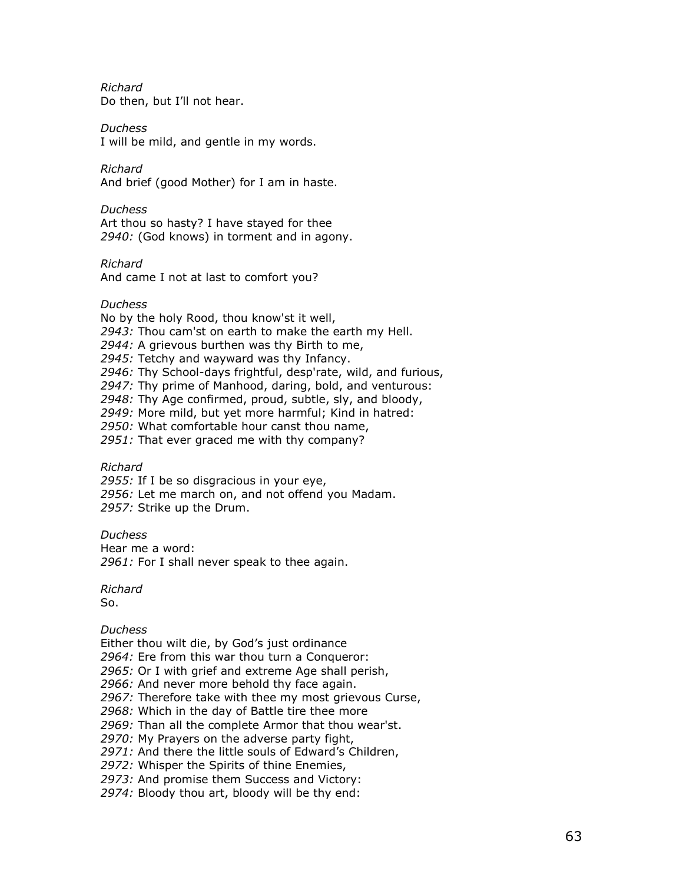Richard Do then, but I'll not hear.

Duchess I will be mild, and gentle in my words.

Richard And brief (good Mother) for I am in haste.

**Duchess** Art thou so hasty? I have stayed for thee 2940: (God knows) in torment and in agony.

Richard

And came I not at last to comfort you?

Duchess

No by the holy Rood, thou know'st it well,

2943: Thou cam'st on earth to make the earth my Hell.

2944: A grievous burthen was thy Birth to me,

2945: Tetchy and wayward was thy Infancy.

2946: Thy School-days frightful, desp'rate, wild, and furious,

2947: Thy prime of Manhood, daring, bold, and venturous:

2948: Thy Age confirmed, proud, subtle, sly, and bloody,

2949: More mild, but yet more harmful; Kind in hatred:

2950: What comfortable hour canst thou name,

2951: That ever graced me with thy company?

Richard

2955: If I be so disgracious in your eye,

2956: Let me march on, and not offend you Madam. 2957: Strike up the Drum.

Duchess Hear me a word:

2961: For I shall never speak to thee again.

Richard

So.

**Duchess** 

Either thou wilt die, by God's just ordinance

2964: Ere from this war thou turn a Conqueror:

2965: Or I with grief and extreme Age shall perish,

2966: And never more behold thy face again.

2967: Therefore take with thee my most grievous Curse,

2968: Which in the day of Battle tire thee more

2969: Than all the complete Armor that thou wear'st.

2970: My Prayers on the adverse party fight,

2971: And there the little souls of Edward's Children,

2972: Whisper the Spirits of thine Enemies,

2973: And promise them Success and Victory:

2974: Bloody thou art, bloody will be thy end: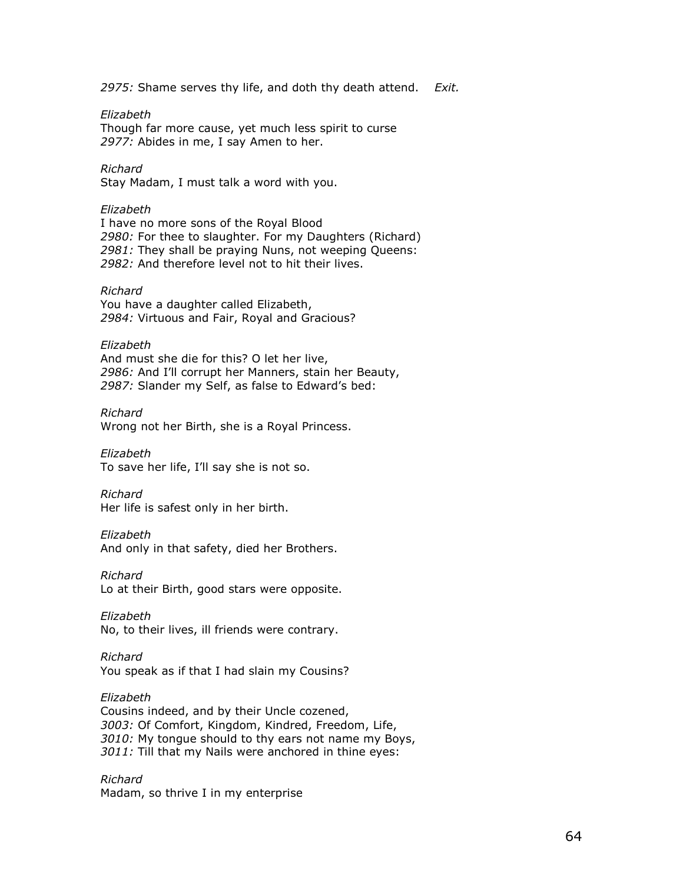2975: Shame serves thy life, and doth thy death attend.  $Exit$ .

Elizabeth

Though far more cause, yet much less spirit to curse 2977: Abides in me, I say Amen to her.

Richard

Stay Madam, I must talk a word with you.

### Elizabeth

I have no more sons of the Royal Blood 2980: For thee to slaughter. For my Daughters (Richard) 2981: They shall be praying Nuns, not weeping Queens: 2982: And therefore level not to hit their lives.

### Richard

You have a daughter called Elizabeth, 2984: Virtuous and Fair, Royal and Gracious?

#### Elizabeth

And must she die for this? O let her live, 2986: And I'll corrupt her Manners, stain her Beauty, 2987: Slander my Self, as false to Edward's bed:

Richard Wrong not her Birth, she is a Royal Princess.

Elizabeth To save her life, I'll say she is not so.

Richard Her life is safest only in her birth.

# Elizabeth

And only in that safety, died her Brothers.

Richard Lo at their Birth, good stars were opposite.

Elizabeth No, to their lives, ill friends were contrary.

Richard

You speak as if that I had slain my Cousins?

Elizabeth Cousins indeed, and by their Uncle cozened, 3003: Of Comfort, Kingdom, Kindred, Freedom, Life, 3010: My tongue should to thy ears not name my Boys, 3011: Till that my Nails were anchored in thine eyes:

Richard Madam, so thrive I in my enterprise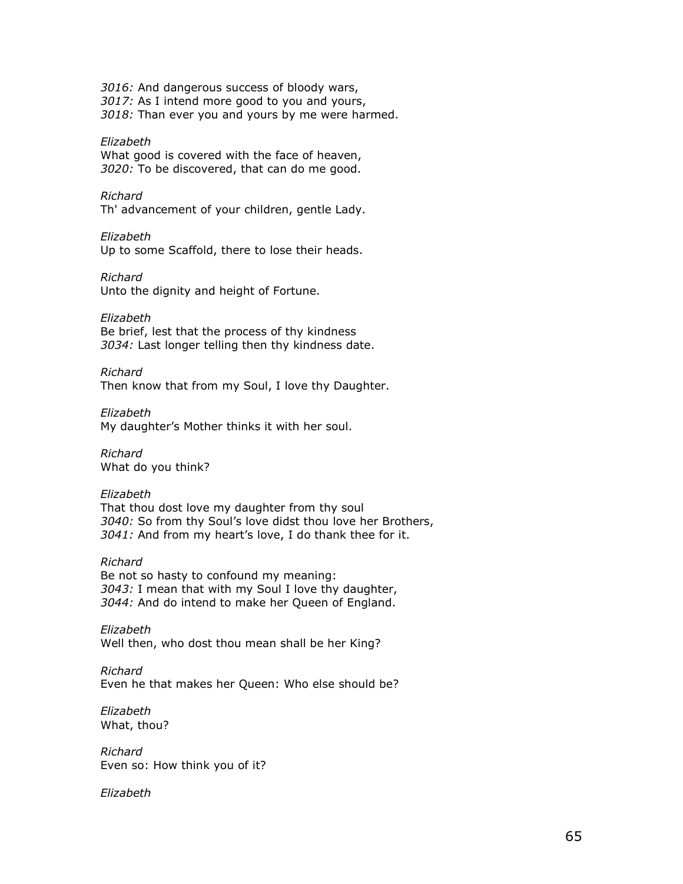3016: And dangerous success of bloody wars, 3017: As I intend more good to you and yours, 3018: Than ever you and yours by me were harmed.

#### Elizabeth

What good is covered with the face of heaven, 3020: To be discovered, that can do me good.

### Richard

Th' advancement of your children, gentle Lady.

#### Elizabeth

Up to some Scaffold, there to lose their heads.

#### Richard

Unto the dignity and height of Fortune.

Elizabeth

Be brief, lest that the process of thy kindness 3034: Last longer telling then thy kindness date.

### Richard

Then know that from my Soul, I love thy Daughter.

Elizabeth

My daughter's Mother thinks it with her soul.

Richard What do you think?

#### Elizabeth

That thou dost love my daughter from thy soul 3040: So from thy Soul's love didst thou love her Brothers, 3041: And from my heart's love, I do thank thee for it.

#### Richard

Be not so hasty to confound my meaning: 3043: I mean that with my Soul I love thy daughter, 3044: And do intend to make her Queen of England.

Elizabeth Well then, who dost thou mean shall be her King?

Richard Even he that makes her Queen: Who else should be?

Elizabeth What, thou?

Richard Even so: How think you of it?

Elizabeth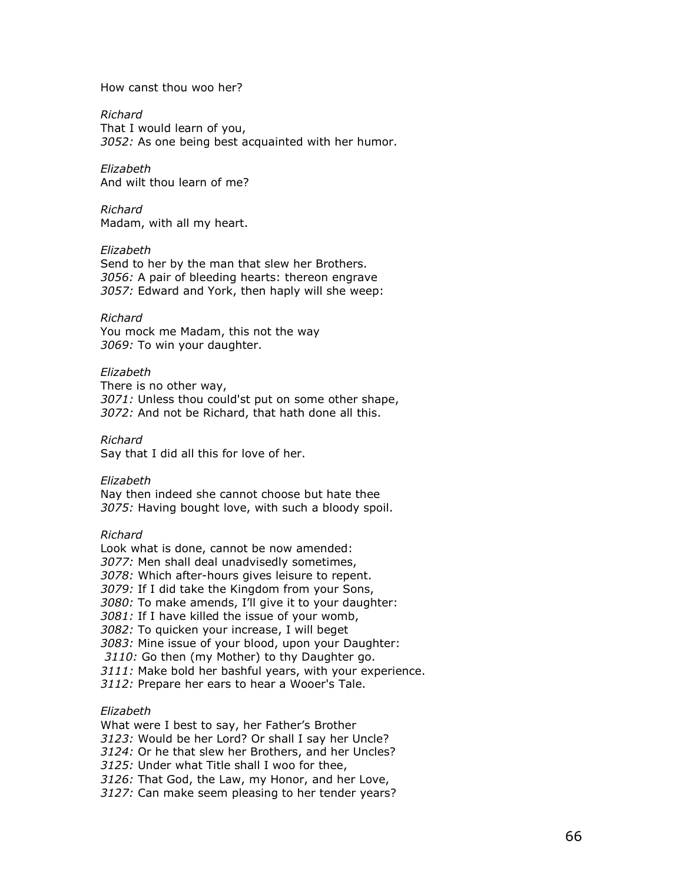#### How canst thou woo her?

Richard That I would learn of you,

3052: As one being best acquainted with her humor.

Elizabeth And wilt thou learn of me?

Richard Madam, with all my heart.

#### Elizabeth

Send to her by the man that slew her Brothers. 3056: A pair of bleeding hearts: thereon engrave 3057: Edward and York, then haply will she weep:

#### Richard

You mock me Madam, this not the way 3069: To win your daughter.

#### Elizabeth

There is no other way, 3071: Unless thou could'st put on some other shape, 3072: And not be Richard, that hath done all this.

Richard

Say that I did all this for love of her.

Elizabeth

Nay then indeed she cannot choose but hate thee 3075: Having bought love, with such a bloody spoil.

#### Richard

Look what is done, cannot be now amended: 3077: Men shall deal unadvisedly sometimes, 3078: Which after-hours gives leisure to repent. 3079: If I did take the Kingdom from your Sons, 3080: To make amends, I'll give it to your daughter: 3081: If I have killed the issue of your womb, 3082: To quicken your increase, I will beget 3083: Mine issue of your blood, upon your Daughter: 3110: Go then (my Mother) to thy Daughter go. 3111: Make bold her bashful years, with your experience. 3112: Prepare her ears to hear a Wooer's Tale.

# Elizabeth

What were I best to say, her Father's Brother

3123: Would be her Lord? Or shall I say her Uncle?

3124: Or he that slew her Brothers, and her Uncles?

3125: Under what Title shall I woo for thee,

3126: That God, the Law, my Honor, and her Love,

3127: Can make seem pleasing to her tender years?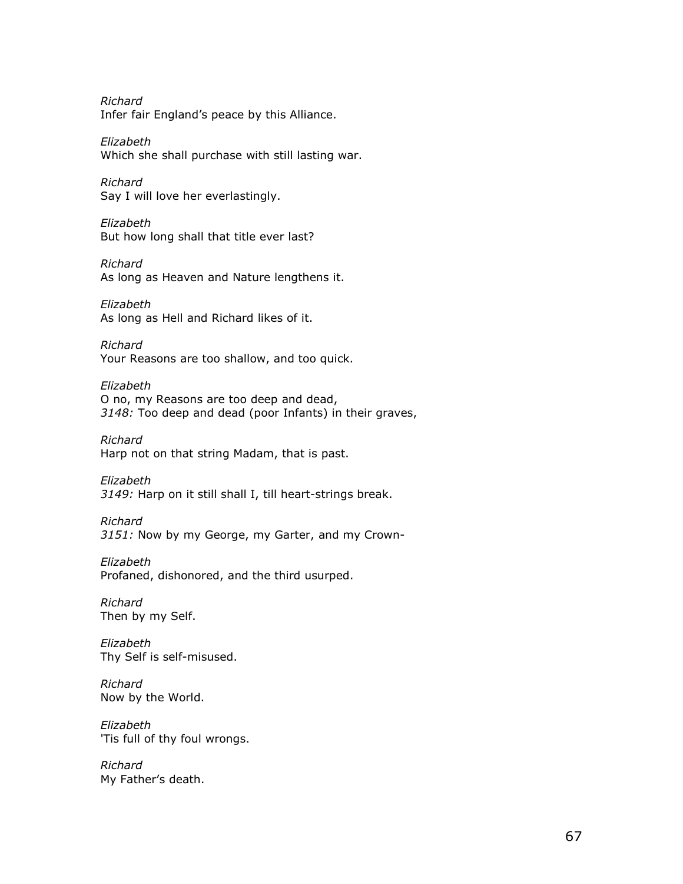Richard Infer fair England's peace by this Alliance.

Elizabeth Which she shall purchase with still lasting war.

Richard Say I will love her everlastingly.

Elizabeth But how long shall that title ever last?

Richard As long as Heaven and Nature lengthens it.

Elizabeth As long as Hell and Richard likes of it.

Richard Your Reasons are too shallow, and too quick.

Elizabeth O no, my Reasons are too deep and dead, 3148: Too deep and dead (poor Infants) in their graves,

Richard Harp not on that string Madam, that is past.

Elizabeth 3149: Harp on it still shall I, till heart-strings break.

Richard 3151: Now by my George, my Garter, and my Crown-

Elizabeth Profaned, dishonored, and the third usurped.

Richard Then by my Self.

Elizabeth Thy Self is self-misused.

Richard Now by the World.

Elizabeth 'Tis full of thy foul wrongs.

Richard My Father's death.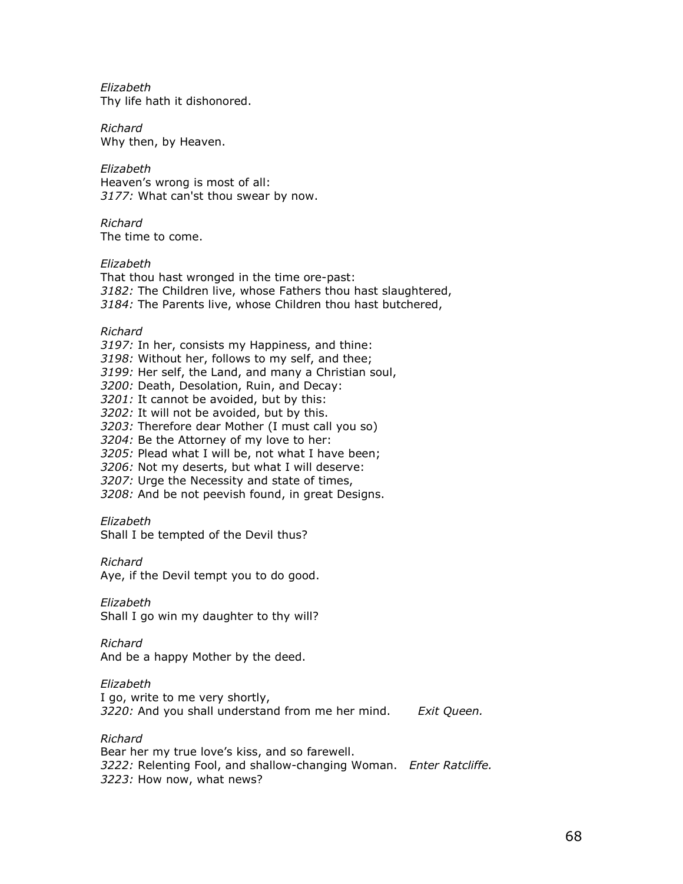Elizabeth Thy life hath it dishonored.

Richard Why then, by Heaven.

Elizabeth Heaven's wrong is most of all: 3177: What can'st thou swear by now.

Richard The time to come.

Elizabeth

That thou hast wronged in the time ore-past: 3182: The Children live, whose Fathers thou hast slaughtered, 3184: The Parents live, whose Children thou hast butchered,

Richard

3197: In her, consists my Happiness, and thine: 3198: Without her, follows to my self, and thee; 3199: Her self, the Land, and many a Christian soul, 3200: Death, Desolation, Ruin, and Decay: 3201: It cannot be avoided, but by this: 3202: It will not be avoided, but by this. 3203: Therefore dear Mother (I must call you so) 3204: Be the Attorney of my love to her: 3205: Plead what I will be, not what I have been; 3206: Not my deserts, but what I will deserve: 3207: Urge the Necessity and state of times, 3208: And be not peevish found, in great Designs.

Elizabeth

Shall I be tempted of the Devil thus?

Richard

Aye, if the Devil tempt you to do good.

Elizabeth

Shall I go win my daughter to thy will?

Richard

And be a happy Mother by the deed.

Elizabeth

I go, write to me very shortly, 3220: And you shall understand from me her mind. Exit Queen.

Richard

Bear her my true love's kiss, and so farewell. 3222: Relenting Fool, and shallow-changing Woman. Enter Ratcliffe.

3223: How now, what news?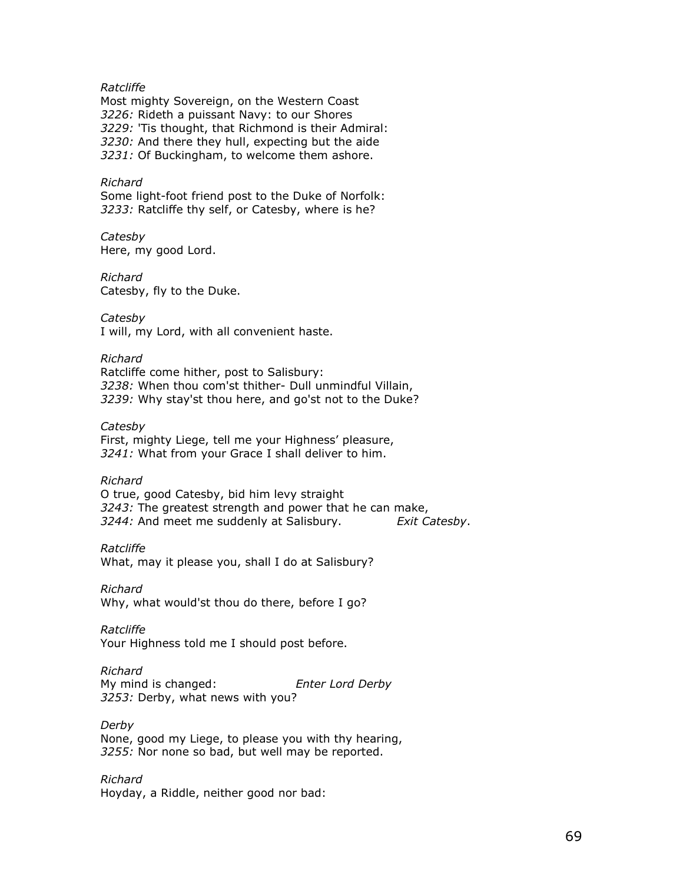### Ratcliffe

Most mighty Sovereign, on the Western Coast 3226: Rideth a puissant Navy: to our Shores 3229: 'Tis thought, that Richmond is their Admiral: 3230: And there they hull, expecting but the aide 3231: Of Buckingham, to welcome them ashore.

#### Richard

Some light-foot friend post to the Duke of Norfolk: 3233: Ratcliffe thy self, or Catesby, where is he?

Catesby Here, my good Lord.

Richard Catesby, fly to the Duke.

**Catesby** I will, my Lord, with all convenient haste.

Richard Ratcliffe come hither, post to Salisbury: 3238: When thou com'st thither- Dull unmindful Villain, 3239: Why stay'st thou here, and go'st not to the Duke?

Catesby

First, mighty Liege, tell me your Highness' pleasure, 3241: What from your Grace I shall deliver to him.

Richard

O true, good Catesby, bid him levy straight 3243: The greatest strength and power that he can make, 3244: And meet me suddenly at Salisbury. Exit Catesby.

Ratcliffe What, may it please you, shall I do at Salisbury?

Richard Why, what would'st thou do there, before I go?

Ratcliffe Your Highness told me I should post before.

Richard My mind is changed: Enter Lord Derby 3253: Derby, what news with you?

Derby None, good my Liege, to please you with thy hearing, 3255: Nor none so bad, but well may be reported.

Richard Hoyday, a Riddle, neither good nor bad: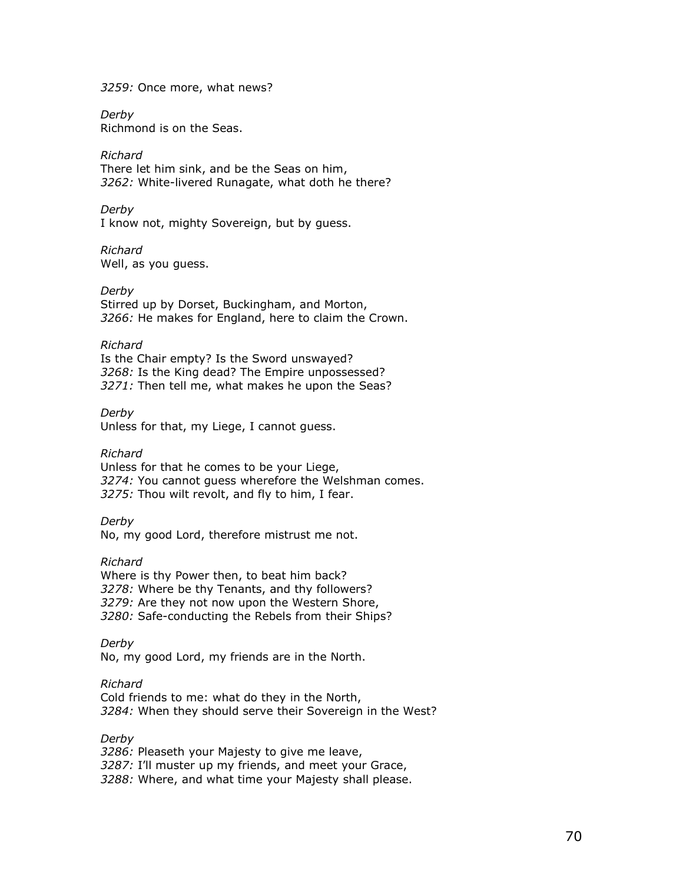3259: Once more, what news?

Derby Richmond is on the Seas.

### Richard

There let him sink, and be the Seas on him, 3262: White-livered Runagate, what doth he there?

#### Derby

I know not, mighty Sovereign, but by guess.

#### Richard Well, as you guess.

### Derby

Stirred up by Dorset, Buckingham, and Morton, 3266: He makes for England, here to claim the Crown.

### Richard

Is the Chair empty? Is the Sword unswayed? 3268: Is the King dead? The Empire unpossessed? 3271: Then tell me, what makes he upon the Seas?

Derby Unless for that, my Liege, I cannot guess.

### Richard

Unless for that he comes to be your Liege, 3274: You cannot guess wherefore the Welshman comes. 3275: Thou wilt revolt, and fly to him, I fear.

#### Derby

No, my good Lord, therefore mistrust me not.

### Richard

Where is thy Power then, to beat him back? 3278: Where be thy Tenants, and thy followers? 3279: Are they not now upon the Western Shore, 3280: Safe-conducting the Rebels from their Ships?

### Derby

No, my good Lord, my friends are in the North.

### Richard

Cold friends to me: what do they in the North, 3284: When they should serve their Sovereign in the West?

# Derby

3286: Pleaseth your Majesty to give me leave, 3287: I'll muster up my friends, and meet your Grace, 3288: Where, and what time your Majesty shall please.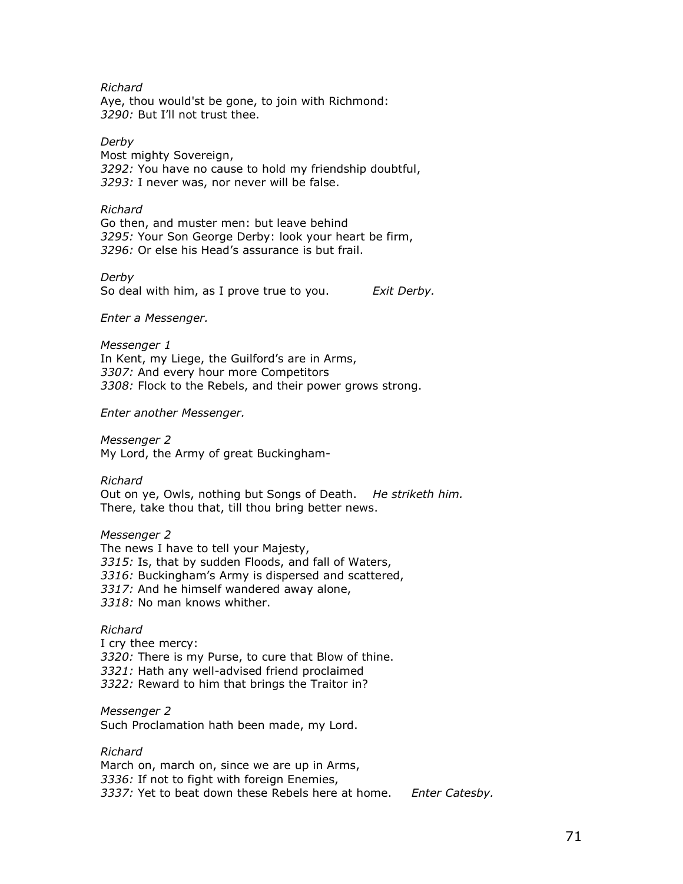### Richard

Aye, thou would'st be gone, to join with Richmond: 3290: But I'll not trust thee.

Derby

Most mighty Sovereign, 3292: You have no cause to hold my friendship doubtful, 3293: I never was, nor never will be false.

#### Richard

Go then, and muster men: but leave behind 3295: Your Son George Derby: look your heart be firm, 3296: Or else his Head's assurance is but frail.

Derby So deal with him, as I prove true to you. Exit Derby.

Enter a Messenger.

Messenger 1 In Kent, my Liege, the Guilford's are in Arms, 3307: And every hour more Competitors 3308: Flock to the Rebels, and their power grows strong.

Enter another Messenger.

Messenger 2 My Lord, the Army of great Buckingham-

Richard Out on ye, Owls, nothing but Songs of Death. He striketh him. There, take thou that, till thou bring better news.

Messenger 2 The news I have to tell your Majesty, 3315: Is, that by sudden Floods, and fall of Waters, 3316: Buckingham's Army is dispersed and scattered, 3317: And he himself wandered away alone, 3318: No man knows whither.

#### Richard

I cry thee mercy: 3320: There is my Purse, to cure that Blow of thine. 3321: Hath any well-advised friend proclaimed 3322: Reward to him that brings the Traitor in?

Messenger 2 Such Proclamation hath been made, my Lord.

Richard March on, march on, since we are up in Arms, 3336: If not to fight with foreign Enemies, 3337: Yet to beat down these Rebels here at home. Enter Catesby.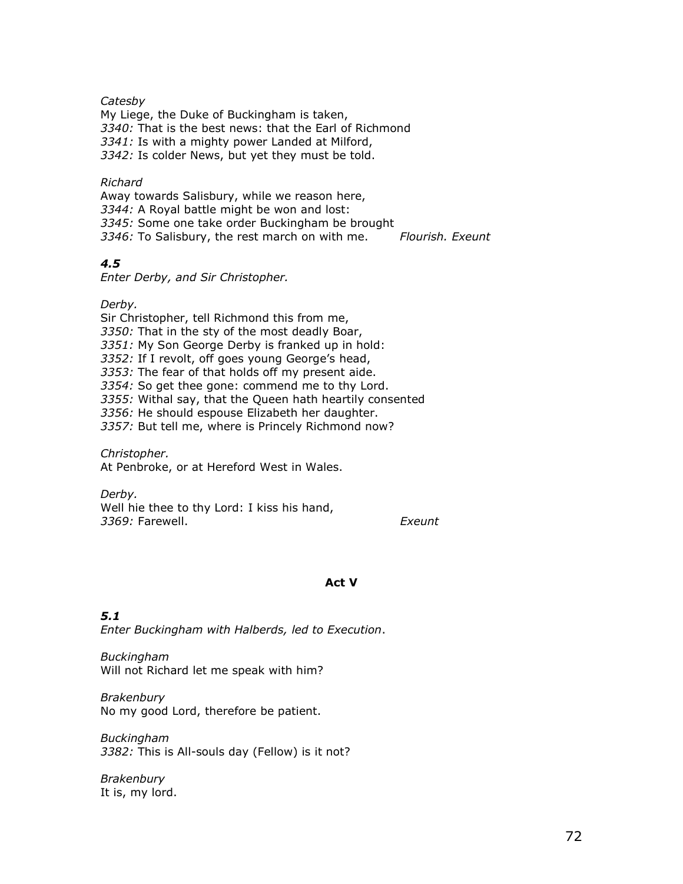**Catesby** 

My Liege, the Duke of Buckingham is taken, 3340: That is the best news: that the Earl of Richmond 3341: Is with a mighty power Landed at Milford, 3342: Is colder News, but yet they must be told.

### Richard

Away towards Salisbury, while we reason here, 3344: A Royal battle might be won and lost: 3345: Some one take order Buckingham be brought 3346: To Salisbury, the rest march on with me. Flourish. Exeunt

# 4.5

Enter Derby, and Sir Christopher.

Derby.

Sir Christopher, tell Richmond this from me, 3350: That in the sty of the most deadly Boar, 3351: My Son George Derby is franked up in hold: 3352: If I revolt, off goes young George's head, 3353: The fear of that holds off my present aide. 3354: So get thee gone: commend me to thy Lord. 3355: Withal say, that the Queen hath heartily consented 3356: He should espouse Elizabeth her daughter. 3357: But tell me, where is Princely Richmond now?

Christopher. At Penbroke, or at Hereford West in Wales.

Derby. Well hie thee to thy Lord: I kiss his hand, 3369: Farewell. **Executes** Exeunt

### Act V

# 5.1

Enter Buckingham with Halberds, led to Execution.

Buckingham Will not Richard let me speak with him?

Brakenbury No my good Lord, therefore be patient.

Buckingham 3382: This is All-souls day (Fellow) is it not?

**Brakenbury** It is, my lord.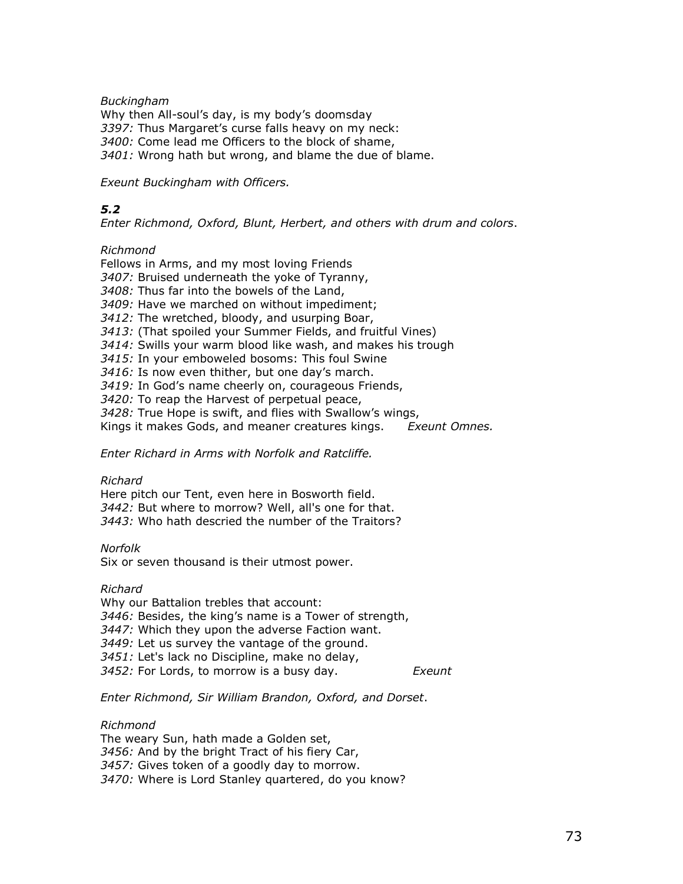Buckingham

Why then All-soul's day, is my body's doomsday 3397: Thus Margaret's curse falls heavy on my neck: 3400: Come lead me Officers to the block of shame, 3401: Wrong hath but wrong, and blame the due of blame.

Exeunt Buckingham with Officers.

## 5.2

Enter Richmond, Oxford, Blunt, Herbert, and others with drum and colors.

#### Richmond

Fellows in Arms, and my most loving Friends 3407: Bruised underneath the yoke of Tyranny, 3408: Thus far into the bowels of the Land, 3409: Have we marched on without impediment; 3412: The wretched, bloody, and usurping Boar, 3413: (That spoiled your Summer Fields, and fruitful Vines) 3414: Swills your warm blood like wash, and makes his trough 3415: In your emboweled bosoms: This foul Swine 3416: Is now even thither, but one day's march. 3419: In God's name cheerly on, courageous Friends, 3420: To reap the Harvest of perpetual peace, 3428: True Hope is swift, and flies with Swallow's wings, Kings it makes Gods, and meaner creatures kings. Exeunt Omnes.

Enter Richard in Arms with Norfolk and Ratcliffe.

#### Richard

Here pitch our Tent, even here in Bosworth field. 3442: But where to morrow? Well, all's one for that. 3443: Who hath descried the number of the Traitors?

#### Norfolk

Six or seven thousand is their utmost power.

## Richard

Why our Battalion trebles that account: 3446: Besides, the king's name is a Tower of strength, 3447: Which they upon the adverse Faction want. 3449: Let us survey the vantage of the ground. 3451: Let's lack no Discipline, make no delay, 3452: For Lords, to morrow is a busy day. Exeunt

## Enter Richmond, Sir William Brandon, Oxford, and Dorset.

## Richmond

The weary Sun, hath made a Golden set, 3456: And by the bright Tract of his fiery Car, 3457: Gives token of a goodly day to morrow. 3470: Where is Lord Stanley quartered, do you know?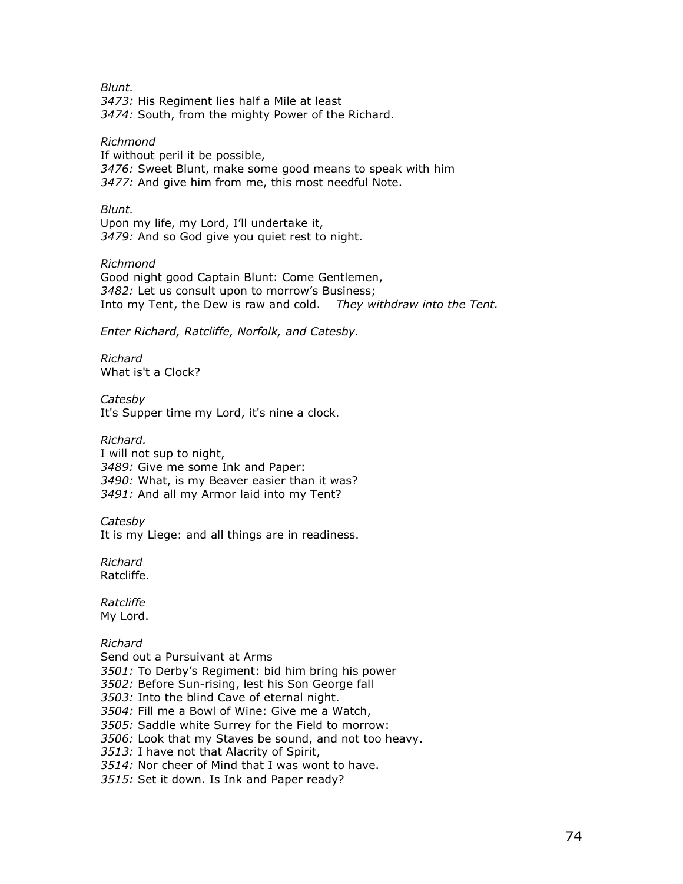Blunt. 3473: His Regiment lies half a Mile at least 3474: South, from the mighty Power of the Richard.

#### Richmond

If without peril it be possible, 3476: Sweet Blunt, make some good means to speak with him 3477: And give him from me, this most needful Note.

Blunt.

Upon my life, my Lord, I'll undertake it, 3479: And so God give you quiet rest to night.

#### Richmond

Good night good Captain Blunt: Come Gentlemen, 3482: Let us consult upon to morrow's Business; Into my Tent, the Dew is raw and cold. They withdraw into the Tent.

Enter Richard, Ratcliffe, Norfolk, and Catesby.

Richard What is't a Clock?

**Catesby** It's Supper time my Lord, it's nine a clock.

#### Richard.

I will not sup to night, 3489: Give me some Ink and Paper: 3490: What, is my Beaver easier than it was? 3491: And all my Armor laid into my Tent?

**Catesby** 

It is my Liege: and all things are in readiness.

Richard Ratcliffe.

Ratcliffe My Lord.

## Richard

Send out a Pursuivant at Arms 3501: To Derby's Regiment: bid him bring his power 3502: Before Sun-rising, lest his Son George fall 3503: Into the blind Cave of eternal night. 3504: Fill me a Bowl of Wine: Give me a Watch, 3505: Saddle white Surrey for the Field to morrow: 3506: Look that my Staves be sound, and not too heavy. 3513: I have not that Alacrity of Spirit, 3514: Nor cheer of Mind that I was wont to have. 3515: Set it down. Is Ink and Paper ready?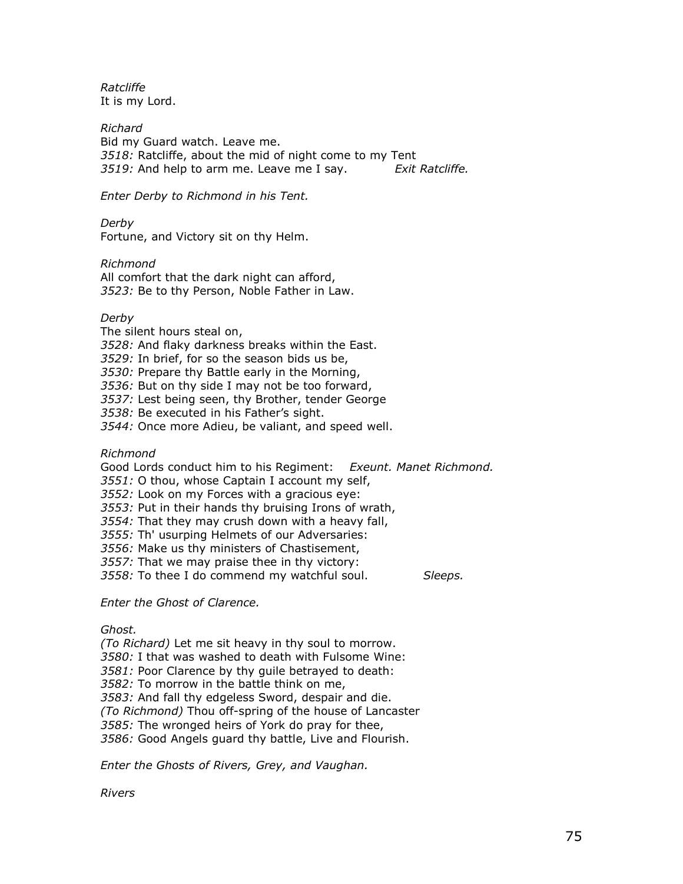Ratcliffe It is my Lord.

Richard Bid my Guard watch. Leave me. 3518: Ratcliffe, about the mid of night come to my Tent 3519: And help to arm me. Leave me I say. Exit Ratcliffe.

Enter Derby to Richmond in his Tent.

Derby

Fortune, and Victory sit on thy Helm.

Richmond All comfort that the dark night can afford, 3523: Be to thy Person, Noble Father in Law.

## Derby

The silent hours steal on,

3528: And flaky darkness breaks within the East.

3529: In brief, for so the season bids us be,

3530: Prepare thy Battle early in the Morning,

3536: But on thy side I may not be too forward,

3537: Lest being seen, thy Brother, tender George

3538: Be executed in his Father's sight.

3544: Once more Adieu, be valiant, and speed well.

Richmond

Good Lords conduct him to his Regiment: Exeunt. Manet Richmond.

3551: O thou, whose Captain I account my self,

3552: Look on my Forces with a gracious eye:

3553: Put in their hands thy bruising Irons of wrath,

3554: That they may crush down with a heavy fall,

3555: Th' usurping Helmets of our Adversaries:

3556: Make us thy ministers of Chastisement,

3557: That we may praise thee in thy victory:

3558: To thee I do commend my watchful soul. Sleeps.

Enter the Ghost of Clarence.

Ghost.

(To Richard) Let me sit heavy in thy soul to morrow. 3580: I that was washed to death with Fulsome Wine: 3581: Poor Clarence by thy quile betrayed to death: 3582: To morrow in the battle think on me, 3583: And fall thy edgeless Sword, despair and die. (To Richmond) Thou off-spring of the house of Lancaster 3585: The wronged heirs of York do pray for thee, 3586: Good Angels guard thy battle, Live and Flourish.

Enter the Ghosts of Rivers, Grey, and Vaughan.

Rivers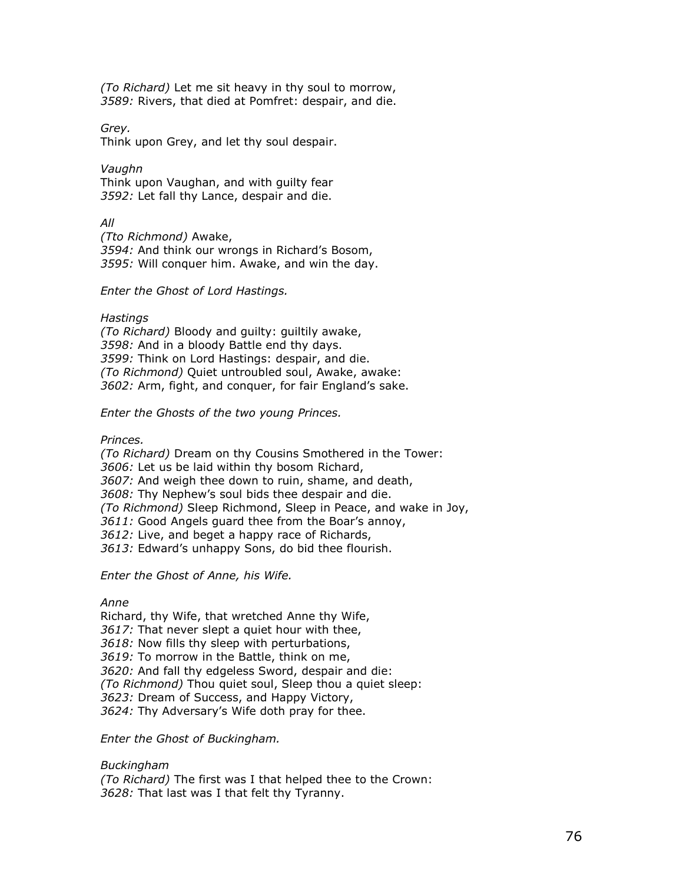(To Richard) Let me sit heavy in thy soul to morrow, 3589: Rivers, that died at Pomfret: despair, and die.

Grey.

Think upon Grey, and let thy soul despair.

Vaughn Think upon Vaughan, and with guilty fear 3592: Let fall thy Lance, despair and die.

All

(Tto Richmond) Awake, 3594: And think our wrongs in Richard's Bosom, 3595: Will conquer him. Awake, and win the day.

Enter the Ghost of Lord Hastings.

Hastings (To Richard) Bloody and guilty: guiltily awake, 3598: And in a bloody Battle end thy days. 3599: Think on Lord Hastings: despair, and die. (To Richmond) Quiet untroubled soul, Awake, awake: 3602: Arm, fight, and conquer, for fair England's sake.

Enter the Ghosts of the two young Princes.

Princes.

(To Richard) Dream on thy Cousins Smothered in the Tower: 3606: Let us be laid within thy bosom Richard, 3607: And weigh thee down to ruin, shame, and death, 3608: Thy Nephew's soul bids thee despair and die. (To Richmond) Sleep Richmond, Sleep in Peace, and wake in Joy, 3611: Good Angels quard thee from the Boar's annoy, 3612: Live, and beget a happy race of Richards, 3613: Edward's unhappy Sons, do bid thee flourish.

Enter the Ghost of Anne, his Wife.

Anne

Richard, thy Wife, that wretched Anne thy Wife, 3617: That never slept a quiet hour with thee, 3618: Now fills thy sleep with perturbations, 3619: To morrow in the Battle, think on me, 3620: And fall thy edgeless Sword, despair and die: (To Richmond) Thou quiet soul, Sleep thou a quiet sleep: 3623: Dream of Success, and Happy Victory, 3624: Thy Adversary's Wife doth pray for thee.

Enter the Ghost of Buckingham.

Buckingham (To Richard) The first was I that helped thee to the Crown: 3628: That last was I that felt thy Tyranny.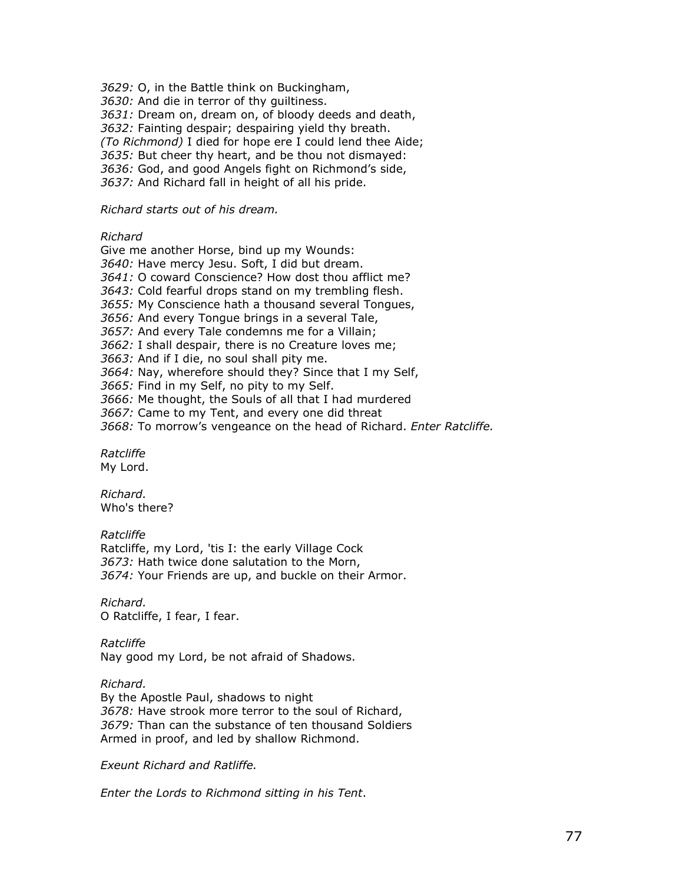3629: O, in the Battle think on Buckingham,

3630: And die in terror of thy guiltiness.

3631: Dream on, dream on, of bloody deeds and death,

3632: Fainting despair; despairing yield thy breath.

(To Richmond) I died for hope ere I could lend thee Aide;

3635: But cheer thy heart, and be thou not dismayed:

3636: God, and good Angels fight on Richmond's side,

3637: And Richard fall in height of all his pride.

#### Richard starts out of his dream.

#### Richard

Give me another Horse, bind up my Wounds: 3640: Have mercy Jesu. Soft, I did but dream. 3641: O coward Conscience? How dost thou afflict me? 3643: Cold fearful drops stand on my trembling flesh. 3655: My Conscience hath a thousand several Tongues, 3656: And every Tongue brings in a several Tale, 3657: And every Tale condemns me for a Villain; 3662: I shall despair, there is no Creature loves me; 3663: And if I die, no soul shall pity me. 3664: Nay, wherefore should they? Since that I my Self, 3665: Find in my Self, no pity to my Self. 3666: Me thought, the Souls of all that I had murdered 3667: Came to my Tent, and every one did threat

3668: To morrow's vengeance on the head of Richard. Enter Ratcliffe.

Ratcliffe My Lord.

Richard. Who's there?

## Ratcliffe

Ratcliffe, my Lord, 'tis I: the early Village Cock 3673: Hath twice done salutation to the Morn, 3674: Your Friends are up, and buckle on their Armor.

Richard. O Ratcliffe, I fear, I fear.

Ratcliffe

Nay good my Lord, be not afraid of Shadows.

Richard.

By the Apostle Paul, shadows to night 3678: Have strook more terror to the soul of Richard, 3679: Than can the substance of ten thousand Soldiers Armed in proof, and led by shallow Richmond.

Exeunt Richard and Ratliffe.

Enter the Lords to Richmond sitting in his Tent.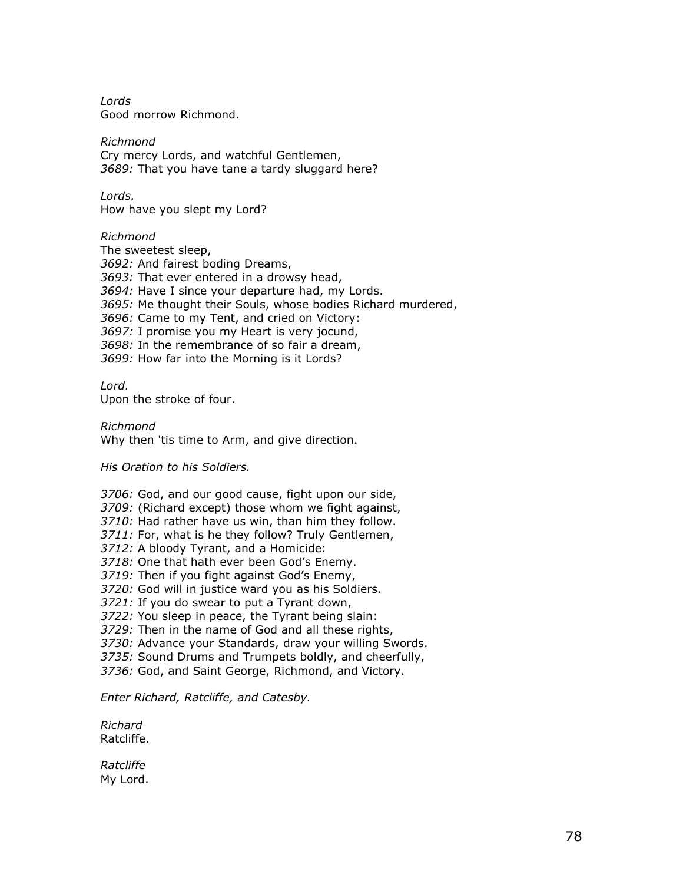Lords Good morrow Richmond.

Richmond Cry mercy Lords, and watchful Gentlemen, 3689: That you have tane a tardy sluggard here?

Lords. How have you slept my Lord?

Richmond

The sweetest sleep, 3692: And fairest boding Dreams, 3693: That ever entered in a drowsy head, 3694: Have I since your departure had, my Lords. 3695: Me thought their Souls, whose bodies Richard murdered, 3696: Came to my Tent, and cried on Victory: 3697: I promise you my Heart is very jocund, 3698: In the remembrance of so fair a dream, 3699: How far into the Morning is it Lords?

Lord. Upon the stroke of four.

Richmond Why then 'tis time to Arm, and give direction.

His Oration to his Soldiers.

3706: God, and our good cause, fight upon our side, 3709: (Richard except) those whom we fight against, 3710: Had rather have us win, than him they follow. 3711: For, what is he they follow? Truly Gentlemen, 3712: A bloody Tyrant, and a Homicide: 3718: One that hath ever been God's Enemy. 3719: Then if you fight against God's Enemy, 3720: God will in justice ward you as his Soldiers. 3721: If you do swear to put a Tyrant down, 3722: You sleep in peace, the Tyrant being slain: 3729: Then in the name of God and all these rights, 3730: Advance your Standards, draw your willing Swords. 3735: Sound Drums and Trumpets boldly, and cheerfully, 3736: God, and Saint George, Richmond, and Victory.

Enter Richard, Ratcliffe, and Catesby.

Richard Ratcliffe.

Ratcliffe My Lord.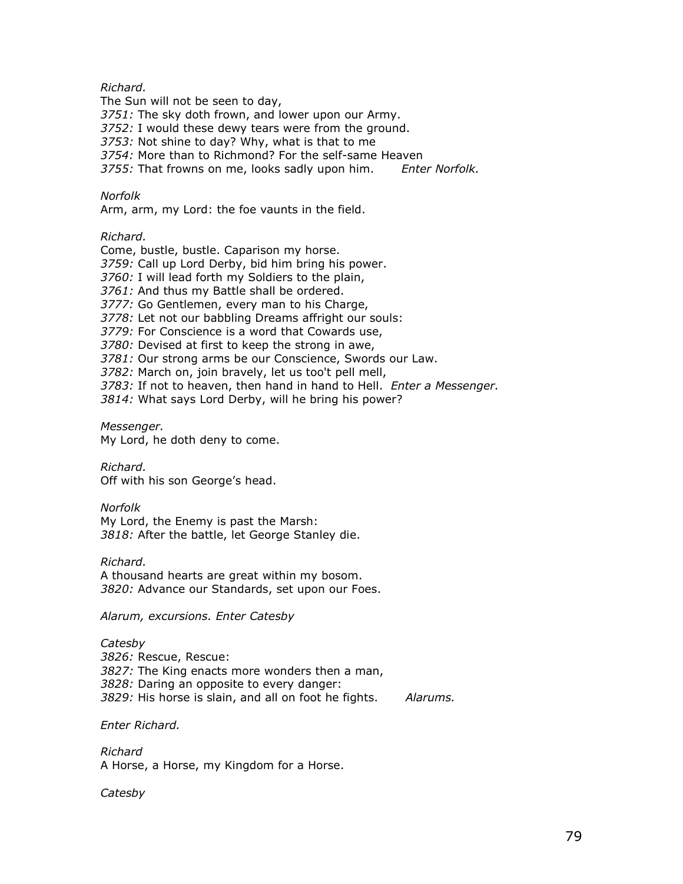## Richard.

The Sun will not be seen to day, 3751: The sky doth frown, and lower upon our Army. 3752: I would these dewy tears were from the ground. 3753: Not shine to day? Why, what is that to me 3754: More than to Richmond? For the self-same Heaven 3755: That frowns on me, looks sadly upon him. Enter Norfolk.

## Norfolk

Arm, arm, my Lord: the foe vaunts in the field.

## Richard.

Come, bustle, bustle. Caparison my horse. 3759: Call up Lord Derby, bid him bring his power. 3760: I will lead forth my Soldiers to the plain, 3761: And thus my Battle shall be ordered. 3777: Go Gentlemen, every man to his Charge, 3778: Let not our babbling Dreams affright our souls: 3779: For Conscience is a word that Cowards use, 3780: Devised at first to keep the strong in awe, 3781: Our strong arms be our Conscience, Swords our Law. 3782: March on, join bravely, let us too't pell mell, 3783: If not to heaven, then hand in hand to Hell. Enter a Messenger. 3814: What says Lord Derby, will he bring his power?

Messenger. My Lord, he doth deny to come.

Richard. Off with his son George's head.

## Norfolk

My Lord, the Enemy is past the Marsh: 3818: After the battle, let George Stanley die.

Richard.

A thousand hearts are great within my bosom. 3820: Advance our Standards, set upon our Foes.

Alarum, excursions. Enter Catesby

# **Catesby**

3826: Rescue, Rescue: 3827: The King enacts more wonders then a man, 3828: Daring an opposite to every danger: 3829: His horse is slain, and all on foot he fights. Alarums.

Enter Richard.

Richard A Horse, a Horse, my Kingdom for a Horse.

**Catesby**